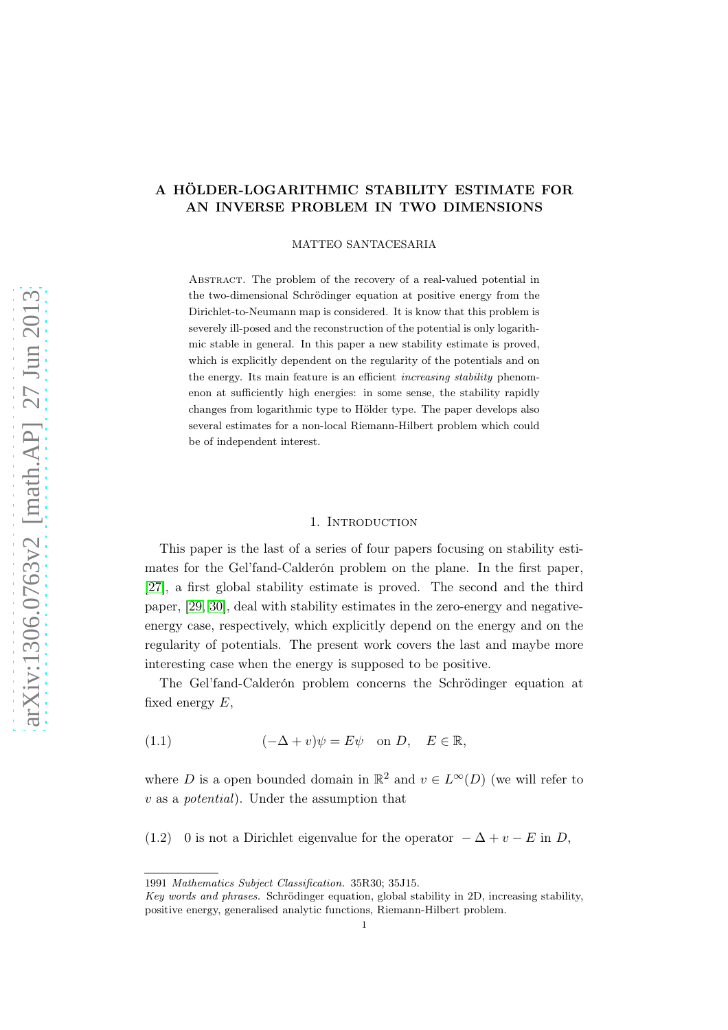# A HÖLDER-LOGARITHMIC STABILITY ESTIMATE FOR AN INVERSE PROBLEM IN TWO DIMENSIONS

MATTEO SANTACESARIA

Abstract. The problem of the recovery of a real-valued potential in the two-dimensional Schrödinger equation at positive energy from the Dirichlet-to-Neumann map is considered. It is know that this problem is severely ill-posed and the reconstruction of the potential is only logarithmic stable in general. In this paper a new stability estimate is proved, which is explicitly dependent on the regularity of the potentials and on the energy. Its main feature is an efficient *increasing stability* phenomenon at sufficiently high energies: in some sense, the stability rapidly changes from logarithmic type to Hölder type. The paper develops also several estimates for a non-local Riemann-Hilbert problem which could be of independent interest.

### 1. INTRODUCTION

This paper is the last of a series of four papers focusing on stability estimates for the Gel'fand-Calderón problem on the plane. In the first paper, [\[27\]](#page-33-0), a first global stability estimate is proved. The second and the third paper, [\[29,](#page-33-1) [30\]](#page-33-2), deal with stability estimates in the zero-energy and negativeenergy case, respectively, which explicitly depend on the energy and on the regularity of potentials. The present work covers the last and maybe more interesting case when the energy is supposed to be positive.

The Gel'fand-Calderón problem concerns the Schrödinger equation at fixed energy  $E$ ,

<span id="page-0-1"></span>(1.1) 
$$
(-\Delta + v)\psi = E\psi \text{ on } D, E \in \mathbb{R},
$$

where D is a open bounded domain in  $\mathbb{R}^2$  and  $v \in L^{\infty}(D)$  (we will refer to v as a potential). Under the assumption that

<span id="page-0-0"></span>(1.2) 0 is not a Dirichlet eigenvalue for the operator  $-\Delta + v - E$  in D,

<sup>1991</sup> Mathematics Subject Classification. 35R30; 35J15.

Key words and phrases. Schrödinger equation, global stability in 2D, increasing stability, positive energy, generalised analytic functions, Riemann-Hilbert problem.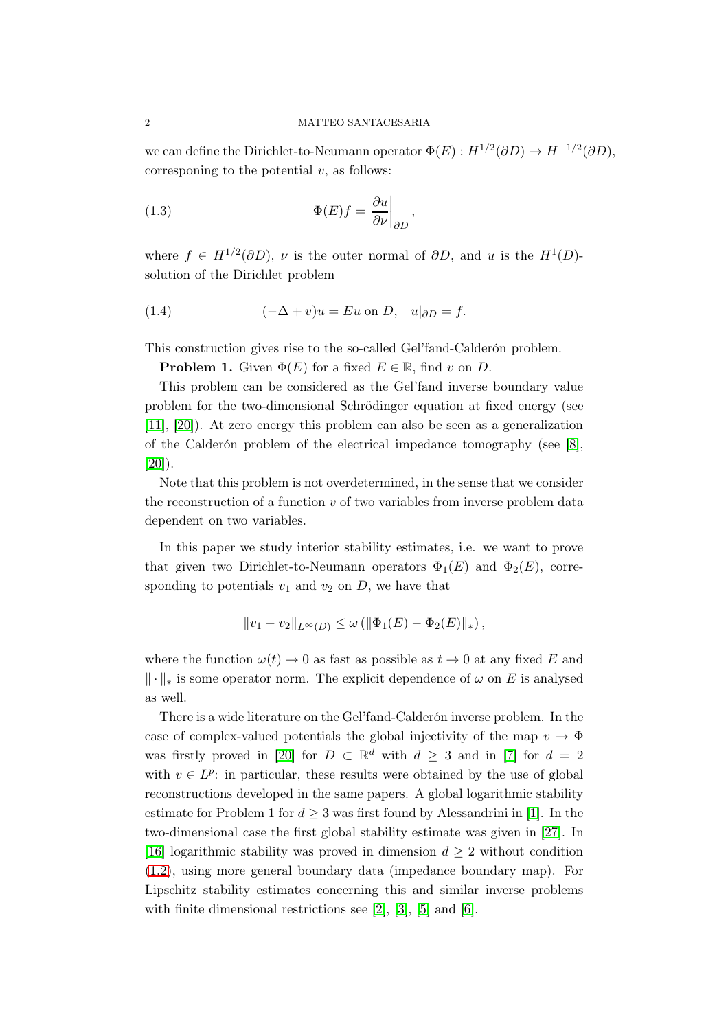we can define the Dirichlet-to-Neumann operator  $\Phi(E) : H^{1/2}(\partial D) \to H^{-1/2}(\partial D)$ , corresponing to the potential  $v$ , as follows:

(1.3) 
$$
\Phi(E)f = \frac{\partial u}{\partial \nu}\Big|_{\partial D},
$$

where  $f \in H^{1/2}(\partial D)$ ,  $\nu$  is the outer normal of  $\partial D$ , and  $u$  is the  $H^1(D)$ solution of the Dirichlet problem

(1.4) 
$$
(-\Delta + v)u = Eu \text{ on } D, \quad u|_{\partial D} = f.
$$

This construction gives rise to the so-called Gel'fand-Calderón problem.

**Problem 1.** Given  $\Phi(E)$  for a fixed  $E \in \mathbb{R}$ , find v on D.

This problem can be considered as the Gel'fand inverse boundary value problem for the two-dimensional Schrödinger equation at fixed energy (see [\[11\]](#page-32-0), [\[20\]](#page-33-3)). At zero energy this problem can also be seen as a generalization of the Calderón problem of the electrical impedance tomography (see [\[8\]](#page-32-1), [\[20\]](#page-33-3)).

Note that this problem is not overdetermined, in the sense that we consider the reconstruction of a function  $v$  of two variables from inverse problem data dependent on two variables.

In this paper we study interior stability estimates, i.e. we want to prove that given two Dirichlet-to-Neumann operators  $\Phi_1(E)$  and  $\Phi_2(E)$ , corresponding to potentials  $v_1$  and  $v_2$  on D, we have that

$$
||v_1 - v_2||_{L^{\infty}(D)} \le \omega (||\Phi_1(E) - \Phi_2(E)||_*)
$$

where the function  $\omega(t) \to 0$  as fast as possible as  $t \to 0$  at any fixed E and  $\|\cdot\|_*$  is some operator norm. The explicit dependence of  $\omega$  on E is analysed as well.

There is a wide literature on the Gel'fand-Calderón inverse problem. In the case of complex-valued potentials the global injectivity of the map  $v \to \Phi$ was firstly proved in [\[20\]](#page-33-3) for  $D \subset \mathbb{R}^d$  with  $d \geq 3$  and in [\[7\]](#page-32-2) for  $d = 2$ with  $v \in L^p$ : in particular, these results were obtained by the use of global reconstructions developed in the same papers. A global logarithmic stability estimate for Problem 1 for  $d \geq 3$  was first found by Alessandrini in [\[1\]](#page-32-3). In the two-dimensional case the first global stability estimate was given in [\[27\]](#page-33-0). In [\[16\]](#page-33-4) logarithmic stability was proved in dimension  $d \geq 2$  without condition [\(1.2\)](#page-0-0), using more general boundary data (impedance boundary map). For Lipschitz stability estimates concerning this and similar inverse problems with finite dimensional restrictions see [\[2\]](#page-32-4), [\[3\]](#page-32-5), [\[5\]](#page-32-6) and [\[6\]](#page-32-7).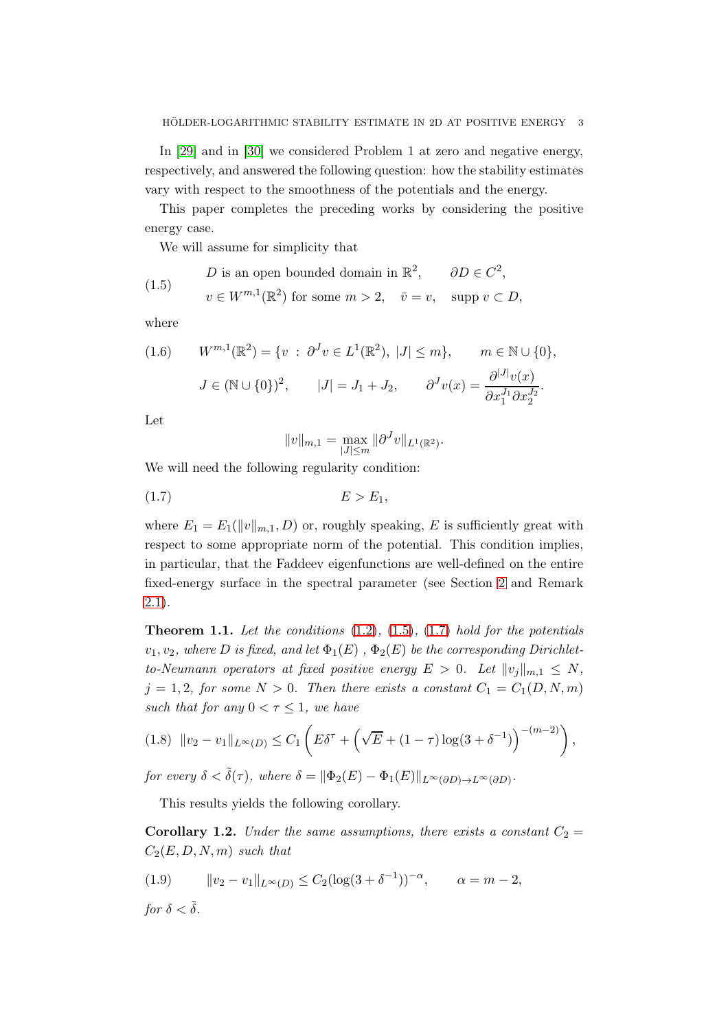In [\[29\]](#page-33-1) and in [\[30\]](#page-33-2) we considered Problem 1 at zero and negative energy, respectively, and answered the following question: how the stability estimates vary with respect to the smoothness of the potentials and the energy.

This paper completes the preceding works by considering the positive energy case.

We will assume for simplicity that

<span id="page-2-0"></span>(1.5) 
$$
D \text{ is an open bounded domain in } \mathbb{R}^2, \qquad \partial D \in C^2,
$$

$$
v \in W^{m,1}(\mathbb{R}^2) \text{ for some } m > 2, \quad \bar{v} = v, \quad \text{supp } v \subset D,
$$

where

(1.6) 
$$
W^{m,1}(\mathbb{R}^2) = \{v : \partial^J v \in L^1(\mathbb{R}^2), |J| \le m\}, \qquad m \in \mathbb{N} \cup \{0\},
$$
  
 $J \in (\mathbb{N} \cup \{0\})^2, \qquad |J| = J_1 + J_2, \qquad \partial^J v(x) = \frac{\partial^{|J|} v(x)}{\partial x_1^{J_1} \partial x_2^{J_2}}.$ 

Let

<span id="page-2-1"></span>
$$
||v||_{m,1} = \max_{|J| \le m} ||\partial^J v||_{L^1(\mathbb{R}^2)}.
$$

We will need the following regularity condition:

$$
(1.7) \t\t\t\t E > E_1,
$$

where  $E_1 = E_1(||v||_{m,1}, D)$  or, roughly speaking, E is sufficiently great with respect to some appropriate norm of the potential. This condition implies, in particular, that the Faddeev eigenfunctions are well-defined on the entire fixed-energy surface in the spectral parameter (see Section [2](#page-4-0) and Remark [2.1\)](#page-5-0).

<span id="page-2-3"></span>**Theorem 1.1.** Let the conditions  $(1.2)$ ,  $(1.5)$ ,  $(1.7)$  hold for the potentials  $v_1, v_2$ , where D is fixed, and let  $\Phi_1(E)$ ,  $\Phi_2(E)$  be the corresponding Dirichletto-Neumann operators at fixed positive energy  $E > 0$ . Let  $||v_j||_{m,1} \leq N$ ,  $j = 1, 2$ , for some  $N > 0$ . Then there exists a constant  $C_1 = C_1(D, N, m)$ such that for any  $0 < \tau \leq 1$ , we have

<span id="page-2-4"></span>
$$
(1.8) \quad \|v_2 - v_1\|_{L^{\infty}(D)} \le C_1 \left( E\delta^{\tau} + \left(\sqrt{E} + (1-\tau)\log(3+\delta^{-1})\right)^{-(m-2)}\right),
$$

for every  $\delta < \tilde{\delta}(\tau)$ , where  $\delta = ||\Phi_2(E) - \Phi_1(E)||_{L^{\infty}(\partial D) \to L^{\infty}(\partial D)}$ .

This results yields the following corollary.

Corollary 1.2. Under the same assumptions, there exists a constant  $C_2 =$  $C_2(E, D, N, m)$  such that

<span id="page-2-2"></span>(1.9) 
$$
||v_2 - v_1||_{L^{\infty}(D)} \le C_2(\log(3 + \delta^{-1}))^{-\alpha}, \qquad \alpha = m - 2,
$$

for  $\delta < \tilde{\delta}$ .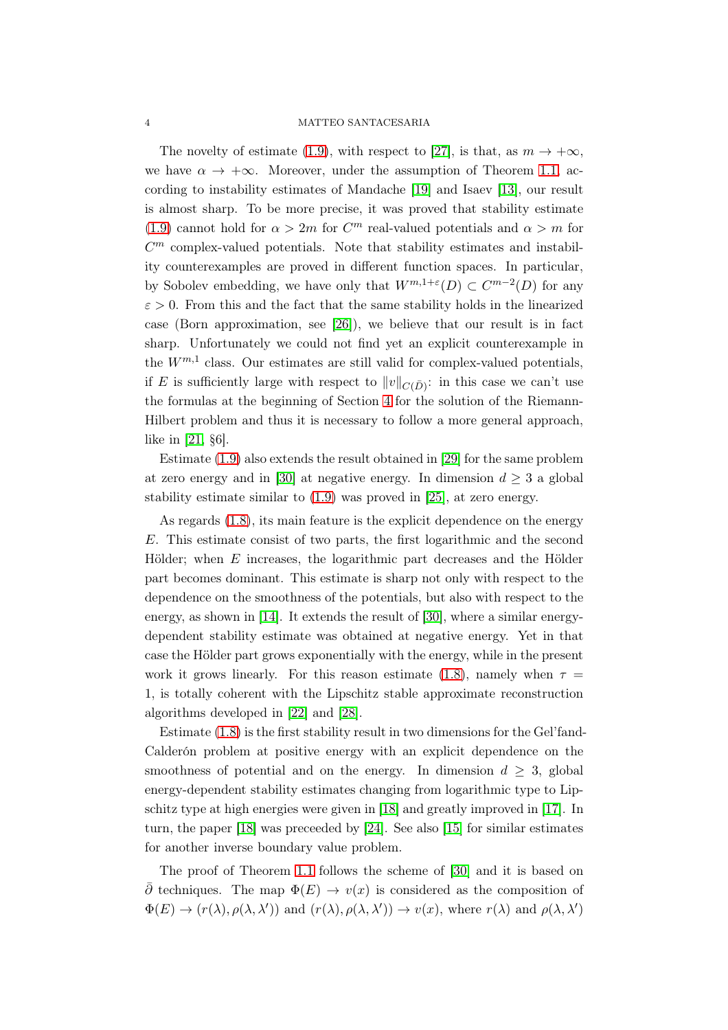#### 4 MATTEO SANTACESARIA

The novelty of estimate [\(1.9\)](#page-2-2), with respect to [\[27\]](#page-33-0), is that, as  $m \to +\infty$ , we have  $\alpha \to +\infty$ . Moreover, under the assumption of Theorem [1.1,](#page-2-3) according to instability estimates of Mandache [\[19\]](#page-33-5) and Isaev [\[13\]](#page-33-6), our result is almost sharp. To be more precise, it was proved that stability estimate [\(1.9\)](#page-2-2) cannot hold for  $\alpha > 2m$  for  $C^m$  real-valued potentials and  $\alpha > m$  for  $C<sup>m</sup>$  complex-valued potentials. Note that stability estimates and instability counterexamples are proved in different function spaces. In particular, by Sobolev embedding, we have only that  $W^{m,1+\varepsilon}(D) \subset C^{m-2}(D)$  for any  $\varepsilon > 0$ . From this and the fact that the same stability holds in the linearized case (Born approximation, see [\[26\]](#page-33-7)), we believe that our result is in fact sharp. Unfortunately we could not find yet an explicit counterexample in the  $W^{m,1}$  class. Our estimates are still valid for complex-valued potentials, if E is sufficiently large with respect to  $||v||_{C(\bar{D})}$ : in this case we can't use the formulas at the beginning of Section [4](#page-13-0) for the solution of the Riemann-Hilbert problem and thus it is necessary to follow a more general approach, like in [\[21,](#page-33-8) §6].

Estimate [\(1.9\)](#page-2-2) also extends the result obtained in [\[29\]](#page-33-1) for the same problem at zero energy and in [\[30\]](#page-33-2) at negative energy. In dimension  $d \geq 3$  a global stability estimate similar to [\(1.9\)](#page-2-2) was proved in [\[25\]](#page-33-9), at zero energy.

As regards [\(1.8\)](#page-2-4), its main feature is the explicit dependence on the energy E. This estimate consist of two parts, the first logarithmic and the second Hölder; when E increases, the logarithmic part decreases and the Hölder part becomes dominant. This estimate is sharp not only with respect to the dependence on the smoothness of the potentials, but also with respect to the energy, as shown in [\[14\]](#page-33-10). It extends the result of [\[30\]](#page-33-2), where a similar energydependent stability estimate was obtained at negative energy. Yet in that case the Hölder part grows exponentially with the energy, while in the present work it grows linearly. For this reason estimate [\(1.8\)](#page-2-4), namely when  $\tau =$ 1, is totally coherent with the Lipschitz stable approximate reconstruction algorithms developed in [\[22\]](#page-33-11) and [\[28\]](#page-33-12).

Estimate [\(1.8\)](#page-2-4) is the first stability result in two dimensions for the Gel'fand-Calderón problem at positive energy with an explicit dependence on the smoothness of potential and on the energy. In dimension  $d \geq 3$ , global energy-dependent stability estimates changing from logarithmic type to Lipschitz type at high energies were given in [\[18\]](#page-33-13) and greatly improved in [\[17\]](#page-33-14). In turn, the paper [\[18\]](#page-33-13) was preceeded by [\[24\]](#page-33-15). See also [\[15\]](#page-33-16) for similar estimates for another inverse boundary value problem.

The proof of Theorem [1.1](#page-2-3) follows the scheme of [\[30\]](#page-33-2) and it is based on  $\bar{\partial}$  techniques. The map  $\Phi(E) \to v(x)$  is considered as the composition of  $\Phi(E) \to (r(\lambda), \rho(\lambda, \lambda'))$  and  $(r(\lambda), \rho(\lambda, \lambda')) \to v(x)$ , where  $r(\lambda)$  and  $\rho(\lambda, \lambda')$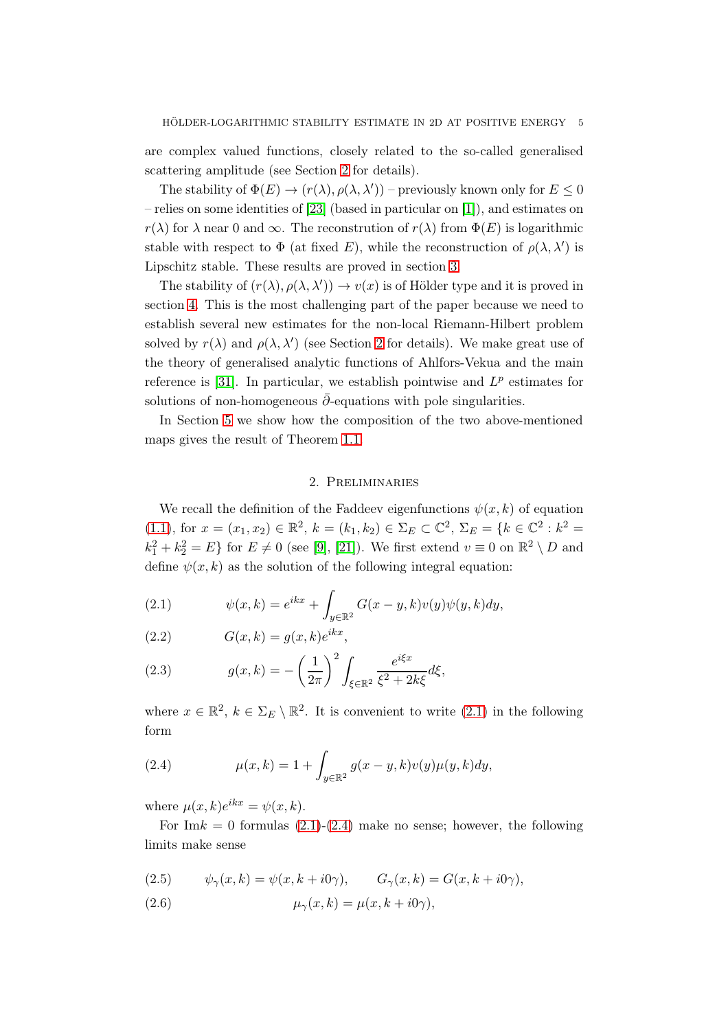are complex valued functions, closely related to the so-called generalised scattering amplitude (see Section [2](#page-4-0) for details).

The stability of  $\Phi(E) \to (r(\lambda), \rho(\lambda, \lambda'))$  – previously known only for  $E \leq 0$ – relies on some identities of [\[23\]](#page-33-17) (based in particular on [\[1\]](#page-32-3)), and estimates on  $r(\lambda)$  for  $\lambda$  near 0 and  $\infty$ . The reconstrution of  $r(\lambda)$  from  $\Phi(E)$  is logarithmic stable with respect to  $\Phi$  (at fixed E), while the reconstruction of  $\rho(\lambda, \lambda')$  is Lipschitz stable. These results are proved in section [3.](#page-8-0)

The stability of  $(r(\lambda), \rho(\lambda, \lambda')) \to v(x)$  is of Hölder type and it is proved in section [4.](#page-13-0) This is the most challenging part of the paper because we need to establish several new estimates for the non-local Riemann-Hilbert problem solved by  $r(\lambda)$  and  $\rho(\lambda, \lambda')$  (see Section [2](#page-4-0) for details). We make great use of the theory of generalised analytic functions of Ahlfors-Vekua and the main reference is [\[31\]](#page-33-18). In particular, we establish pointwise and  $L^p$  estimates for solutions of non-homogeneous  $\bar{\partial}$ -equations with pole singularities.

<span id="page-4-0"></span>In Section [5](#page-26-0) we show how the composition of the two above-mentioned maps gives the result of Theorem [1.1.](#page-2-3)

### 2. Preliminaries

We recall the definition of the Faddeev eigenfunctions  $\psi(x, k)$  of equation [\(1.1\)](#page-0-1), for  $x = (x_1, x_2) \in \mathbb{R}^2$ ,  $k = (k_1, k_2) \in \Sigma_E \subset \mathbb{C}^2$ ,  $\Sigma_E = \{k \in \mathbb{C}^2 : k^2 = \emptyset\}$  $k_1^2 + k_2^2 = E$  for  $E \neq 0$  (see [\[9\]](#page-32-8), [\[21\]](#page-33-8)). We first extend  $v \equiv 0$  on  $\mathbb{R}^2 \setminus D$  and define  $\psi(x, k)$  as the solution of the following integral equation:

<span id="page-4-1"></span>(2.1) 
$$
\psi(x,k) = e^{ikx} + \int_{y \in \mathbb{R}^2} G(x-y,k)v(y)\psi(y,k)dy,
$$

(2.2) 
$$
G(x,k) = g(x,k)e^{ikx},
$$

<span id="page-4-3"></span>(2.3) 
$$
g(x,k) = -\left(\frac{1}{2\pi}\right)^2 \int_{\xi \in \mathbb{R}^2} \frac{e^{i\xi x}}{\xi^2 + 2k\xi} d\xi,
$$

where  $x \in \mathbb{R}^2$ ,  $k \in \Sigma_E \setminus \mathbb{R}^2$ . It is convenient to write [\(2.1\)](#page-4-1) in the following form

<span id="page-4-2"></span>(2.4) 
$$
\mu(x,k) = 1 + \int_{y \in \mathbb{R}^2} g(x - y, k)v(y)\mu(y, k)dy,
$$

where  $\mu(x,k)e^{ikx} = \psi(x,k)$ .

For Imk = 0 formulas  $(2.1)-(2.4)$  $(2.1)-(2.4)$  make no sense; however, the following limits make sense

<span id="page-4-4"></span>(2.5) 
$$
\psi_{\gamma}(x,k) = \psi(x,k + i0\gamma), \qquad G_{\gamma}(x,k) = G(x,k + i0\gamma),
$$

(2.6) 
$$
\mu_{\gamma}(x,k) = \mu(x,k + i0\gamma),
$$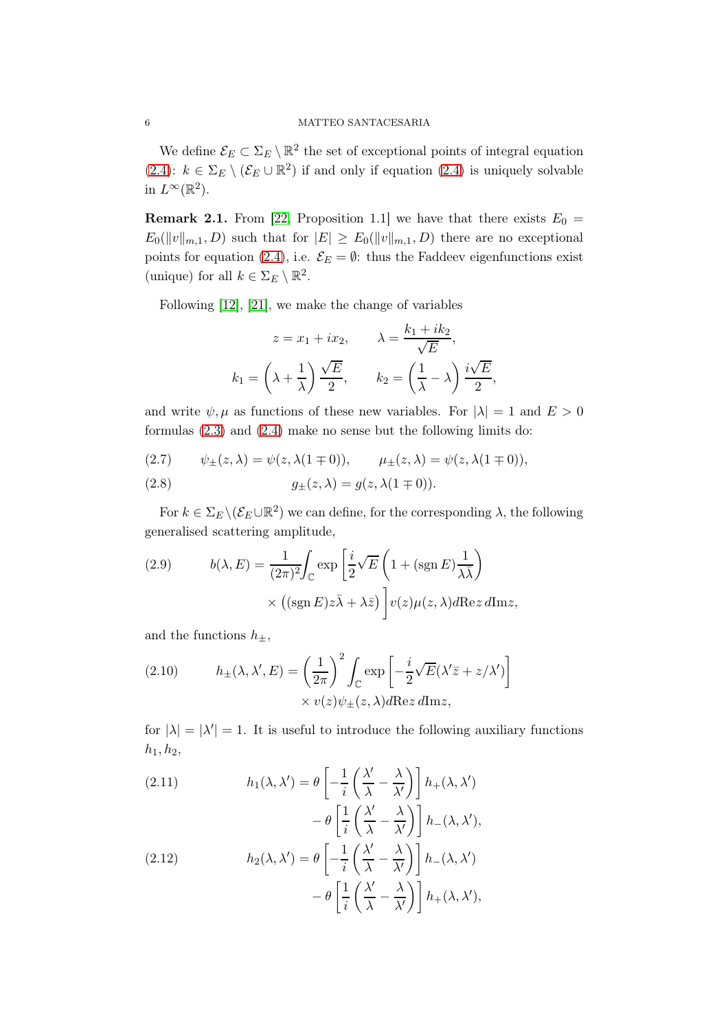#### 6 MATTEO SANTACESARIA

We define  $\mathcal{E}_E \subset \Sigma_E \setminus \mathbb{R}^2$  the set of exceptional points of integral equation [\(2.4\)](#page-4-2):  $k \in \Sigma_E \setminus (\mathcal{E}_E \cup \mathbb{R}^2)$  if and only if equation [\(2.4\)](#page-4-2) is uniquely solvable in  $L^{\infty}(\mathbb{R}^2)$ .

<span id="page-5-0"></span>**Remark 2.1.** From [\[22,](#page-33-11) Proposition 1.1] we have that there exists  $E_0 =$  $E_0(\|v\|_{m,1}, D)$  such that for  $|E| \ge E_0(\|v\|_{m,1}, D)$  there are no exceptional points for equation [\(2.4\)](#page-4-2), i.e.  $\mathcal{E}_E = \emptyset$ : thus the Faddeev eigenfunctions exist (unique) for all  $k \in \Sigma_E \setminus \mathbb{R}^2$ .

Following [\[12\]](#page-32-9), [\[21\]](#page-33-8), we make the change of variables

$$
z = x_1 + ix_2, \qquad \lambda = \frac{k_1 + ik_2}{\sqrt{E}},
$$

$$
k_1 = \left(\lambda + \frac{1}{\lambda}\right) \frac{\sqrt{E}}{2}, \qquad k_2 = \left(\frac{1}{\lambda} - \lambda\right) \frac{i\sqrt{E}}{2},
$$

and write  $\psi, \mu$  as functions of these new variables. For  $|\lambda| = 1$  and  $E > 0$ formulas [\(2.3\)](#page-4-3) and [\(2.4\)](#page-4-2) make no sense but the following limits do:

(2.7) 
$$
\psi_{\pm}(z,\lambda) = \psi(z,\lambda(1 \mp 0)), \qquad \mu_{\pm}(z,\lambda) = \psi(z,\lambda(1 \mp 0)),
$$

(2.8) 
$$
g_{\pm}(z,\lambda) = g(z,\lambda(1 \mp 0)).
$$

For  $k \in \Sigma_E \setminus (\mathcal{E}_E \cup \mathbb{R}^2)$  we can define, for the corresponding  $\lambda$ , the following generalised scattering amplitude,

<span id="page-5-1"></span>(2.9) 
$$
b(\lambda, E) = \frac{1}{(2\pi)^2} \int_{\mathbb{C}} \exp\left[\frac{i}{2}\sqrt{E}\left(1 + (\text{sgn } E)\frac{1}{\lambda\overline{\lambda}}\right)\right] \times \left((\text{sgn } E)z\overline{\lambda} + \lambda\overline{z}\right) v(z)\mu(z, \lambda)d\text{Re} z d\text{Im} z,
$$

and the functions  $h_{\pm}$ ,

(2.10) 
$$
h_{\pm}(\lambda, \lambda', E) = \left(\frac{1}{2\pi}\right)^2 \int_{\mathbb{C}} \exp\left[-\frac{i}{2}\sqrt{E}(\lambda'\bar{z} + z/\lambda')\right] \times v(z)\psi_{\pm}(z, \lambda)d\text{Re}z d\text{Im}z,
$$

for  $|\lambda| = |\lambda'| = 1$ . It is useful to introduce the following auxiliary functions  $h_1, h_2,$ 

<span id="page-5-2"></span>(2.11) 
$$
h_1(\lambda, \lambda') = \theta \left[ -\frac{1}{i} \left( \frac{\lambda'}{\lambda} - \frac{\lambda}{\lambda'} \right) \right] h_+(\lambda, \lambda')
$$

<span id="page-5-3"></span>(2.12) 
$$
-\theta \left[\frac{1}{i}\left(\frac{\lambda'}{\lambda} - \frac{\lambda}{\lambda'}\right)\right] h_{-}(\lambda, \lambda'),
$$

$$
h_{2}(\lambda, \lambda') = \theta \left[-\frac{1}{i}\left(\frac{\lambda'}{\lambda} - \frac{\lambda}{\lambda'}\right)\right] h_{-}(\lambda, \lambda') - \theta \left[\frac{1}{i}\left(\frac{\lambda'}{\lambda} - \frac{\lambda}{\lambda'}\right)\right] h_{+}(\lambda, \lambda'),
$$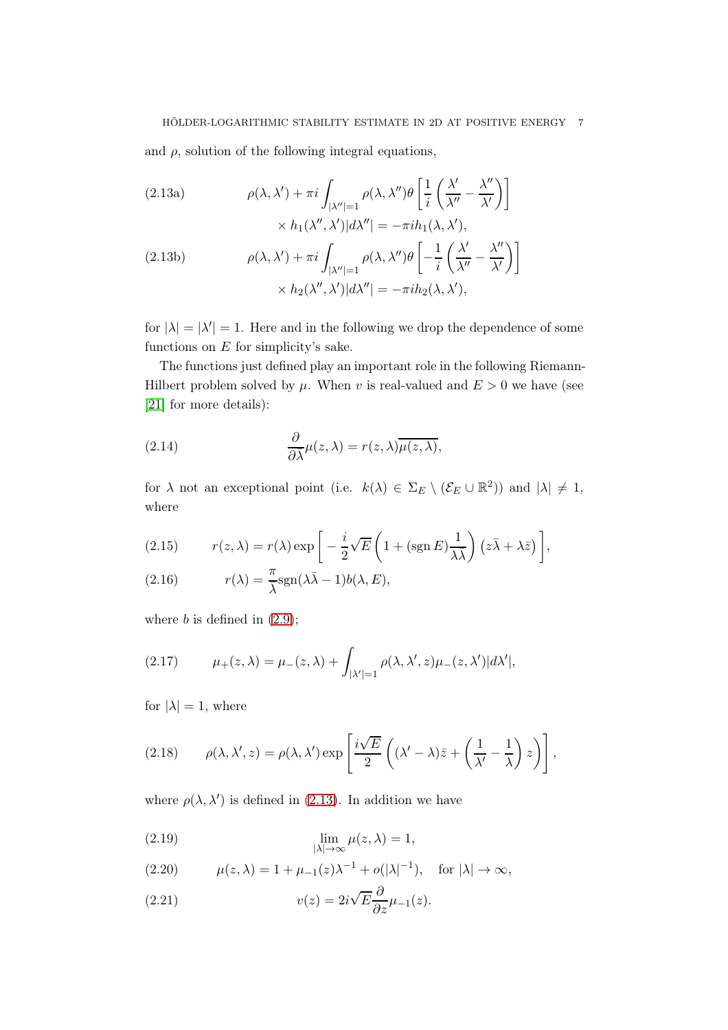<span id="page-6-0"></span>and  $\rho$ , solution of the following integral equations,

<span id="page-6-2"></span>(2.13a) 
$$
\rho(\lambda, \lambda') + \pi i \int_{|\lambda''|=1} \rho(\lambda, \lambda'') \theta \left[ \frac{1}{i} \left( \frac{\lambda'}{\lambda''} - \frac{\lambda''}{\lambda'} \right) \right] \times h_1(\lambda'', \lambda') |d\lambda''| = -\pi i h_1(\lambda, \lambda'),
$$

(2.13b) 
$$
\rho(\lambda, \lambda') + \pi i \int_{|\lambda''|=1} \rho(\lambda, \lambda'') \theta \left[ -\frac{1}{i} \left( \frac{\lambda'}{\lambda''} - \frac{\lambda''}{\lambda'} \right) \right] \times h_2(\lambda'', \lambda') |d\lambda''| = -\pi i h_2(\lambda, \lambda'),
$$

for  $|\lambda| = |\lambda'| = 1$ . Here and in the following we drop the dependence of some functions on  $E$  for simplicity's sake.

The functions just defined play an important role in the following Riemann-Hilbert problem solved by  $\mu$ . When v is real-valued and  $E > 0$  we have (see [\[21\]](#page-33-8) for more details):

<span id="page-6-3"></span>(2.14) 
$$
\frac{\partial}{\partial \overline{\lambda}} \mu(z, \lambda) = r(z, \lambda) \overline{\mu(z, \lambda)},
$$

for  $\lambda$  not an exceptional point (i.e.  $k(\lambda) \in \Sigma_E \setminus (\mathcal{E}_E \cup \mathbb{R}^2)$ ) and  $|\lambda| \neq 1$ , where

<span id="page-6-7"></span>(2.15) 
$$
r(z,\lambda) = r(\lambda) \exp\bigg[-\frac{i}{2}\sqrt{E}\bigg(1+(\text{sgn}\,E)\frac{1}{\lambda\overline{\lambda}}\bigg)(z\overline{\lambda}+\lambda\overline{z})\bigg],
$$

<span id="page-6-1"></span>(2.16) 
$$
r(\lambda) = \frac{\pi}{\overline{\lambda}} \text{sgn}(\lambda \overline{\lambda} - 1) b(\lambda, E),
$$

where  $b$  is defined in  $(2.9)$ ;

<span id="page-6-6"></span>(2.17) 
$$
\mu_+(z,\lambda) = \mu_-(z,\lambda) + \int_{|\lambda'|=1} \rho(\lambda,\lambda',z)\mu_-(z,\lambda')|d\lambda'|,
$$

for  $|\lambda| = 1$ , where

<span id="page-6-4"></span>(2.18) 
$$
\rho(\lambda, \lambda', z) = \rho(\lambda, \lambda') \exp \left[ \frac{i\sqrt{E}}{2} \left( (\lambda' - \lambda)\bar{z} + \left( \frac{1}{\lambda'} - \frac{1}{\lambda} \right) z \right) \right],
$$

where  $\rho(\lambda, \lambda')$  is defined in [\(2.13\)](#page-6-0). In addition we have

(2.19) 
$$
\lim_{|\lambda| \to \infty} \mu(z, \lambda) = 1,
$$

(2.20) 
$$
\mu(z,\lambda) = 1 + \mu_{-1}(z)\lambda^{-1} + o(|\lambda|^{-1}), \text{ for } |\lambda| \to \infty,
$$

<span id="page-6-5"></span>(2.21) 
$$
v(z) = 2i\sqrt{E}\frac{\partial}{\partial z}\mu_{-1}(z).
$$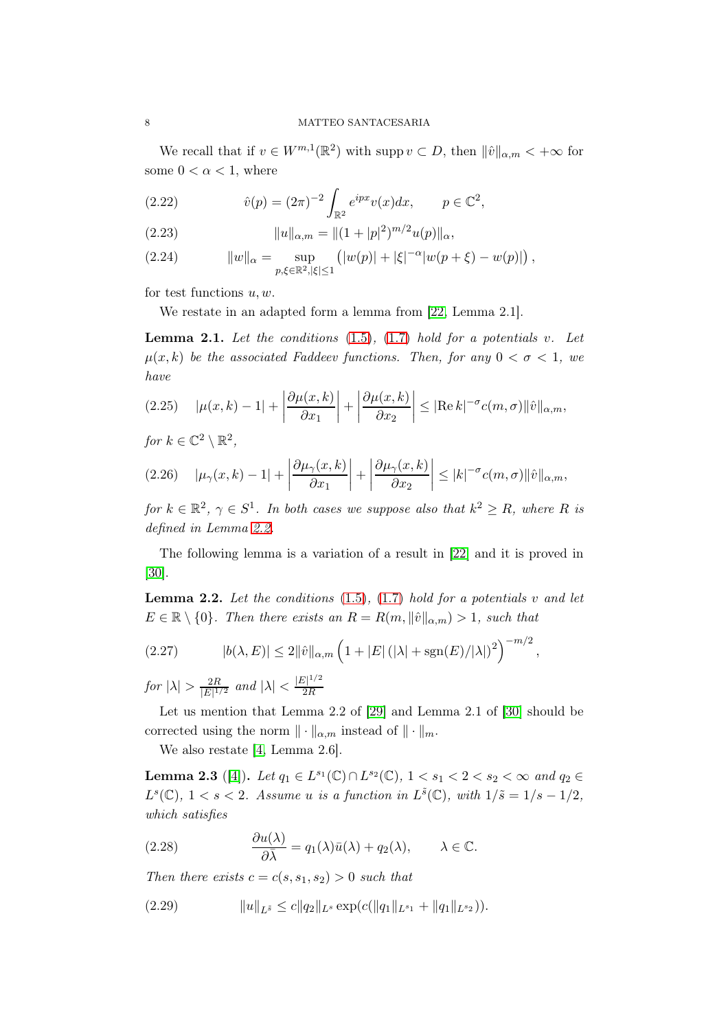We recall that if  $v \in W^{m,1}(\mathbb{R}^2)$  with supp  $v \subset D$ , then  $\|\hat{v}\|_{\alpha,m} < +\infty$  for some  $0 < \alpha < 1$ , where

(2.22) 
$$
\hat{v}(p) = (2\pi)^{-2} \int_{\mathbb{R}^2} e^{ipx} v(x) dx, \qquad p \in \mathbb{C}^2,
$$

(2.23) 
$$
||u||_{\alpha,m} = ||(1+|p|^2)^{m/2}u(p)||_{\alpha},
$$

(2.24) 
$$
||w||_{\alpha} = \sup_{p,\xi \in \mathbb{R}^2, |\xi| \le 1} (|w(p)| + |\xi|^{-\alpha} |w(p + \xi) - w(p)|),
$$

for test functions  $u, w$ .

We restate in an adapted form a lemma from [\[22,](#page-33-11) Lemma 2.1].

<span id="page-7-1"></span>**Lemma 2.1.** Let the conditions  $(1.5)$ ,  $(1.7)$  hold for a potentials v. Let  $\mu(x, k)$  be the associated Faddeev functions. Then, for any  $0 < \sigma < 1$ , we have

$$
(2.25) \quad |\mu(x,k) - 1| + \left| \frac{\partial \mu(x,k)}{\partial x_1} \right| + \left| \frac{\partial \mu(x,k)}{\partial x_2} \right| \leq |\text{Re}\,k|^{-\sigma} c(m,\sigma) ||\hat{v}||_{\alpha,m},
$$

for  $k \in \mathbb{C}^2 \setminus \mathbb{R}^2$ ,

$$
(2.26)\quad |\mu_{\gamma}(x,k)-1| + \left|\frac{\partial \mu_{\gamma}(x,k)}{\partial x_1}\right| + \left|\frac{\partial \mu_{\gamma}(x,k)}{\partial x_2}\right| \le |k|^{-\sigma} c(m,\sigma) \|\hat{v}\|_{\alpha,m},
$$

for  $k \in \mathbb{R}^2$ ,  $\gamma \in S^1$ . In both cases we suppose also that  $k^2 \geq R$ , where R is defined in Lemma [2.2.](#page-7-0)

The following lemma is a variation of a result in [\[22\]](#page-33-11) and it is proved in [\[30\]](#page-33-2).

<span id="page-7-0"></span>**Lemma 2.2.** Let the conditions  $(1.5)$ ,  $(1.7)$  hold for a potentials v and let  $E \in \mathbb{R} \setminus \{0\}$ . Then there exists an  $R = R(m, \|\hat{v}\|_{\alpha,m}) > 1$ , such that

(2.27) 
$$
|b(\lambda, E)| \le 2 \|\hat{v}\|_{\alpha, m} \left(1 + |E| \left(|\lambda| + \text{sgn}(E)/|\lambda|\right)^2\right)^{-m/2},
$$

for  $|\lambda| > \frac{2R}{|E|^{1/2}}$  and  $|\lambda| < \frac{|E|^{1/2}}{2R}$ 2R

Let us mention that Lemma 2.2 of [\[29\]](#page-33-1) and Lemma 2.1 of [\[30\]](#page-33-2) should be corrected using the norm  $\|\cdot\|_{\alpha,m}$  instead of  $\|\cdot\|_m$ .

We also restate [\[4,](#page-32-10) Lemma 2.6].

<span id="page-7-2"></span>Lemma 2.3 ([\[4\]](#page-32-10)). Let  $q_1 \in L^{s_1}(\mathbb{C}) \cap L^{s_2}(\mathbb{C}), 1 < s_1 < 2 < s_2 < \infty$  and  $q_2 \in$  $L^s(\mathbb{C})$ ,  $1 < s < 2$ . Assume u is a function in  $L^{\tilde{s}}(\mathbb{C})$ , with  $1/\tilde{s} = 1/s - 1/2$ , which satisfies

(2.28) 
$$
\frac{\partial u(\lambda)}{\partial \bar{\lambda}} = q_1(\lambda)\bar{u}(\lambda) + q_2(\lambda), \qquad \lambda \in \mathbb{C}.
$$

Then there exists  $c = c(s, s_1, s_2) > 0$  such that

$$
(2.29) \t\t ||u||_{L^{\tilde{s}}} \leq c||q_2||_{L^s}\exp(c(||q_1||_{L^{s_1}} + ||q_1||_{L^{s_2}})).
$$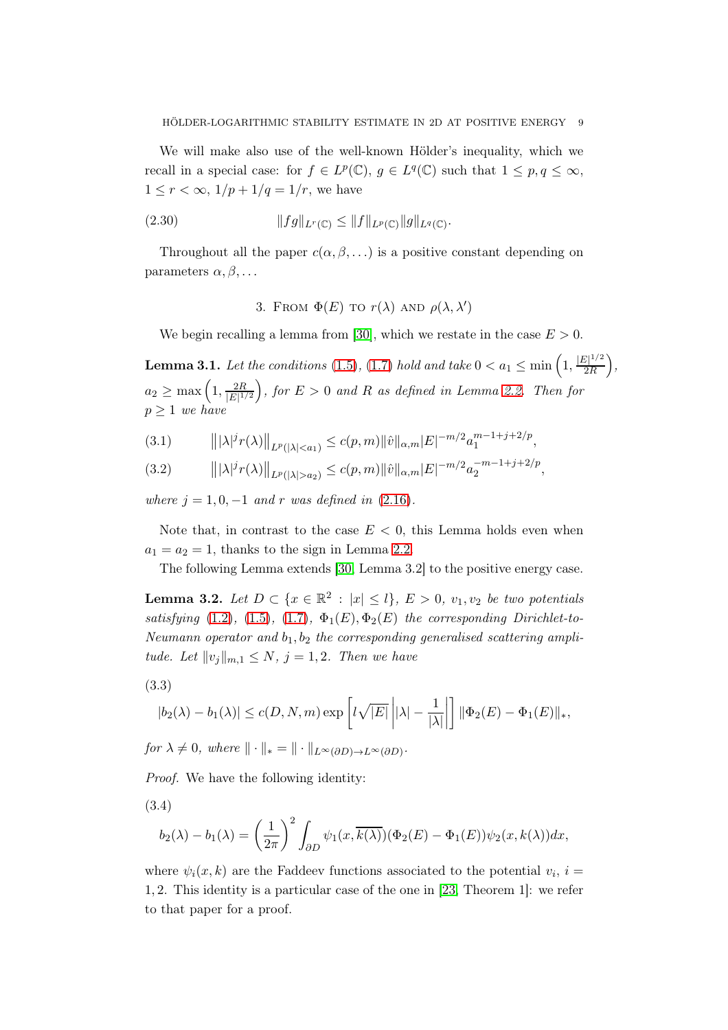We will make also use of the well-known Hölder's inequality, which we recall in a special case: for  $f \in L^p(\mathbb{C})$ ,  $g \in L^q(\mathbb{C})$  such that  $1 \leq p, q \leq \infty$ ,  $1 \le r < \infty$ ,  $1/p + 1/q = 1/r$ , we have

(2.30) 
$$
||fg||_{L^r(\mathbb{C})} \leq ||f||_{L^p(\mathbb{C})} ||g||_{L^q(\mathbb{C})}.
$$

<span id="page-8-0"></span>Throughout all the paper  $c(\alpha, \beta, \ldots)$  is a positive constant depending on parameters  $\alpha, \beta, \ldots$ 

## <span id="page-8-6"></span>3. FROM  $\Phi(E)$  to  $r(\lambda)$  and  $\rho(\lambda, \lambda')$

We begin recalling a lemma from [\[30\]](#page-33-2), which we restate in the case  $E > 0$ .

<span id="page-8-5"></span>**Lemma 3.1.** Let the conditions [\(1.5\)](#page-2-0), [\(1.7\)](#page-2-1) hold and take  $0 < a_1 \le \min\left(1, \frac{|E|^{1/2}}{2R}\right)$  $\frac{\mathbb{E} |^{1/2}}{2R} \bigg),$  $a_2 \ge \max\left(1, \frac{2R}{|E|^{1/\beta}}\right)$  $\frac{2R}{|E|^{1/2}}$ , for  $E > 0$  and R as defined in Lemma [2.2.](#page-7-0) Then for  $p > 1$  we have

<span id="page-8-2"></span>
$$
(3.1) \t\t |||\lambda|^{j} r(\lambda)\|_{L^{p}(|\lambda|
$$

<span id="page-8-3"></span>
$$
(3.2) \t\t |||\lambda|^{j} r(\lambda) ||_{L^{p}(|\lambda|>a_2)} \leq c(p,m) \|\hat{v}\|_{\alpha,m} |E|^{-m/2} a_2^{-m-1+j+2/p},
$$

where  $j = 1, 0, -1$  and r was defined in  $(2.16)$ .

Note that, in contrast to the case  $E < 0$ , this Lemma holds even when  $a_1 = a_2 = 1$ , thanks to the sign in Lemma [2.2.](#page-7-0)

The following Lemma extends [\[30,](#page-33-2) Lemma 3.2] to the positive energy case.

<span id="page-8-4"></span>**Lemma 3.2.** Let  $D \subset \{x \in \mathbb{R}^2 : |x| \leq l\}$ ,  $E > 0$ ,  $v_1, v_2$  be two potentials satisfying [\(1.2\)](#page-0-0), [\(1.5\)](#page-2-0), [\(1.7\)](#page-2-1),  $\Phi_1(E), \Phi_2(E)$  the corresponding Dirichlet-to-Neumann operator and  $b_1, b_2$  the corresponding generalised scattering amplitude. Let  $||v_j||_{m,1} \leq N$ ,  $j = 1, 2$ . Then we have

<span id="page-8-1"></span>
$$
(3.3)
$$

$$
|b_2(\lambda) - b_1(\lambda)| \le c(D, N, m) \exp\left[l\sqrt{|E|} \left| |\lambda| - \frac{1}{|\lambda|} \right| \right] \|\Phi_2(E) - \Phi_1(E)\|_*,
$$

for  $\lambda \neq 0$ , where  $\|\cdot\|_* = \|\cdot\|_{L^{\infty}(\partial D) \to L^{\infty}(\partial D)}$ .

Proof. We have the following identity:

$$
(3.4)
$$

$$
b_2(\lambda) - b_1(\lambda) = \left(\frac{1}{2\pi}\right)^2 \int_{\partial D} \psi_1(x, \overline{k(\lambda)})(\Phi_2(E) - \Phi_1(E))\psi_2(x, k(\lambda))dx,
$$

where  $\psi_i(x, k)$  are the Faddeev functions associated to the potential  $v_i$ ,  $i =$ 1, 2. This identity is a particular case of the one in [\[23,](#page-33-17) Theorem 1]: we refer to that paper for a proof.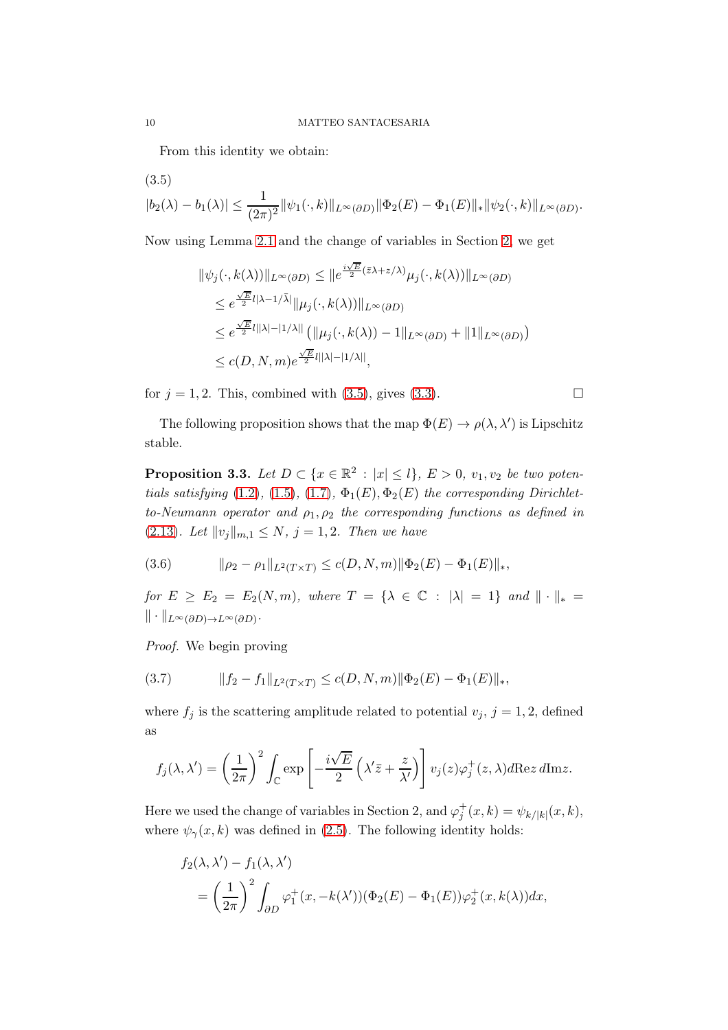From this identity we obtain:

<span id="page-9-0"></span>(3.5)  
\n
$$
|b_2(\lambda) - b_1(\lambda)| \le \frac{1}{(2\pi)^2} ||\psi_1(\cdot, k)||_{L^{\infty}(\partial D)} ||\Phi_2(E) - \Phi_1(E)||_* ||\psi_2(\cdot, k)||_{L^{\infty}(\partial D)}.
$$

Now using Lemma [2.1](#page-7-1) and the change of variables in Section [2,](#page-4-0) we get

$$
\begin{split} \|\psi_j(\cdot,k(\lambda))\|_{L^{\infty}(\partial D)} &\leq \|e^{\frac{i\sqrt{E}}{2}(\bar{z}\lambda+z/\lambda)}\mu_j(\cdot,k(\lambda))\|_{L^{\infty}(\partial D)} \\ &\leq e^{\frac{\sqrt{E}}{2}l|\lambda-1/\bar{\lambda}|}\|\mu_j(\cdot,k(\lambda))\|_{L^{\infty}(\partial D)} \\ &\leq e^{\frac{\sqrt{E}}{2}l||\lambda|-|1/\lambda||}\left(\|\mu_j(\cdot,k(\lambda))-1\|_{L^{\infty}(\partial D)}+ \|1\|_{L^{\infty}(\partial D)}\right) \\ &\leq c(D,N,m)e^{\frac{\sqrt{E}}{2}l||\lambda|-|1/\lambda|}, \end{split}
$$

for  $j = 1, 2$ . This, combined with [\(3.5\)](#page-9-0), gives [\(3.3\)](#page-8-1).

The following proposition shows that the map  $\Phi(E) \to \rho(\lambda, \lambda')$  is Lipschitz stable.

<span id="page-9-3"></span>**Proposition 3.3.** Let  $D \subset \{x \in \mathbb{R}^2 : |x| \leq l\}$ ,  $E > 0$ ,  $v_1, v_2$  be two poten-tials satisfying [\(1.2\)](#page-0-0), [\(1.5\)](#page-2-0), [\(1.7\)](#page-2-1),  $\Phi_1(E), \Phi_2(E)$  the corresponding Dirichletto-Neumann operator and  $\rho_1, \rho_2$  the corresponding functions as defined in [\(2.13\)](#page-6-0). Let  $||v_j||_{m,1} \leq N$ ,  $j = 1, 2$ . Then we have

<span id="page-9-2"></span>(3.6) 
$$
\|\rho_2 - \rho_1\|_{L^2(T \times T)} \le c(D, N, m) \|\Phi_2(E) - \Phi_1(E)\|_*,
$$

for  $E \ge E_2 = E_2(N,m)$ , where  $T = \{\lambda \in \mathbb{C} : |\lambda| = 1\}$  and  $\|\cdot\|_* =$  $\|\cdot\|_{L^{\infty}(\partial D)\to L^{\infty}(\partial D)}$ .

Proof. We begin proving

<span id="page-9-1"></span>(3.7) 
$$
||f_2 - f_1||_{L^2(T \times T)} \le c(D, N, m) ||\Phi_2(E) - \Phi_1(E)||_*,
$$

where  $f_j$  is the scattering amplitude related to potential  $v_j$ ,  $j = 1, 2$ , defined as

$$
f_j(\lambda, \lambda') = \left(\frac{1}{2\pi}\right)^2 \int_{\mathbb{C}} \exp\left[-\frac{i\sqrt{E}}{2}\left(\lambda'\bar{z} + \frac{z}{\lambda'}\right)\right] v_j(z) \varphi_j^+(z, \lambda) d\text{Re} z d\text{Im} z.
$$

Here we used the change of variables in Section 2, and  $\varphi_j^+(x, k) = \psi_{k/|k|}(x, k)$ , where  $\psi_{\gamma}(x, k)$  was defined in [\(2.5\)](#page-4-4). The following identity holds:

$$
f_2(\lambda, \lambda') - f_1(\lambda, \lambda')
$$
  
=  $\left(\frac{1}{2\pi}\right)^2 \int_{\partial D} \varphi_1^+(x, -k(\lambda'))(\Phi_2(E) - \Phi_1(E))\varphi_2^+(x, k(\lambda))dx,$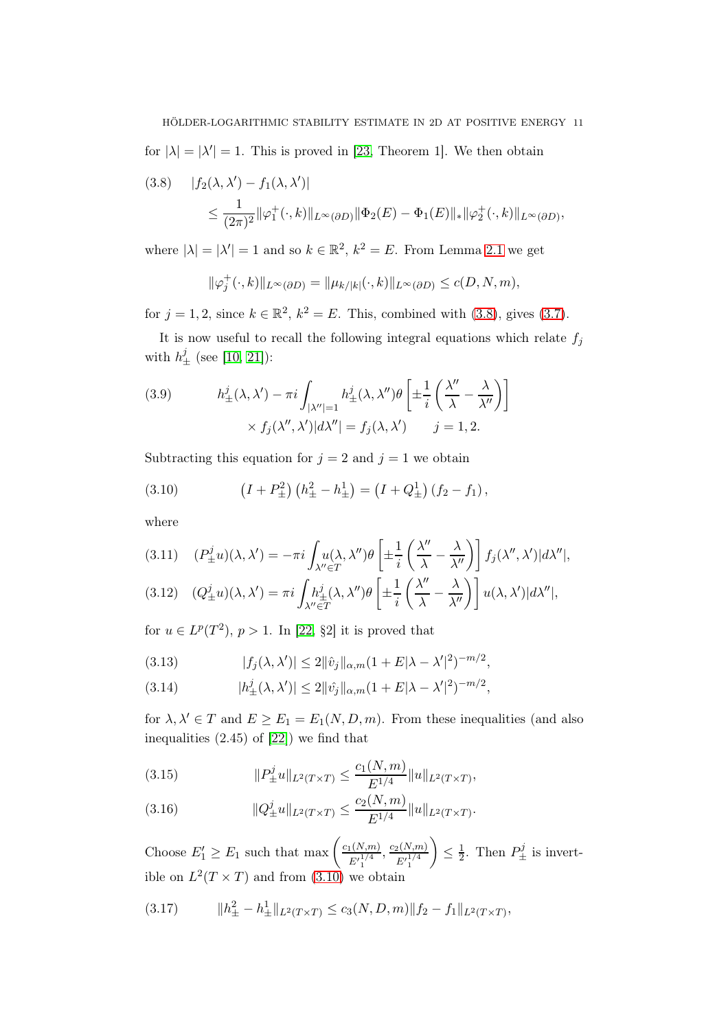for  $|\lambda| = |\lambda'| = 1$ . This is proved in [\[23,](#page-33-17) Theorem 1]. We then obtain

<span id="page-10-0"></span>
$$
(3.8) \quad |f_2(\lambda, \lambda') - f_1(\lambda, \lambda')|
$$
  
\$\leq \frac{1}{(2\pi)^2} ||\varphi\_1^+(\cdot, k)||\_{L^\infty(\partial D)} ||\Phi\_2(E) - \Phi\_1(E)||\_\* ||\varphi\_2^+(\cdot, k)||\_{L^\infty(\partial D)},\$

where  $|\lambda| = |\lambda'| = 1$  and so  $k \in \mathbb{R}^2$ ,  $k^2 = E$ . From Lemma [2.1](#page-7-1) we get

$$
\|\varphi_j^+(\cdot,k)\|_{L^\infty(\partial D)} = \|\mu_{k/|k|}(\cdot,k)\|_{L^\infty(\partial D)} \le c(D,N,m),
$$

for  $j = 1, 2$ , since  $k \in \mathbb{R}^2$ ,  $k^2 = E$ . This, combined with [\(3.8\)](#page-10-0), gives [\(3.7\)](#page-9-1).

It is now useful to recall the following integral equations which relate  $f_j$ with  $h_{\pm}^{j}$  (see [\[10,](#page-32-11) [21\]](#page-33-8)):

<span id="page-10-3"></span>(3.9) 
$$
h_{\pm}^{j}(\lambda, \lambda') - \pi i \int_{|\lambda''|=1} h_{\pm}^{j}(\lambda, \lambda'') \theta \left[ \pm \frac{1}{i} \left( \frac{\lambda''}{\lambda} - \frac{\lambda}{\lambda''} \right) \right] \times f_{j}(\lambda'', \lambda') |d\lambda''| = f_{j}(\lambda, \lambda') \qquad j = 1, 2.
$$

Subtracting this equation for  $j = 2$  and  $j = 1$  we obtain

<span id="page-10-1"></span>(3.10) 
$$
(I + P_{\pm}^2) (h_{\pm}^2 - h_{\pm}^1) = (I + Q_{\pm}^1) (f_2 - f_1),
$$

where

$$
(3.11)\quad (P_{\pm}^{j}u)(\lambda,\lambda') = -\pi i \int_{\lambda''\in T} u(\lambda,\lambda'')\theta\left[\pm\frac{1}{i}\left(\frac{\lambda''}{\lambda} - \frac{\lambda}{\lambda''}\right)\right] f_{j}(\lambda'',\lambda')|d\lambda''|,
$$

$$
(3.12) \quad (Q^j_{\pm}u)(\lambda,\lambda') = \pi i \int_{\lambda''\in T} h^j_{\pm}(\lambda,\lambda'')\theta\left[\pm\frac{1}{i}\left(\frac{\lambda''}{\lambda} - \frac{\lambda}{\lambda''}\right)\right]u(\lambda,\lambda')|d\lambda''|,
$$

for  $u \in L^p(T^2)$ ,  $p > 1$ . In [\[22,](#page-33-11) §2] it is proved that

(3.13) 
$$
|f_j(\lambda, \lambda')| \le 2 \|\hat{v}_j\|_{\alpha, m} (1 + E|\lambda - \lambda'|^2)^{-m/2},
$$

<span id="page-10-2"></span>(3.14) 
$$
|h_{\pm}^{j}(\lambda, \lambda')| \leq 2 \|\hat{v_j}\|_{\alpha, m} (1 + E|\lambda - \lambda'|^{2})^{-m/2},
$$

for  $\lambda, \lambda' \in T$  and  $E \ge E_1 = E_1(N, D, m)$ . From these inequalities (and also inequalities (2.45) of [\[22\]](#page-33-11)) we find that

(3.15) 
$$
||P_{\pm}^{j}u||_{L^{2}(T\times T)} \leq \frac{c_{1}(N,m)}{E^{1/4}}||u||_{L^{2}(T\times T)},
$$

(3.16) 
$$
\|Q_{\pm}^{j}u\|_{L^{2}(T\times T)} \leq \frac{c_{2}(N,m)}{E^{1/4}}\|u\|_{L^{2}(T\times T)}.
$$

Choose  $E'_1 \ge E_1$  such that max  $\left(\frac{c_1(N,m)}{E'^{1/4}}\right)$  $\frac{c_2(N,m)}{E{'}_1^{1/4}}, \frac{c_2(N,m)}{E{'}_1^{1/4}}$  ${E^\prime}_1^{1/4}$  $\setminus$  $\leq \frac{1}{2}$  $\frac{1}{2}$ . Then  $P_{\pm}^{j}$  is invertible on  $L^2(T \times T)$  and from  $(3.10)$  we obtain

<span id="page-10-4"></span>
$$
(3.17) \t\t\t ||h_{\pm}^2 - h_{\pm}^1||_{L^2(T \times T)} \le c_3(N, D, m) ||f_2 - f_1||_{L^2(T \times T)},
$$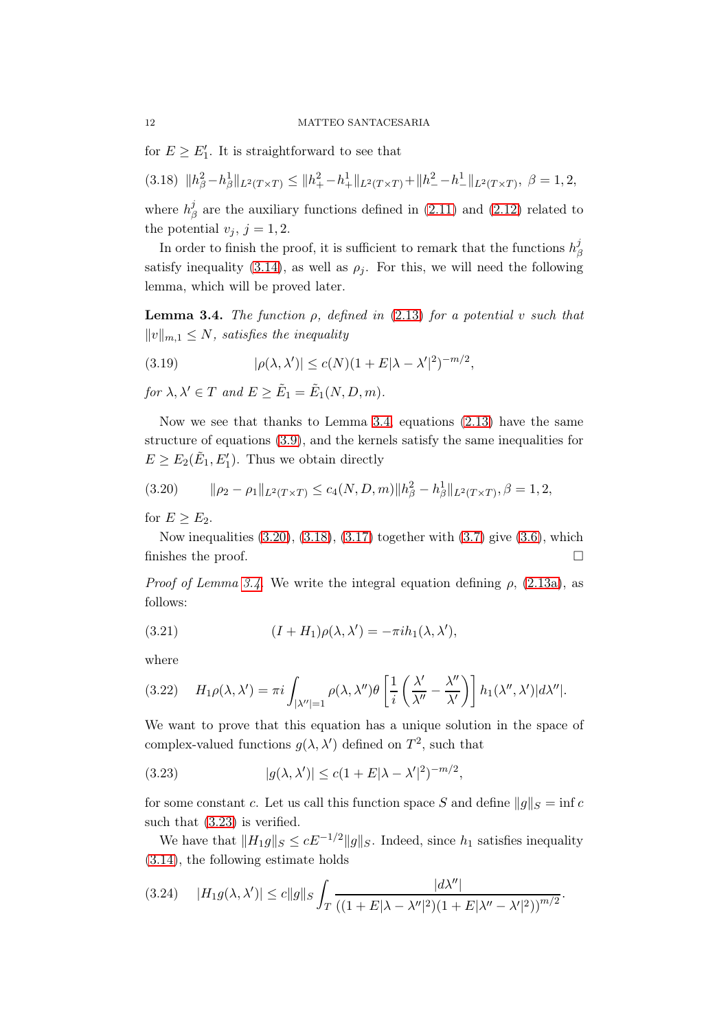for  $E \geq E'_1$ . It is straightforward to see that

<span id="page-11-2"></span>
$$
(3.18)\ \||h_{\beta}^2 - h_{\beta}^1||_{L^2(T \times T)} \le ||h_{+}^2 - h_{+}^1||_{L^2(T \times T)} + ||h_{-}^2 - h_{-}^1||_{L^2(T \times T)},\ \beta = 1,2,
$$

where  $h_{\ell}^{j}$  $\beta$  are the auxiliary functions defined in [\(2.11\)](#page-5-2) and [\(2.12\)](#page-5-3) related to the potential  $v_j, j = 1, 2$ .

In order to finish the proof, it is sufficient to remark that the functions  $h^j_\beta$ β satisfy inequality [\(3.14\)](#page-10-2), as well as  $\rho_j$ . For this, we will need the following lemma, which will be proved later.

<span id="page-11-0"></span>**Lemma 3.4.** The function  $\rho$ , defined in [\(2.13\)](#page-6-0) for a potential v such that  $||v||_{m,1} \leq N$ , satisfies the inequality

(3.19) 
$$
|\rho(\lambda, \lambda')| \le c(N)(1 + E|\lambda - \lambda'|^2)^{-m/2},
$$

for  $\lambda, \lambda' \in T$  and  $E \ge \tilde{E}_1 = \tilde{E}_1(N, D, m)$ .

Now we see that thanks to Lemma [3.4,](#page-11-0) equations [\(2.13\)](#page-6-0) have the same structure of equations [\(3.9\)](#page-10-3), and the kernels satisfy the same inequalities for  $E \ge E_2(\tilde{E}_1, E'_1)$ . Thus we obtain directly

<span id="page-11-1"></span>
$$
(3.20) \t\t ||\rho_2 - \rho_1||_{L^2(T \times T)} \le c_4(N, D, m) ||h_\beta^2 - h_\beta^1||_{L^2(T \times T)}, \beta = 1, 2,
$$

for  $E > E_2$ .

Now inequalities [\(3.20\)](#page-11-1), [\(3.18\)](#page-11-2), [\(3.17\)](#page-10-4) together with [\(3.7\)](#page-9-1) give [\(3.6\)](#page-9-2), which finishes the proof.  $\Box$ 

*Proof of Lemma [3.4.](#page-11-0)* We write the integral equation defining  $\rho$ , [\(2.13a\)](#page-6-2), as follows:

<span id="page-11-4"></span>(3.21) 
$$
(I + H_1)\rho(\lambda, \lambda') = -\pi i h_1(\lambda, \lambda'),
$$

where

$$
(3.22) \quad H_1 \rho(\lambda, \lambda') = \pi i \int_{|\lambda''|=1} \rho(\lambda, \lambda'') \theta \left[ \frac{1}{i} \left( \frac{\lambda'}{\lambda''} - \frac{\lambda''}{\lambda'} \right) \right] h_1(\lambda'', \lambda') |d\lambda''|.
$$

We want to prove that this equation has a unique solution in the space of complex-valued functions  $g(\lambda, \lambda')$  defined on  $T^2$ , such that

<span id="page-11-3"></span>(3.23) 
$$
|g(\lambda, \lambda')| \le c(1 + E|\lambda - \lambda'|^2)^{-m/2},
$$

for some constant c. Let us call this function space S and define  $||g||_S = \inf c$ such that [\(3.23\)](#page-11-3) is verified.

We have that  $||H_1g||_S \le cE^{-1/2}||g||_S$ . Indeed, since  $h_1$  satisfies inequality [\(3.14\)](#page-10-2), the following estimate holds

$$
(3.24) \quad |H_1 g(\lambda, \lambda')| \le c \|g\|_S \int_T \frac{|d\lambda''|}{((1+E|\lambda-\lambda''|^2)(1+E|\lambda''-\lambda'|^2))^{m/2}}.
$$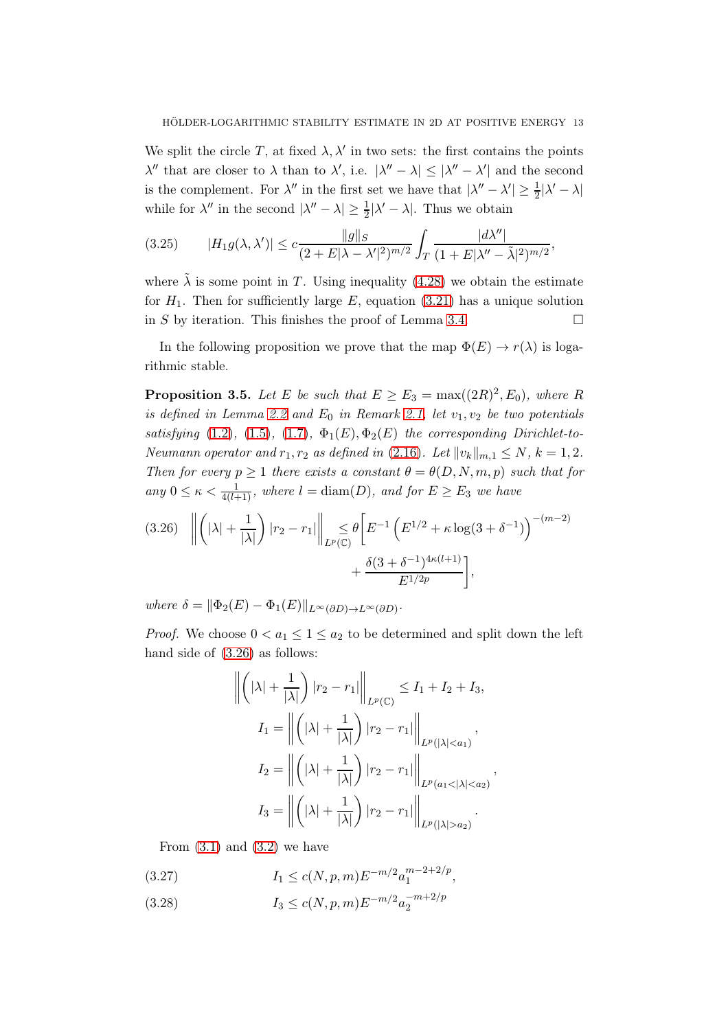We split the circle T, at fixed  $\lambda$ ,  $\lambda'$  in two sets: the first contains the points  $\lambda''$  that are closer to  $\lambda$  than to  $\lambda'$ , i.e.  $|\lambda'' - \lambda| \leq |\lambda'' - \lambda'|$  and the second is the complement. For  $\lambda''$  in the first set we have that  $|\lambda'' - \lambda'| \ge \frac{1}{2} |\lambda' - \lambda|$ while for  $\lambda''$  in the second  $|\lambda'' - \lambda| \geq \frac{1}{2} |\lambda' - \lambda|$ . Thus we obtain

(3.25) 
$$
|H_1 g(\lambda, \lambda')| \le c \frac{\|g\|_S}{(2 + E|\lambda - \lambda'|^2)^{m/2}} \int_T \frac{|d\lambda''|}{(1 + E|\lambda'' - \tilde{\lambda}|^2)^{m/2}},
$$

where  $\lambda$  is some point in T. Using inequality [\(4.28\)](#page-17-0) we obtain the estimate for  $H_1$ . Then for sufficiently large E, equation [\(3.21\)](#page-11-4) has a unique solution in S by iteration. This finishes the proof of Lemma [3.4.](#page-11-0)

In the following proposition we prove that the map  $\Phi(E) \to r(\lambda)$  is logarithmic stable.

<span id="page-12-2"></span>**Proposition 3.5.** Let E be such that  $E \ge E_3 = \max((2R)^2, E_0)$ , where R is defined in Lemma [2.2](#page-7-0) and  $E_0$  in Remark [2.1,](#page-5-0) let  $v_1, v_2$  be two potentials satisfying [\(1.2\)](#page-0-0), [\(1.5\)](#page-2-0), [\(1.7\)](#page-2-1),  $\Phi_1(E), \Phi_2(E)$  the corresponding Dirichlet-to-Neumann operator and  $r_1, r_2$  as defined in [\(2.16\)](#page-6-1). Let  $||v_k||_{m,1} \leq N, k = 1, 2$ . Then for every  $p \geq 1$  there exists a constant  $\theta = \theta(D, N, m, p)$  such that for any  $0 \leq \kappa < \frac{1}{4(l+1)}$ , where  $l = \text{diam}(D)$ , and for  $E \geq E_3$  we have

<span id="page-12-0"></span>
$$
(3.26) \quad \left\| \left( |\lambda| + \frac{1}{|\lambda|} \right) |r_2 - r_1| \right\|_{L^p(\mathbb{C})} \leq \theta \left[ E^{-1} \left( E^{1/2} + \kappa \log(3 + \delta^{-1}) \right)^{-(m-2)} + \frac{\delta(3 + \delta^{-1})^{4\kappa(l+1)}}{E^{1/2p}} \right],
$$

where  $\delta = ||\Phi_2(E) - \Phi_1(E)||_{L^\infty(\partial D) \to L^\infty(\partial D)}$ .

*Proof.* We choose  $0 < a_1 \leq 1 \leq a_2$  to be determined and split down the left hand side of [\(3.26\)](#page-12-0) as follows:

$$
\left\| \left( |\lambda| + \frac{1}{|\lambda|} \right) |r_2 - r_1| \right\|_{L^p(\mathbb{C})} \le I_1 + I_2 + I_3,
$$
  
\n
$$
I_1 = \left\| \left( |\lambda| + \frac{1}{|\lambda|} \right) |r_2 - r_1| \right\|_{L^p(|\lambda| < a_1)},
$$
  
\n
$$
I_2 = \left\| \left( |\lambda| + \frac{1}{|\lambda|} \right) |r_2 - r_1| \right\|_{L^p(a_1 < |\lambda| < a_2)},
$$
  
\n
$$
I_3 = \left\| \left( |\lambda| + \frac{1}{|\lambda|} \right) |r_2 - r_1| \right\|_{L^p(|\lambda| > a_2)}.
$$

From  $(3.1)$  and  $(3.2)$  we have

<span id="page-12-1"></span>(3.27)  $I_1 \le c(N, p, m) E^{-m/2} a_1^{m-2+2/p},$ 

$$
(3.28) \t I_3 \le c(N, p, m) E^{-m/2} a_2^{-m+2/p}
$$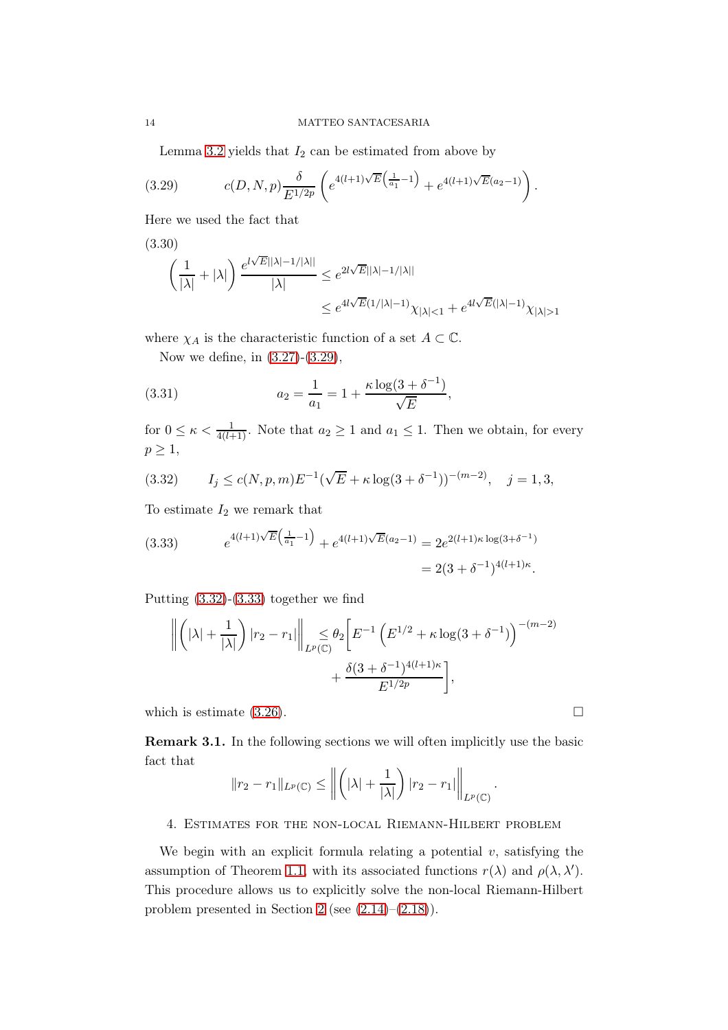Lemma [3.2](#page-8-4) yields that  $I_2$  can be estimated from above by

<span id="page-13-1"></span>(3.29) 
$$
c(D, N, p) \frac{\delta}{E^{1/2p}} \left( e^{4(l+1)\sqrt{E} \left( \frac{1}{a_1} - 1 \right)} + e^{4(l+1)\sqrt{E}(a_2 - 1)} \right).
$$

Here we used the fact that

<span id="page-13-4"></span>(3.30)  
\n
$$
\left(\frac{1}{|\lambda|} + |\lambda|\right) \frac{e^{i\sqrt{E}||\lambda|-1/|\lambda||}}{|\lambda|} \le e^{2i\sqrt{E}||\lambda|-1/|\lambda||}
$$
\n
$$
\le e^{4i\sqrt{E}(1/|\lambda|-1)} \chi_{|\lambda|<1} + e^{4i\sqrt{E}(|\lambda|-1)} \chi_{|\lambda|>1}
$$

where  $\chi_A$  is the characteristic function of a set  $A \subset \mathbb{C}$ .

Now we define, in [\(3.27\)](#page-12-1)-[\(3.29\)](#page-13-1),

(3.31) 
$$
a_2 = \frac{1}{a_1} = 1 + \frac{\kappa \log(3 + \delta^{-1})}{\sqrt{E}},
$$

for  $0 \leq \kappa < \frac{1}{4(l+1)}$ . Note that  $a_2 \geq 1$  and  $a_1 \leq 1$ . Then we obtain, for every  $p > 1$ ,

<span id="page-13-2"></span>(3.32) 
$$
I_j \le c(N, p, m) E^{-1} (\sqrt{E} + \kappa \log(3 + \delta^{-1}))^{-(m-2)}, \quad j = 1, 3,
$$

To estimate  $I_2$  we remark that

<span id="page-13-3"></span>(3.33) 
$$
e^{4(l+1)\sqrt{E}(\frac{1}{a_1}-1)} + e^{4(l+1)\sqrt{E}(a_2-1)} = 2e^{2(l+1)\kappa \log(3+\delta^{-1})} = 2(3+\delta^{-1})^{4(l+1)\kappa}.
$$

Putting [\(3.32\)](#page-13-2)-[\(3.33\)](#page-13-3) together we find

$$
\left\| \left( |\lambda| + \frac{1}{|\lambda|} \right) |r_2 - r_1| \right\|_{L^p(\mathbb{C})} \leq \theta_2 \left[ E^{-1} \left( E^{1/2} + \kappa \log(3 + \delta^{-1}) \right)^{-(m-2)} + \frac{\delta(3 + \delta^{-1})^{4(l+1)\kappa}}{E^{1/2p}} \right],
$$

which is estimate [\(3.26\)](#page-12-0).

Remark 3.1. In the following sections we will often implicitly use the basic fact that  $\overline{1}$ 

$$
||r_2 - r_1||_{L^p(\mathbb{C})} \le ||\left(|\lambda| + \frac{1}{|\lambda|}\right)|r_2 - r_1||\Big|_{L^p(\mathbb{C})}.
$$

### <span id="page-13-0"></span>4. Estimates for the non-local Riemann-Hilbert problem

We begin with an explicit formula relating a potential  $v$ , satisfying the assumption of Theorem [1.1,](#page-2-3) with its associated functions  $r(\lambda)$  and  $\rho(\lambda, \lambda')$ . This procedure allows us to explicitly solve the non-local Riemann-Hilbert problem presented in Section [2](#page-4-0) (see [\(2.14\)](#page-6-3)–[\(2.18\)](#page-6-4)).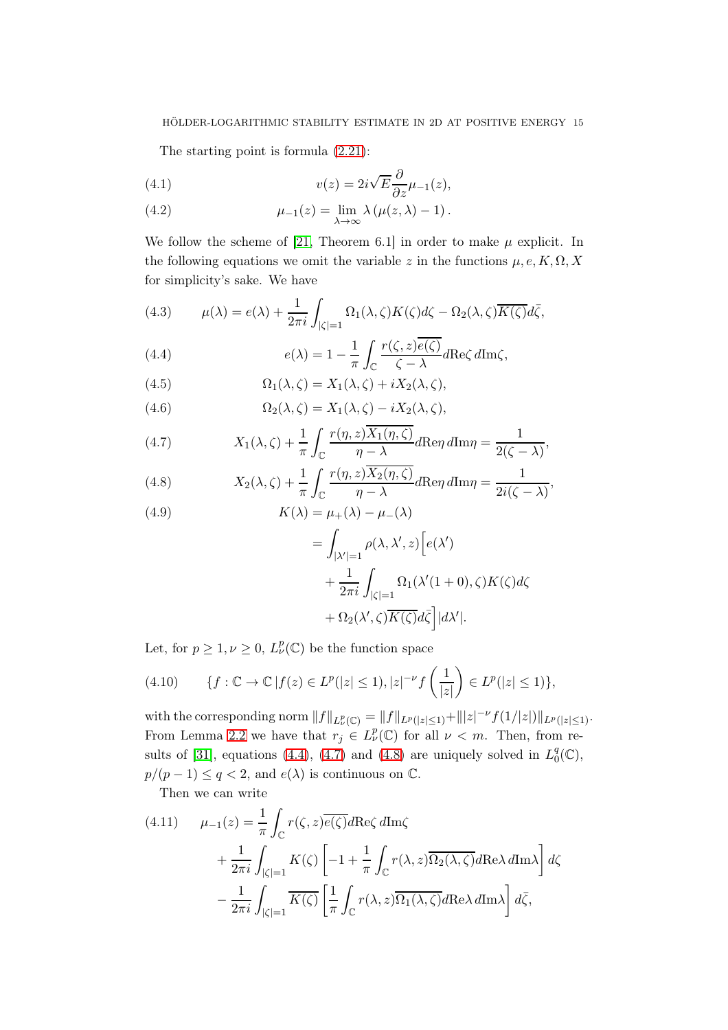The starting point is formula [\(2.21\)](#page-6-5):

<span id="page-14-4"></span>(4.1) 
$$
v(z) = 2i\sqrt{E} \frac{\partial}{\partial z} \mu_{-1}(z),
$$

<span id="page-14-3"></span>(4.2) 
$$
\mu_{-1}(z) = \lim_{\lambda \to \infty} \lambda (\mu(z, \lambda) - 1).
$$

We follow the scheme of [\[21,](#page-33-8) Theorem 6.1] in order to make  $\mu$  explicit. In the following equations we omit the variable z in the functions  $\mu$ ,  $e$ ,  $K$ ,  $\Omega$ ,  $X$ for simplicity's sake. We have

(4.3) 
$$
\mu(\lambda) = e(\lambda) + \frac{1}{2\pi i} \int_{|\zeta|=1} \Omega_1(\lambda, \zeta) K(\zeta) d\zeta - \Omega_2(\lambda, \zeta) \overline{K(\zeta)} d\bar{\zeta},
$$

<span id="page-14-0"></span>(4.4) 
$$
e(\lambda) = 1 - \frac{1}{\pi} \int_{\mathbb{C}} \frac{r(\zeta, z) e(\zeta)}{\zeta - \lambda} d\mathbb{R} e \zeta d\mathbb{I} m \zeta,
$$

(4.5) 
$$
\Omega_1(\lambda,\zeta) = X_1(\lambda,\zeta) + iX_2(\lambda,\zeta),
$$

(4.6) 
$$
\Omega_2(\lambda,\zeta) = X_1(\lambda,\zeta) - iX_2(\lambda,\zeta),
$$

<span id="page-14-1"></span>(4.7) 
$$
X_1(\lambda,\zeta) + \frac{1}{\pi} \int_{\mathbb{C}} \frac{r(\eta,z)X_1(\eta,\zeta)}{\eta-\lambda} d\text{Re}\eta d\text{Im}\eta = \frac{1}{2(\zeta-\lambda)},
$$

<span id="page-14-2"></span>(4.8) 
$$
X_2(\lambda,\zeta) + \frac{1}{\pi} \int_{\mathbb{C}} \frac{r(\eta,z)X_2(\eta,\zeta)}{\eta-\lambda}d\text{Re}\eta \,d\text{Im}\eta = \frac{1}{2i(\zeta-\lambda)},
$$

<span id="page-14-6"></span>(4.9) 
$$
K(\lambda) = \mu_{+}(\lambda) - \mu_{-}(\lambda)
$$

$$
= \int_{|\lambda'|=1} \rho(\lambda, \lambda', z) \Big[ e(\lambda')
$$
  
+ 
$$
\frac{1}{2\pi i} \int_{|\zeta|=1} \Omega_1(\lambda'(1+0), \zeta) K(\zeta) d\zeta
$$
  
+ 
$$
\Omega_2(\lambda', \zeta) \overline{K(\zeta)} d\overline{\zeta} \Big] |d\lambda'|.
$$

Let, for  $p \geq 1, \nu \geq 0$ ,  $L^p_\nu(\mathbb{C})$  be the function space

<span id="page-14-7"></span>
$$
(4.10) \qquad \{f: \mathbb{C} \to \mathbb{C} \, | \, f(z) \in L^p(|z| \le 1), |z|^{-\nu} f\left(\frac{1}{|z|}\right) \in L^p(|z| \le 1)\},\
$$

with the corresponding norm  $||f||_{L^p_\nu(\mathbb{C})} = ||f||_{L^p(|z|\leq 1)} + |||z|^{-\nu} f(1/|z|)||_{L^p(|z|\leq 1)}$ . From Lemma [2.2](#page-7-0) we have that  $r_j \in L^p_\nu(\mathbb{C})$  for all  $\nu < m$ . Then, from re-sults of [\[31\]](#page-33-18), equations [\(4.4\)](#page-14-0), [\(4.7\)](#page-14-1) and [\(4.8\)](#page-14-2) are uniquely solved in  $L_0^q$  $_{0}^{q}(\mathbb{C}),$  $p/(p-1) \leq q < 2$ , and  $e(\lambda)$  is continuous on  $\mathbb{C}$ .

Then we can write

<span id="page-14-5"></span>(4.11) 
$$
\mu_{-1}(z) = \frac{1}{\pi} \int_{\mathbb{C}} r(\zeta, z) \overline{e(\zeta)} d\text{Re}\zeta d\text{Im}\zeta
$$

$$
+ \frac{1}{2\pi i} \int_{|\zeta|=1} K(\zeta) \left[ -1 + \frac{1}{\pi} \int_{\mathbb{C}} r(\lambda, z) \overline{\Omega_{2}(\lambda, \zeta)} d\text{Re}\lambda d\text{Im}\lambda \right] d\zeta
$$

$$
- \frac{1}{2\pi i} \int_{|\zeta|=1} \overline{K(\zeta)} \left[ \frac{1}{\pi} \int_{\mathbb{C}} r(\lambda, z) \overline{\Omega_{1}(\lambda, \zeta)} d\text{Re}\lambda d\text{Im}\lambda \right] d\bar{\zeta},
$$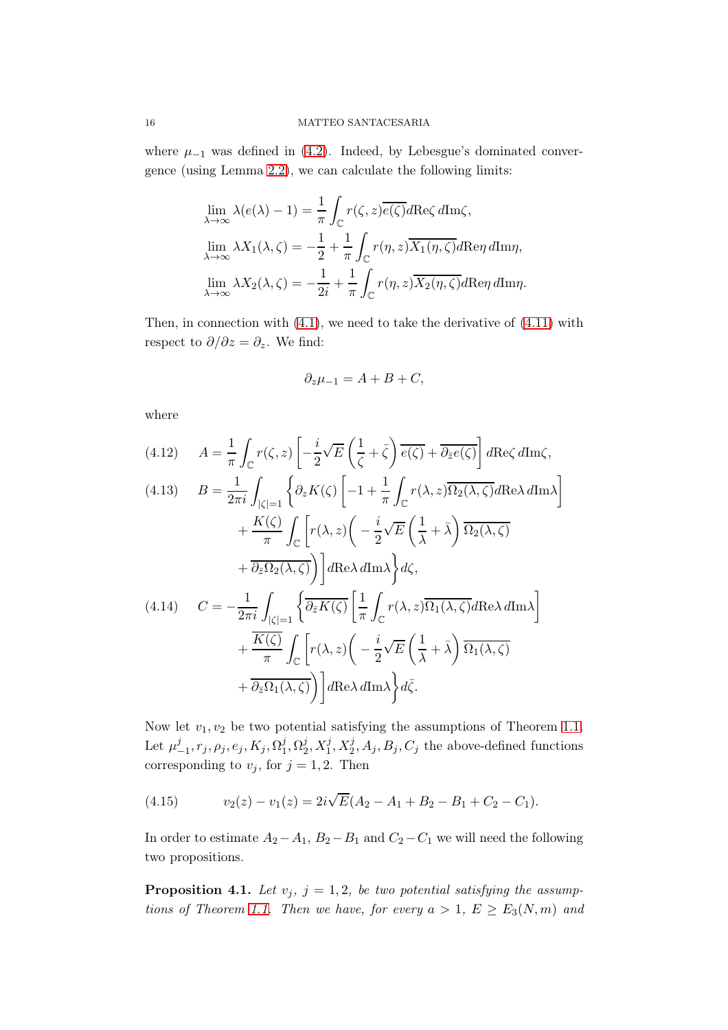where  $\mu_{-1}$  was defined in [\(4.2\)](#page-14-3). Indeed, by Lebesgue's dominated convergence (using Lemma [2.2\)](#page-7-0), we can calculate the following limits:

$$
\lim_{\lambda \to \infty} \lambda(e(\lambda) - 1) = \frac{1}{\pi} \int_{\mathbb{C}} r(\zeta, z) \overline{e(\zeta)} d\text{Re}\zeta d\text{Im}\zeta,
$$
  

$$
\lim_{\lambda \to \infty} \lambda X_1(\lambda, \zeta) = -\frac{1}{2} + \frac{1}{\pi} \int_{\mathbb{C}} r(\eta, z) \overline{X_1(\eta, \zeta)} d\text{Re}\eta d\text{Im}\eta,
$$
  

$$
\lim_{\lambda \to \infty} \lambda X_2(\lambda, \zeta) = -\frac{1}{2i} + \frac{1}{\pi} \int_{\mathbb{C}} r(\eta, z) \overline{X_2(\eta, \zeta)} d\text{Re}\eta d\text{Im}\eta.
$$

Then, in connection with  $(4.1)$ , we need to take the derivative of  $(4.11)$  with respect to  $\partial/\partial z = \partial_z$ . We find:

$$
\partial_z \mu_{-1} = A + B + C,
$$

where

(4.12) 
$$
A = \frac{1}{\pi} \int_{\mathbb{C}} r(\zeta, z) \left[ -\frac{i}{2} \sqrt{E} \left( \frac{1}{\zeta} + \bar{\zeta} \right) \overline{e(\zeta)} + \overline{\partial_{\bar{z}} e(\zeta)} \right] d\text{Re}\zeta d\text{Im}\zeta,
$$

1

(4.13) 
$$
B = \frac{1}{2\pi i} \int_{|\zeta|=1} \left\{ \partial_z K(\zeta) \left[ -1 + \frac{1}{\pi} \int_{\mathbb{C}} r(\lambda, z) \overline{\Omega_2(\lambda, \zeta)} d\mathrm{Re} \lambda d\mathrm{Im} \lambda \right] + \frac{K(\zeta)}{\pi} \int_{\mathbb{C}} \left[ r(\lambda, z) \left( -\frac{i}{2} \sqrt{E} \left( \frac{1}{\lambda} + \overline{\lambda} \right) \overline{\Omega_2(\lambda, \zeta)} \right) + \overline{\partial_z \Omega_2(\lambda, \zeta)} \right] d\mathrm{Re} \lambda d\mathrm{Im} \lambda \right\} d\zeta,
$$

(4.14) 
$$
C = -\frac{1}{2\pi i} \int_{|\zeta|=1} \left\{ \overline{\partial_{\bar{z}} K(\zeta)} \left[ \frac{1}{\pi} \int_{\mathbb{C}} r(\lambda, z) \overline{\Omega_1(\lambda, \zeta)} d \text{Re}\lambda d \text{Im}\lambda \right] + \frac{\overline{K(\zeta)}}{\pi} \int_{\mathbb{C}} \left[ r(\lambda, z) \left( -\frac{i}{2} \sqrt{E} \left( \frac{1}{\lambda} + \overline{\lambda} \right) \overline{\Omega_1(\lambda, \zeta)} + \overline{\partial_{\bar{z}} \Omega_1(\lambda, \zeta)} \right) \right] d \text{Re}\lambda d \text{Im}\lambda \right\} d\bar{\zeta}.
$$

Now let  $v_1, v_2$  be two potential satisfying the assumptions of Theorem [1.1.](#page-2-3) Let  $\mu^j_ _{-1}^j,r_j,\rho_j,e_j,K_j,\Omega_1^j$  $_{1}^{j},\Omega_{2}^{j}$  $\frac{j}{2}, X_1^j, X_2^j, A_j, B_j, C_j$  the above-defined functions corresponding to  $v_j$ , for  $j = 1, 2$ . Then

<span id="page-15-1"></span>(4.15) 
$$
v_2(z) - v_1(z) = 2i\sqrt{E}(A_2 - A_1 + B_2 - B_1 + C_2 - C_1).
$$

In order to estimate  $A_2 - A_1$ ,  $B_2 - B_1$  and  $C_2 - C_1$  we will need the following two propositions.

<span id="page-15-0"></span>**Proposition 4.1.** Let  $v_j$ ,  $j = 1, 2$ , be two potential satisfying the assump-tions of Theorem [1.1.](#page-2-3) Then we have, for every  $a > 1$ ,  $E \ge E_3(N,m)$  and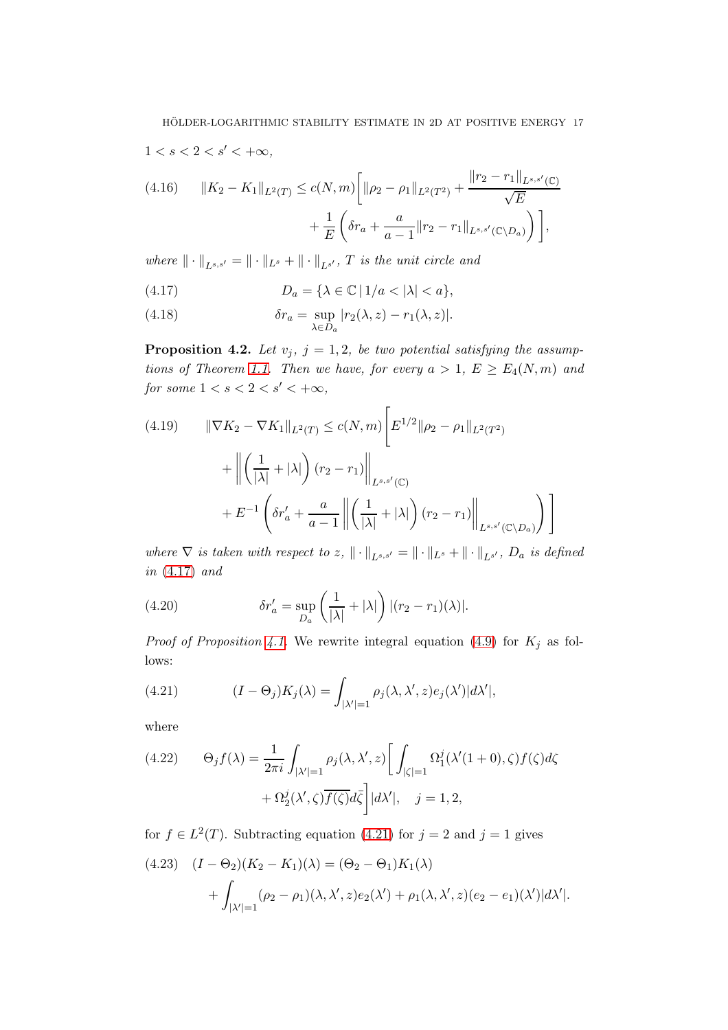$$
1 < s < 2 < s' < +\infty
$$

$$
(4.16) \t||K_2 - K_1||_{L^2(T)} \le c(N, m) \Big[ ||\rho_2 - \rho_1||_{L^2(T^2)} + \frac{||r_2 - r_1||_{L^{s,s'}(\mathbb{C})}}{\sqrt{E}} + \frac{1}{E} \left( \delta r_a + \frac{a}{a-1} ||r_2 - r_1||_{L^{s,s'}(\mathbb{C} \setminus D_a)} \right) \Big],
$$

where  $\|\cdot\|_{L^{s,s'}} = \|\cdot\|_{L^s} + \|\cdot\|_{L^{s'}}$ , T is the unit circle and

<span id="page-16-0"></span>(4.17) 
$$
D_a = \{ \lambda \in \mathbb{C} \mid 1/a < |\lambda| < a \},
$$

(4.18) 
$$
\delta r_a = \sup_{\lambda \in D_a} |r_2(\lambda, z) - r_1(\lambda, z)|.
$$

<span id="page-16-3"></span>**Proposition 4.2.** Let  $v_j$ ,  $j = 1, 2$ , be two potential satisfying the assump-tions of Theorem [1.1.](#page-2-3) Then we have, for every  $a > 1$ ,  $E \ge E_4(N,m)$  and for some  $1 < s < 2 < s' < +\infty$ ,

(4.19) 
$$
\|\nabla K_2 - \nabla K_1\|_{L^2(T)} \le c(N, m) \left[E^{1/2} \| \rho_2 - \rho_1 \|_{L^2(T^2)} + \left\| \left(\frac{1}{|\lambda|} + |\lambda| \right) (r_2 - r_1) \right\|_{L^{s,s'}(\mathbb{C})} + E^{-1} \left( \delta r_a' + \frac{a}{a-1} \left\| \left(\frac{1}{|\lambda|} + |\lambda| \right) (r_2 - r_1) \right\|_{L^{s,s'}(\mathbb{C} \setminus D_a)} \right) \right]
$$

where  $\nabla$  is taken with respect to z,  $\|\cdot\|_{L^{s,s'}} = \|\cdot\|_{L^{s}} + \|\cdot\|_{L^{s'}}, D_a$  is defined in [\(4.17\)](#page-16-0) and

(4.20) 
$$
\delta r_a' = \sup_{D_a} \left( \frac{1}{|\lambda|} + |\lambda| \right) |(r_2 - r_1)(\lambda)|.
$$

*Proof of Proposition [4.1.](#page-15-0)* We rewrite integral equation [\(4.9\)](#page-14-6) for  $K_j$  as follows:

<span id="page-16-1"></span>(4.21) 
$$
(I - \Theta_j)K_j(\lambda) = \int_{|\lambda'|=1} \rho_j(\lambda, \lambda', z) e_j(\lambda') |d\lambda'|,
$$

where

(4.22) 
$$
\Theta_j f(\lambda) = \frac{1}{2\pi i} \int_{|\lambda'|=1} \rho_j(\lambda, \lambda', z) \left[ \int_{|\zeta|=1} \Omega_1^j(\lambda'(1+0), \zeta) f(\zeta) d\zeta + \Omega_2^j(\lambda', \zeta) \overline{f(\zeta)} d\bar{\zeta} \right] |d\lambda'|, \quad j = 1, 2,
$$

for  $f \in L^2(T)$ . Subtracting equation [\(4.21\)](#page-16-1) for  $j = 2$  and  $j = 1$  gives

<span id="page-16-2"></span>(4.23) 
$$
(I - \Theta_2)(K_2 - K_1)(\lambda) = (\Theta_2 - \Theta_1)K_1(\lambda)
$$

$$
+ \int_{|\lambda'|=1} (\rho_2 - \rho_1)(\lambda, \lambda', z)e_2(\lambda') + \rho_1(\lambda, \lambda', z)(e_2 - e_1)(\lambda')|d\lambda'|.
$$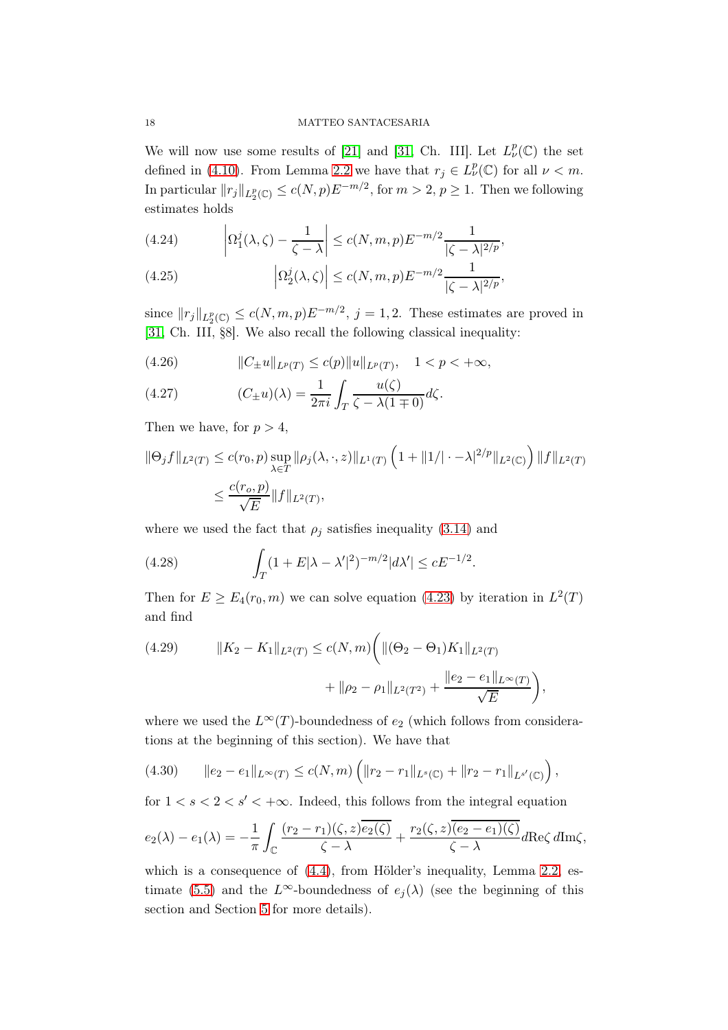We will now use some results of [\[21\]](#page-33-8) and [\[31,](#page-33-18) Ch. III]. Let  $L^p_\nu(\mathbb{C})$  the set defined in [\(4.10\)](#page-14-7). From Lemma [2.2](#page-7-0) we have that  $r_j \in L^p_\nu(\mathbb{C})$  for all  $\nu < m$ . In particular  $||r_j||_{L_2^p(\mathbb{C})} \le c(N, p)E^{-m/2}$ , for  $m > 2, p \ge 1$ . Then we following estimates holds

<span id="page-17-2"></span>(4.24) 
$$
\left|\Omega_1^j(\lambda,\zeta)-\frac{1}{\zeta-\lambda}\right| \le c(N,m,p)E^{-m/2}\frac{1}{|\zeta-\lambda|^{2/p}},
$$

<span id="page-17-3"></span>(4.25) 
$$
\left|\Omega_2^j(\lambda,\zeta)\right| \le c(N,m,p)E^{-m/2}\frac{1}{|\zeta-\lambda|^{2/p}},
$$

since  $||r_j||_{L_2^p(\mathbb{C})} \le c(N,m,p)E^{-m/2}, j=1,2$ . These estimates are proved in [\[31,](#page-33-18) Ch. III, §8]. We also recall the following classical inequality:

(4.26) 
$$
||C_{\pm}u||_{L^p(T)} \le c(p)||u||_{L^p(T)}, \quad 1 < p < +\infty,
$$

(4.27) 
$$
(C_{\pm}u)(\lambda) = \frac{1}{2\pi i} \int_T \frac{u(\zeta)}{\zeta - \lambda(1 \mp 0)} d\zeta.
$$

Then we have, for  $p > 4$ ,

$$
\|\Theta_j f\|_{L^2(T)} \le c(r_0, p) \sup_{\lambda \in T} \|\rho_j(\lambda, \cdot, z)\|_{L^1(T)} \left(1 + \|1/|\cdot - \lambda|^{2/p}\|_{L^2(\mathbb{C})}\right) \|f\|_{L^2(T)}
$$
  

$$
\le \frac{c(r_0, p)}{\sqrt{E}} \|f\|_{L^2(T)},
$$

where we used the fact that  $\rho_i$  satisfies inequality [\(3.14\)](#page-10-2) and

<span id="page-17-0"></span>(4.28) 
$$
\int_T (1+E|\lambda-\lambda'|^2)^{-m/2} |d\lambda'| \le cE^{-1/2}.
$$

Then for  $E \ge E_4(r_0, m)$  we can solve equation [\(4.23\)](#page-16-2) by iteration in  $L^2(T)$ and find

<span id="page-17-1"></span>(4.29) 
$$
||K_2 - K_1||_{L^2(T)} \le c(N, m) \left( ||(\Theta_2 - \Theta_1)K_1||_{L^2(T)} + ||\rho_2 - \rho_1||_{L^2(T^2)} + \frac{||e_2 - e_1||_{L^\infty(T)}}{\sqrt{E}} \right),
$$

where we used the  $L^{\infty}(T)$ -boundedness of  $e_2$  (which follows from considerations at the beginning of this section). We have that

$$
(4.30) \qquad ||e_2 - e_1||_{L^{\infty}(T)} \le c(N,m) \left( ||r_2 - r_1||_{L^{s}(\mathbb{C})} + ||r_2 - r_1||_{L^{s'}(\mathbb{C})} \right),
$$

for  $1 \lt s \lt 2 \lt s' \lt +\infty$ . Indeed, this follows from the integral equation

$$
e_2(\lambda)-e_1(\lambda)=-\frac{1}{\pi}\int_{\mathbb{C}}\frac{(r_2-r_1)(\zeta,z)\overline{e_2(\zeta)}}{\zeta-\lambda}+\frac{r_2(\zeta,z)(\overline{e_2-e_1)(\zeta)}}{\zeta-\lambda}d\mathrm{Re}\zeta d\mathrm{Im}\zeta,
$$

which is a consequence of  $(4.4)$ , from Hölder's inequality, Lemma [2.2,](#page-7-0) es-timate [\(5.5\)](#page-27-0) and the L<sup>∞</sup>-boundedness of  $e_i(\lambda)$  (see the beginning of this section and Section [5](#page-26-0) for more details).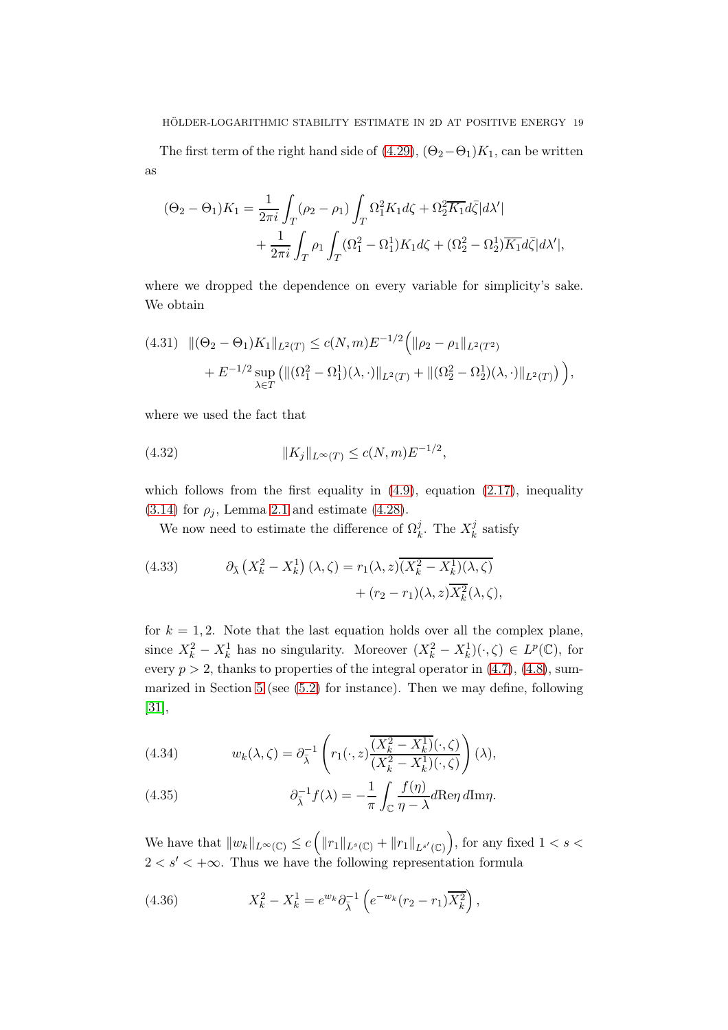The first term of the right hand side of  $(4.29)$ ,  $(\Theta_2-\Theta_1)K_1$ , can be written as

$$
(\Theta_2 - \Theta_1)K_1 = \frac{1}{2\pi i} \int_T (\rho_2 - \rho_1) \int_T \Omega_1^2 K_1 d\zeta + \Omega_2^2 \overline{K_1} d\bar{\zeta} |d\lambda'|
$$
  
+ 
$$
\frac{1}{2\pi i} \int_T \rho_1 \int_T (\Omega_1^2 - \Omega_1^1) K_1 d\zeta + (\Omega_2^2 - \Omega_2^1) \overline{K_1} d\bar{\zeta} |d\lambda'|,
$$

where we dropped the dependence on every variable for simplicity's sake. We obtain

$$
(4.31) \quad ||(\Theta_2 - \Theta_1)K_1||_{L^2(T)} \le c(N,m)E^{-1/2}\Big(||\rho_2 - \rho_1||_{L^2(T^2)} + E^{-1/2}\sup_{\lambda \in T} (||(\Omega_1^2 - \Omega_1^1)(\lambda, \cdot)||_{L^2(T)} + ||(\Omega_2^2 - \Omega_2^1)(\lambda, \cdot)||_{L^2(T)})\Big),
$$

where we used the fact that

<span id="page-18-2"></span>(4.32) 
$$
||K_j||_{L^{\infty}(T)} \le c(N,m)E^{-1/2},
$$

which follows from the first equality in  $(4.9)$ , equation  $(2.17)$ , inequality [\(3.14\)](#page-10-2) for  $\rho_j$ , Lemma [2.1](#page-7-1) and estimate [\(4.28\)](#page-17-0).

We now need to estimate the difference of  $\Omega_k^j$  $\boldsymbol{X}_k^j$ . The  $X_k^j$  $\frac{J}{k}$  satisfy

<span id="page-18-1"></span>(4.33) 
$$
\partial_{\overline{\lambda}} (X_k^2 - X_k^1) (\lambda, \zeta) = r_1(\lambda, z) (X_k^2 - X_k^1)(\lambda, \zeta) + (r_2 - r_1)(\lambda, z) \overline{X_k^2} (\lambda, \zeta),
$$

for  $k = 1, 2$ . Note that the last equation holds over all the complex plane, since  $X_k^2 - X_k^1$  has no singularity. Moreover  $(X_k^2 - X_k^1)(\cdot, \zeta) \in L^p(\mathbb{C})$ , for every  $p > 2$ , thanks to properties of the integral operator in  $(4.7)$ ,  $(4.8)$ , summarized in Section [5](#page-26-0) (see [\(5.2\)](#page-27-1) for instance). Then we may define, following [\[31\]](#page-33-18),

(4.34) 
$$
w_k(\lambda,\zeta) = \partial_{\overline{\lambda}}^{-1} \left( r_1(\cdot,z) \frac{\overline{(X_k^2 - X_k^1)}(\cdot,\zeta)}{(X_k^2 - X_k^1)(\cdot,\zeta)} \right)(\lambda),
$$

<span id="page-18-0"></span>(4.35) 
$$
\partial_{\overline{\lambda}}^{-1} f(\lambda) = -\frac{1}{\pi} \int_{\mathbb{C}} \frac{f(\eta)}{\eta - \lambda} d\mathbf{R} e \eta \, d\mathbf{I} \mathbf{m} \eta.
$$

We have that  $||w_k||_{L^{\infty}(\mathbb{C})} \leq c \left( ||r_1||_{L^{s}(\mathbb{C})} + ||r_1||_{L^{s'}(\mathbb{C})} \right)$ , for any fixed  $1 < s <$  $2 < s' < +\infty.$  Thus we have the following representation formula

(4.36) 
$$
X_k^2 - X_k^1 = e^{w_k} \partial_{\overline{\lambda}}^{-1} \left( e^{-w_k} (r_2 - r_1) \overline{X_k^2} \right),
$$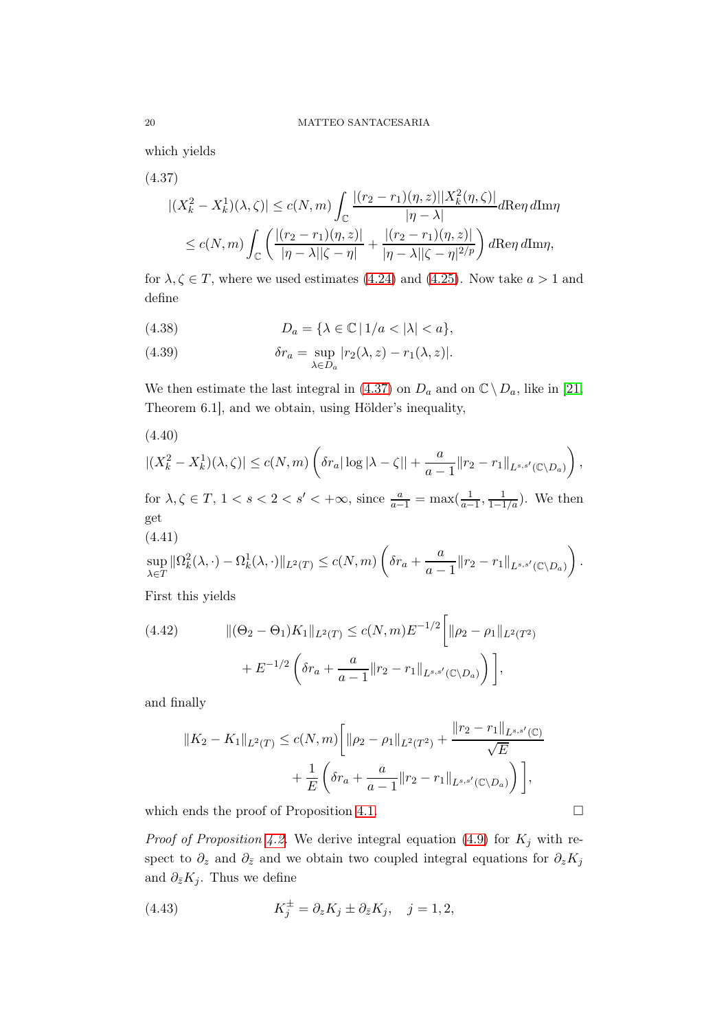which yields

<span id="page-19-0"></span>
$$
(4.37)
$$

$$
|(X_{k}^{2} - X_{k}^{1})(\lambda, \zeta)| \le c(N, m) \int_{\mathbb{C}} \frac{|(r_{2} - r_{1})(\eta, z)||X_{k}^{2}(\eta, \zeta)|}{|\eta - \lambda|} d\text{Re}\eta d\text{Im}\eta
$$
  

$$
\le c(N, m) \int_{\mathbb{C}} \left( \frac{|(r_{2} - r_{1})(\eta, z)|}{|\eta - \lambda||\zeta - \eta|} + \frac{|(r_{2} - r_{1})(\eta, z)|}{|\eta - \lambda||\zeta - \eta|^{2/p}} \right) d\text{Re}\eta d\text{Im}\eta,
$$

for  $\lambda, \zeta \in T$ , where we used estimates [\(4.24\)](#page-17-2) and [\(4.25\)](#page-17-3). Now take  $a > 1$  and define

(4.38) 
$$
D_a = \{ \lambda \in \mathbb{C} \mid 1/a < |\lambda| < a \},
$$

(4.39) 
$$
\delta r_a = \sup_{\lambda \in D_a} |r_2(\lambda, z) - r_1(\lambda, z)|.
$$

We then estimate the last integral in [\(4.37\)](#page-19-0) on  $D_a$  and on  $\mathbb{C} \setminus D_a$ , like in [\[21,](#page-33-8) Theorem 6.1], and we obtain, using Hölder's inequality,

(4.40)  
\n
$$
|(X_k^2 - X_k^1)(\lambda, \zeta)| \le c(N, m) \left(\delta r_a |\log |\lambda - \zeta|| + \frac{a}{a-1} ||r_2 - r_1||_{L^{s,s'}(\mathbb{C} \setminus D_a)}\right),
$$
\nfor  $\lambda, \zeta \in T$ ,  $1 < s < 2 < s' < +\infty$ , since  $\frac{a}{a-1} = \max(\frac{1}{a-1}, \frac{1}{1-1/a})$ . We then

get

(4.41)  
\n
$$
\sup_{\lambda \in T} \|\Omega_k^2(\lambda,\cdot) - \Omega_k^1(\lambda,\cdot)\|_{L^2(T)} \le c(N,m) \left( \delta r_a + \frac{a}{a-1} \|r_2 - r_1\|_{L^{s,s'}(\mathbb{C}\setminus D_a)} \right).
$$

First this yields

<span id="page-19-1"></span>(4.42) 
$$
\|(\Theta_2 - \Theta_1)K_1\|_{L^2(T)} \le c(N,m)E^{-1/2}\left[\|\rho_2 - \rho_1\|_{L^2(T^2)} + E^{-1/2}\left(\delta r_a + \frac{a}{a-1}\|r_2 - r_1\|_{L^{s,s'}(\mathbb{C}\setminus D_a)}\right)\right],
$$

and finally

$$
||K_2 - K_1||_{L^2(T)} \le c(N, m) \left[ ||\rho_2 - \rho_1||_{L^2(T^2)} + \frac{||r_2 - r_1||_{L^{s,s'}(\mathbb{C})}}{\sqrt{E}} + \frac{1}{E} \left( \delta r_a + \frac{a}{a-1} ||r_2 - r_1||_{L^{s,s'}(\mathbb{C} \setminus D_a)} \right) \right],
$$

which ends the proof of Proposition [4.1.](#page-15-0)

*Proof of Proposition [4.2.](#page-16-3)* We derive integral equation [\(4.9\)](#page-14-6) for  $K_j$  with respect to  $\partial_z$  and  $\partial_{\bar{z}}$  and we obtain two coupled integral equations for  $\partial_z K_j$ and  $\partial_{\bar{z}}K_j$ . Thus we define

(4.43) 
$$
K_j^{\pm} = \partial_z K_j \pm \partial_{\bar{z}} K_j, \quad j = 1, 2,
$$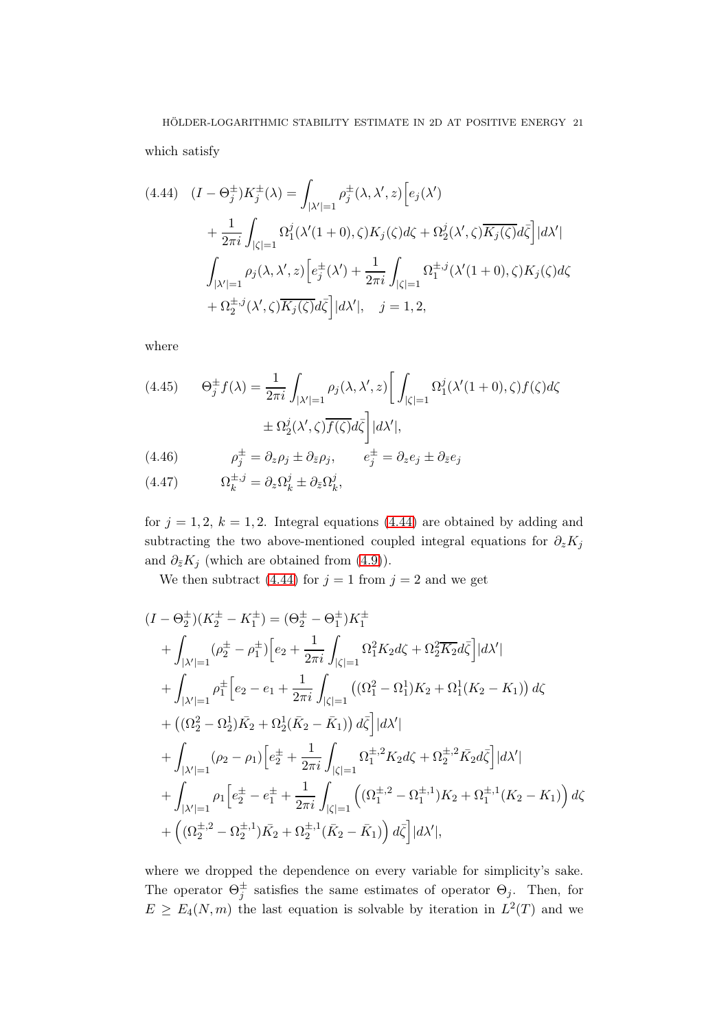which satisfy

<span id="page-20-0"></span>
$$
(4.44) \quad (I - \Theta_j^{\pm})K_j^{\pm}(\lambda) = \int_{|\lambda'|=1} \rho_j^{\pm}(\lambda, \lambda', z) \Big[ e_j(\lambda')
$$
  
+ 
$$
\frac{1}{2\pi i} \int_{|\zeta|=1} \Omega_1^j(\lambda'(1+0), \zeta) K_j(\zeta) d\zeta + \Omega_2^j(\lambda', \zeta) \overline{K_j(\zeta)} d\overline{\zeta} \Big] |d\lambda'|
$$
  

$$
\int_{|\lambda'|=1} \rho_j(\lambda, \lambda', z) \Big[ e_j^{\pm}(\lambda') + \frac{1}{2\pi i} \int_{|\zeta|=1} \Omega_1^{\pm, j}(\lambda'(1+0), \zeta) K_j(\zeta) d\zeta
$$
  
+ 
$$
\Omega_2^{\pm, j}(\lambda', \zeta) \overline{K_j(\zeta)} d\overline{\zeta} \Big] |d\lambda'|, \quad j = 1, 2,
$$

where

(4.45) 
$$
\Theta_j^{\pm} f(\lambda) = \frac{1}{2\pi i} \int_{|\lambda'|=1} \rho_j(\lambda, \lambda', z) \left[ \int_{|\zeta|=1} \Omega_1^j(\lambda'(1+0), \zeta) f(\zeta) d\zeta \right] \Delta \chi' |_{\zeta}^j = \Omega_2^j(\lambda', \zeta) \overline{f(\zeta)} d\zeta
$$

(4.46) 
$$
\rho_j^{\pm} = \partial_z \rho_j \pm \partial_{\bar{z}} \rho_j, \qquad e_j^{\pm} = \partial_z e_j \pm \partial_{\bar{z}} e_j
$$

(4.47) 
$$
\Omega_k^{\pm,j} = \partial_z \Omega_k^j \pm \partial_{\bar{z}} \Omega_k^j,
$$

for  $j = 1, 2, k = 1, 2$ . Integral equations [\(4.44\)](#page-20-0) are obtained by adding and subtracting the two above-mentioned coupled integral equations for  $\partial_z K_j$ and  $\partial_{\bar{z}}K_j$  (which are obtained from [\(4.9\)](#page-14-6)).

We then subtract [\(4.44\)](#page-20-0) for  $j = 1$  from  $j = 2$  and we get

$$
(I - \Theta_2^{\pm})(K_2^{\pm} - K_1^{\pm}) = (\Theta_2^{\pm} - \Theta_1^{\pm})K_1^{\pm}
$$
  
+  $\int_{|\lambda'|=1} (\rho_2^{\pm} - \rho_1^{\pm}) \Big[ e_2 + \frac{1}{2\pi i} \int_{|\zeta|=1} \Omega_1^2 K_2 d\zeta + \Omega_2^2 \overline{K_2} d\bar{\zeta} \Big] |d\lambda'|$   
+  $\int_{|\lambda'|=1} \rho_1^{\pm} \Big[ e_2 - e_1 + \frac{1}{2\pi i} \int_{|\zeta|=1} ((\Omega_1^2 - \Omega_1^1) K_2 + \Omega_1^1 (K_2 - K_1)) d\zeta$   
+  $((\Omega_2^2 - \Omega_2^1) \overline{K_2} + \Omega_2^1 (\overline{K_2} - \overline{K_1})) d\bar{\zeta} \Big] |d\lambda'|$   
+  $\int_{|\lambda'|=1} (\rho_2 - \rho_1) \Big[ e_2^{\pm} + \frac{1}{2\pi i} \int_{|\zeta|=1} \Omega_1^{\pm,2} K_2 d\zeta + \Omega_2^{\pm,2} \overline{K_2} d\bar{\zeta} \Big] |d\lambda'|$   
+  $\int_{|\lambda'|=1} \rho_1 \Big[ e_2^{\pm} - e_1^{\pm} + \frac{1}{2\pi i} \int_{|\zeta|=1} ((\Omega_1^{\pm,2} - \Omega_1^{\pm,1}) K_2 + \Omega_1^{\pm,1} (K_2 - K_1)) d\zeta$   
+  $((\Omega_2^{\pm,2} - \Omega_2^{\pm,1}) \overline{K_2} + \Omega_2^{\pm,1} (\overline{K_2} - \overline{K_1})) d\bar{\zeta} \Big] |d\lambda'|$ ,

where we dropped the dependence on every variable for simplicity's sake. The operator  $\Theta_j^{\pm}$  satisfies the same estimates of operator  $\Theta_j$ . Then, for  $E \ge E_4(N,m)$  the last equation is solvable by iteration in  $L^2(T)$  and we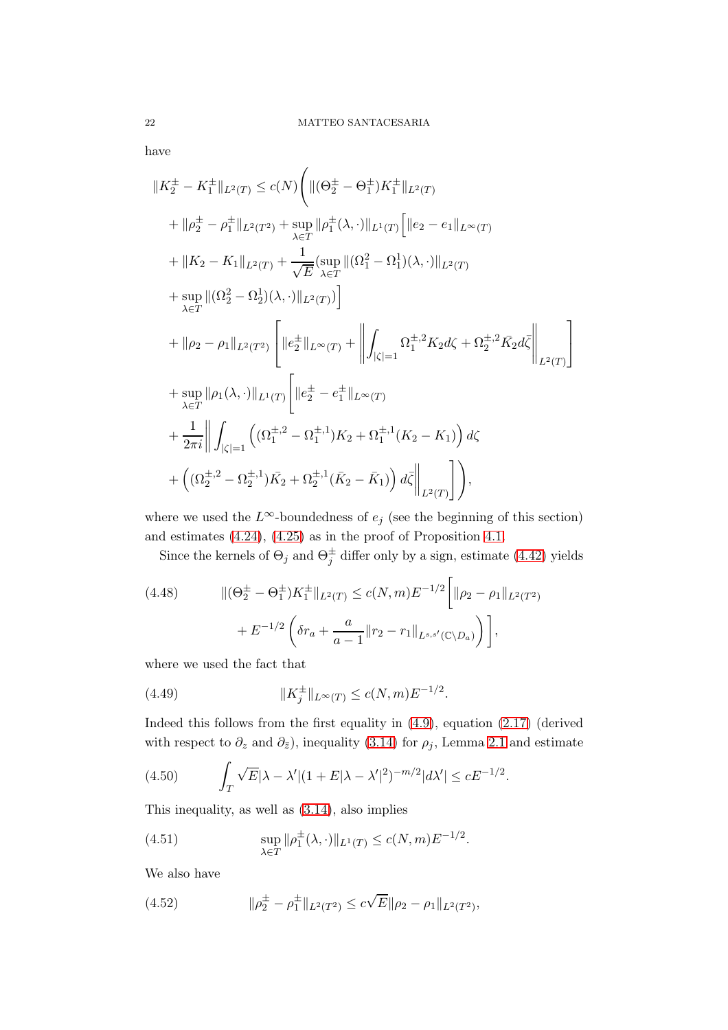have

$$
||K_{2}^{\pm} - K_{1}^{\pm}||_{L^{2}(T)} \leq c(N) \Biggl( ||(\Theta_{2}^{\pm} - \Theta_{1}^{\pm})K_{1}^{\pm}||_{L^{2}(T)}
$$
  
+  $||\rho_{2}^{\pm} - \rho_{1}^{\pm}||_{L^{2}(T^{2})} + \sup_{\lambda \in T} ||\rho_{1}^{\pm}(\lambda, \cdot)||_{L^{1}(T)} [||e_{2} - e_{1}||_{L^{\infty}(T)}$   
+  $||K_{2} - K_{1}||_{L^{2}(T)} + \frac{1}{\sqrt{E}} (\sup_{\lambda \in T} ||(\Omega_{1}^{2} - \Omega_{1}^{1})(\lambda, \cdot)||_{L^{2}(T)}$   
+  $\sup_{\lambda \in T} ||(\Omega_{2}^{2} - \Omega_{2}^{1})(\lambda, \cdot)||_{L^{2}(T)})$ ]  
+  $||\rho_{2} - \rho_{1}||_{L^{2}(T^{2})} \Biggl[ ||e_{2}^{\pm}||_{L^{\infty}(T)} + ||\int_{|\zeta|=1} \Omega_{1}^{\pm,2} K_{2} d\zeta + \Omega_{2}^{\pm,2} \overline{K}_{2} d\overline{\zeta}||_{L^{2}(T)}$   
+  $\sup_{\lambda \in T} ||\rho_{1}(\lambda, \cdot)||_{L^{1}(T)} \Biggl[ ||e_{2}^{\pm} - e_{1}^{\pm}||_{L^{\infty}(T)}$   
+  $\frac{1}{2\pi i} ||\int_{|\zeta|=1} ((\Omega_{1}^{\pm,2} - \Omega_{1}^{\pm,1})K_{2} + \Omega_{1}^{\pm,1}(K_{2} - K_{1})) d\zeta$   
+  $((\Omega_{2}^{\pm,2} - \Omega_{2}^{\pm,1})\overline{K}_{2} + \Omega_{2}^{\pm,1}(\overline{K}_{2} - \overline{K}_{1})) d\overline{\zeta}||_{L^{2}(T)} \Biggr])$ ,

where we used the  $L^{\infty}$ -boundedness of  $e_j$  (see the beginning of this section) and estimates [\(4.24\)](#page-17-2), [\(4.25\)](#page-17-3) as in the proof of Proposition [4.1.](#page-15-0)

Since the kernels of  $\Theta_j$  and  $\Theta_j^{\pm}$  differ only by a sign, estimate [\(4.42\)](#page-19-1) yields

(4.48) 
$$
\|(\Theta_2^{\pm} - \Theta_1^{\pm})K_1^{\pm}\|_{L^2(T)} \le c(N, m)E^{-1/2} \left[\|\rho_2 - \rho_1\|_{L^2(T^2)} + E^{-1/2} \left(\delta r_a + \frac{a}{a-1} \|r_2 - r_1\|_{L^{s,s'}(\mathbb{C}\setminus D_a)}\right)\right],
$$

where we used the fact that

<span id="page-21-0"></span>(4.49) 
$$
||K_j^{\pm}||_{L^{\infty}(T)} \le c(N,m)E^{-1/2}
$$

Indeed this follows from the first equality in [\(4.9\)](#page-14-6), equation [\(2.17\)](#page-6-6) (derived with respect to  $\partial_z$  and  $\partial_{\bar{z}}$ ), inequality [\(3.14\)](#page-10-2) for  $\rho_j$ , Lemma [2.1](#page-7-1) and estimate

.

(4.50) 
$$
\int_T \sqrt{E} |\lambda - \lambda'| (1 + E|\lambda - \lambda'|^2)^{-m/2} |d\lambda'| \leq c E^{-1/2}.
$$

This inequality, as well as [\(3.14\)](#page-10-2), also implies

(4.51) 
$$
\sup_{\lambda \in T} \|\rho_1^{\pm}(\lambda, \cdot)\|_{L^1(T)} \le c(N, m) E^{-1/2}.
$$

We also have

(4.52) 
$$
\|\rho_2^{\pm} - \rho_1^{\pm}\|_{L^2(T^2)} \le c\sqrt{E} \|\rho_2 - \rho_1\|_{L^2(T^2)},
$$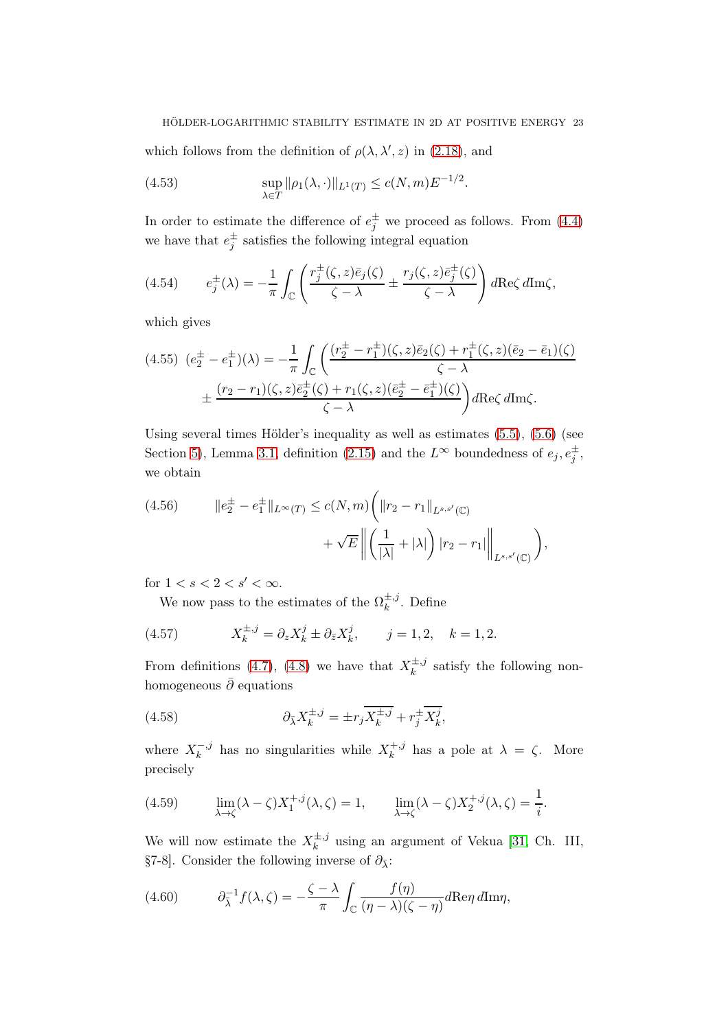which follows from the definition of  $\rho(\lambda, \lambda', z)$  in [\(2.18\)](#page-6-4), and

(4.53) 
$$
\sup_{\lambda \in T} \|\rho_1(\lambda, \cdot)\|_{L^1(T)} \le c(N, m) E^{-1/2}.
$$

In order to estimate the difference of  $e_j^{\pm}$  we proceed as follows. From [\(4.4\)](#page-14-0) we have that  $e_j^{\pm}$  satisfies the following integral equation

(4.54) 
$$
e_j^{\pm}(\lambda) = -\frac{1}{\pi} \int_{\mathbb{C}} \left( \frac{r_j^{\pm}(\zeta, z) \bar{e}_j(\zeta)}{\zeta - \lambda} \pm \frac{r_j(\zeta, z) \bar{e}_j^{\pm}(\zeta)}{\zeta - \lambda} \right) d \text{Re}\zeta d \text{Im}\zeta,
$$

which gives

$$
(4.55) \ \ (e_2^{\pm} - e_1^{\pm})(\lambda) = -\frac{1}{\pi} \int_{\mathbb{C}} \left( \frac{(r_2^{\pm} - r_1^{\pm})(\zeta, z)\bar{e}_2(\zeta) + r_1^{\pm}(\zeta, z)(\bar{e}_2 - \bar{e}_1)(\zeta)}{\zeta - \lambda} \right. \\
\left. \qquad \qquad \pm \frac{(r_2 - r_1)(\zeta, z)\bar{e}_2^{\pm}(\zeta) + r_1(\zeta, z)(\bar{e}_2^{\pm} - \bar{e}_1^{\pm})(\zeta)}{\zeta - \lambda} \right) d\text{Re}\zeta \, d\text{Im}\zeta.
$$

Using several times Hölder's inequality as well as estimates [\(5.5\)](#page-27-0), [\(5.6\)](#page-27-2) (see Section [5\)](#page-26-0), Lemma [3.1,](#page-8-5) definition [\(2.15\)](#page-6-7) and the  $L^{\infty}$  boundedness of  $e_j, e_j^{\pm}$ , we obtain

(4.56) 
$$
||e_2^{\pm} - e_1^{\pm}||_{L^{\infty}(T)} \le c(N, m) \left(||r_2 - r_1||_{L^{s,s'}(\mathbb{C})}\n+ \sqrt{E} \left\| \left(\frac{1}{|\lambda|} + |\lambda| \right) |r_2 - r_1| \right\|_{L^{s,s'}(\mathbb{C})} \right),
$$

for  $1 < s < 2 < s' < \infty$ .

We now pass to the estimates of the  $\Omega_k^{\pm,j}$ . Define

<span id="page-22-0"></span>(4.57) 
$$
X_k^{\pm, j} = \partial_z X_k^j \pm \partial_{\bar{z}} X_k^j, \qquad j = 1, 2, \quad k = 1, 2.
$$

From definitions [\(4.7\)](#page-14-1), [\(4.8\)](#page-14-2) we have that  $X_k^{\pm,j}$  satisfy the following nonhomogeneous  $\bar{\partial}$  equations

(4.58) 
$$
\partial_{\bar{\lambda}} X_k^{\pm,j} = \pm r_j \overline{X_k^{\pm,j}} + r_j^{\pm} \overline{X_k^j},
$$

where  $X_k^{-,j}$  has no singularities while  $X_k^{+,j}$  $\kappa^{+,j}$  has a pole at  $\lambda = \zeta$ . More precisely

(4.59) 
$$
\lim_{\lambda \to \zeta} (\lambda - \zeta) X_1^{+,j}(\lambda, \zeta) = 1, \qquad \lim_{\lambda \to \zeta} (\lambda - \zeta) X_2^{+,j}(\lambda, \zeta) = \frac{1}{i}.
$$

We will now estimate the  $X_k^{\pm,j}$  using an argument of Vekua [\[31,](#page-33-18) Ch. III, §7-8]. Consider the following inverse of  $\partial_{\bar{\lambda}}$ :

(4.60) 
$$
\partial_{\bar{\lambda}}^{-1} f(\lambda, \zeta) = -\frac{\zeta - \lambda}{\pi} \int_{\mathbb{C}} \frac{f(\eta)}{(\eta - \lambda)(\zeta - \eta)} d\mathbb{R} e \eta \, d\mathbb{I} \mathbf{m} \eta,
$$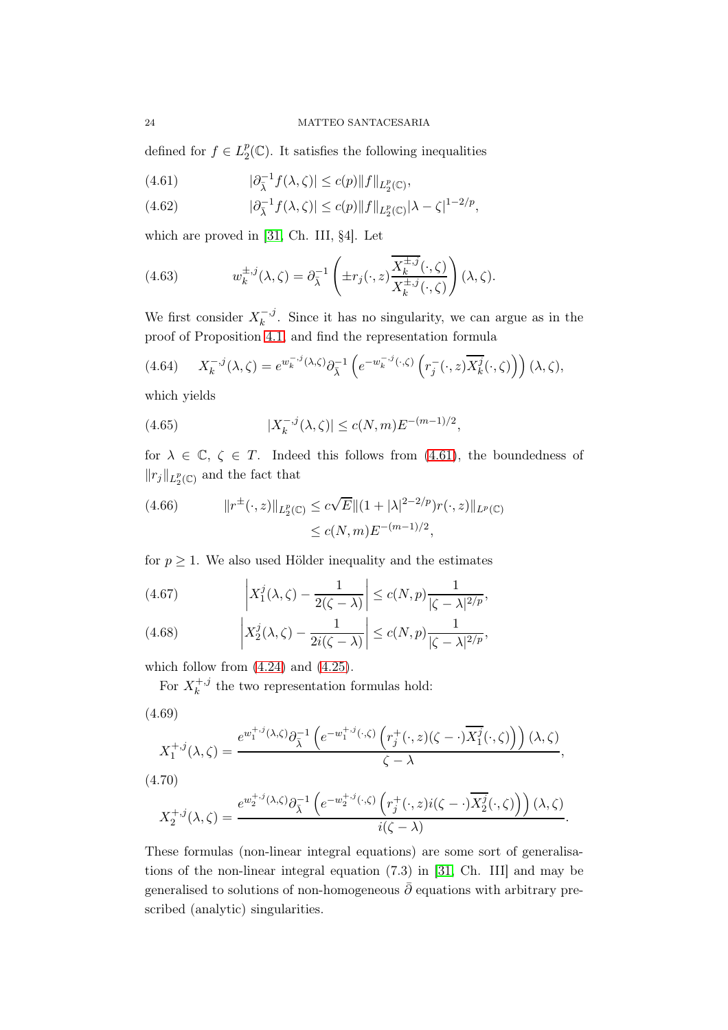defined for  $f \in L_2^p$  $_{2}^{p}(\mathbb{C})$ . It satisfies the following inequalities

<span id="page-23-0"></span>
$$
(4.61) \t\t |\partial_{\bar{\lambda}}^{-1} f(\lambda, \zeta)| \le c(p) \|f\|_{L_2^p(\mathbb{C})},
$$

<span id="page-23-5"></span>(4.62) 
$$
|\partial_{\bar{\lambda}}^{-1} f(\lambda, \zeta)| \leq c(p) \|f\|_{L_2^p(\mathbb{C})} |\lambda - \zeta|^{1-2/p},
$$

which are proved in [\[31,](#page-33-18) Ch. III, §4]. Let

(4.63) 
$$
w_k^{\pm,j}(\lambda,\zeta) = \partial_{\bar{\lambda}}^{-1} \left( \pm r_j(\cdot,z) \frac{\overline{X_k^{\pm,j}}(\cdot,\zeta)}{X_k^{\pm,j}(\cdot,\zeta)} \right) (\lambda,\zeta).
$$

We first consider  $X_k^{-,j}$ . Since it has no singularity, we can argue as in the proof of Proposition [4.1,](#page-15-0) and find the representation formula

$$
(4.64) \qquad X_k^{-,j}(\lambda,\zeta) = e^{w_k^{-,j}(\lambda,\zeta)} \partial_{\bar{\lambda}}^{-1} \left( e^{-w_k^{-,j}(\cdot,\zeta)} \left( r_j^{-}(\cdot,z) \overline{X_k^j}(\cdot,\zeta) \right) \right) (\lambda,\zeta),
$$

which yields

<span id="page-23-6"></span>(4.65) 
$$
|X_k^{-,j}(\lambda,\zeta)| \le c(N,m)E^{-(m-1)/2},
$$

for  $\lambda \in \mathbb{C}, \zeta \in T$ . Indeed this follows from [\(4.61\)](#page-23-0), the boundedness of  $||r_j||_{L_2^p(\mathbb{C})}$  and the fact that

<span id="page-23-2"></span>(4.66) 
$$
||r^{\pm}(\cdot,z)||_{L_2^p(\mathbb{C})} \le c\sqrt{E}||(1+|\lambda|^{2-2/p})r(\cdot,z)||_{L^p(\mathbb{C})}
$$

$$
\le c(N,m)E^{-(m-1)/2},
$$

for  $p \geq 1$ . We also used Hölder inequality and the estimates

<span id="page-23-7"></span>(4.67) 
$$
\left|X_1^j(\lambda,\zeta)-\frac{1}{2(\zeta-\lambda)}\right|\leq c(N,p)\frac{1}{|\zeta-\lambda|^{2/p}},
$$

<span id="page-23-3"></span>(4.68) 
$$
\left| X_2^j(\lambda, \zeta) - \frac{1}{2i(\zeta - \lambda)} \right| \le c(N, p) \frac{1}{|\zeta - \lambda|^{2/p}},
$$

which follow from  $(4.24)$  and  $(4.25)$ .

For  $X_k^{+,j}$  $t_k^{+,j}$  the two representation formulas hold:

<span id="page-23-1"></span>
$$
(4.69)
$$

$$
X_1^{+,j}(\lambda,\zeta) = \frac{e^{w_1^{+,j}(\lambda,\zeta)}\partial_{\bar{\lambda}}^{-1}\left(e^{-w_1^{+,j}(\cdot,\zeta)}\left(r_j^{+}(\cdot,z)(\zeta-\cdot)\overline{X_1^j}(\cdot,\zeta)\right)\right)(\lambda,\zeta)}{\zeta-\lambda},
$$

<span id="page-23-4"></span>
$$
(4.70)
$$

$$
X_2^{+,j}(\lambda,\zeta) = \frac{e^{w_2^{+,j}(\lambda,\zeta)}\partial_{\overline{\lambda}}^{-1}\left(e^{-w_2^{+,j}(\cdot,\zeta)}\left(r_j^+(\cdot,z)i(\zeta-\cdot)\overline{X_2^j}(\cdot,\zeta)\right)\right)(\lambda,\zeta)}{i(\zeta-\lambda)}.
$$

These formulas (non-linear integral equations) are some sort of generalisations of the non-linear integral equation (7.3) in [\[31,](#page-33-18) Ch. III] and may be generalised to solutions of non-homogeneous  $\bar{\partial}$  equations with arbitrary prescribed (analytic) singularities.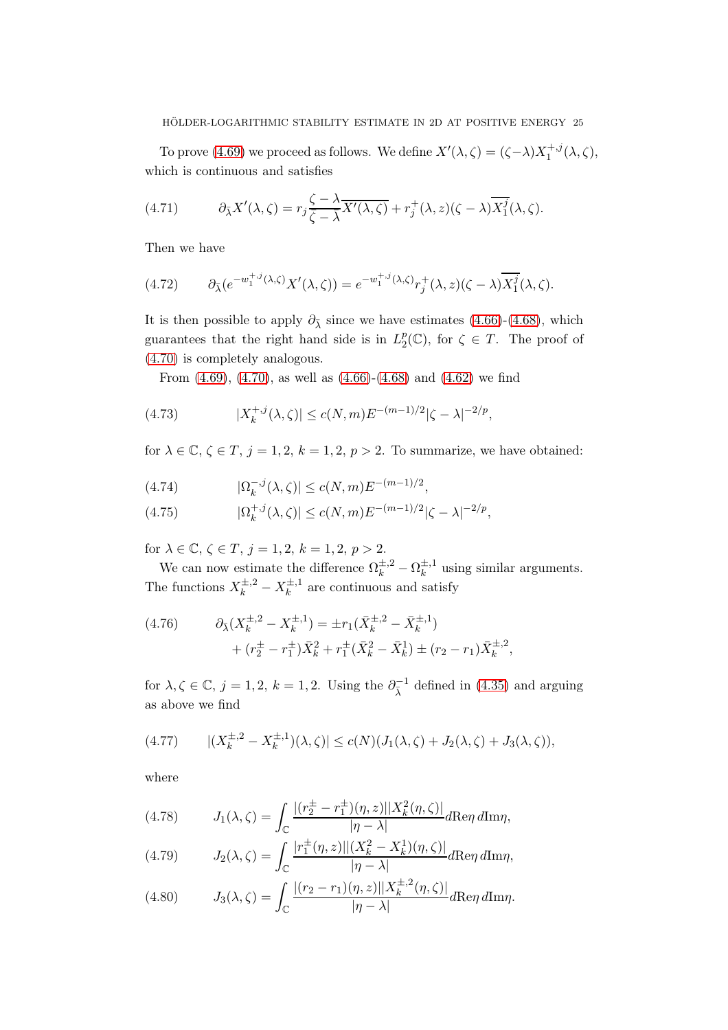To prove [\(4.69\)](#page-23-1) we proceed as follows. We define  $X'(\lambda, \zeta) = (\zeta - \lambda)X_1^{+,j}$  $i^{+,j}(\lambda,\zeta),$ which is continuous and satisfies

(4.71) 
$$
\partial_{\bar{\lambda}} X'(\lambda,\zeta) = r_j \frac{\zeta - \lambda}{\bar{\zeta} - \bar{\lambda}} \overline{X'(\lambda,\zeta)} + r_j^+(\lambda,z) (\zeta - \lambda) \overline{X_1^j}(\lambda,\zeta).
$$

Then we have

$$
(4.72) \qquad \partial_{\bar{\lambda}}(e^{-w_1^{+,j}(\lambda,\zeta)}X'(\lambda,\zeta)) = e^{-w_1^{+,j}(\lambda,\zeta)}r_j^{+}(\lambda,z)(\zeta-\lambda)\overline{X_1^j}(\lambda,\zeta).
$$

It is then possible to apply  $\partial_{\overline{\lambda}}$  since we have estimates [\(4.66\)](#page-23-2)-[\(4.68\)](#page-23-3), which guarantees that the right hand side is in  $L_2^p$  $_2^p(\mathbb{C})$ , for  $\zeta \in T$ . The proof of [\(4.70\)](#page-23-4) is completely analogous.

From [\(4.69\)](#page-23-1), [\(4.70\)](#page-23-4), as well as [\(4.66\)](#page-23-2)-[\(4.68\)](#page-23-3) and [\(4.62\)](#page-23-5) we find

<span id="page-24-0"></span>(4.73) 
$$
|X_k^{+,j}(\lambda,\zeta)| \le c(N,m)E^{-(m-1)/2}|\zeta-\lambda|^{-2/p},
$$

for  $\lambda \in \mathbb{C}, \zeta \in T, j = 1, 2, k = 1, 2, p > 2$ . To summarize, we have obtained:

<span id="page-24-1"></span>(4.74) 
$$
|\Omega_k^{-,j}(\lambda,\zeta)| \le c(N,m)E^{-(m-1)/2},
$$

<span id="page-24-2"></span>(4.75) 
$$
|\Omega_k^{+,j}(\lambda,\zeta)| \le c(N,m)E^{-(m-1)/2}|\zeta-\lambda|^{-2/p},
$$

for  $\lambda \in \mathbb{C}, \zeta \in T, j = 1, 2, k = 1, 2, p > 2$ .

We can now estimate the difference  $\Omega_k^{\pm,2} - \Omega_k^{\pm,1}$  using similar arguments. The functions  $X_k^{\pm,2} - X_k^{\pm,1}$  are continuous and satisfy

<span id="page-24-3"></span>(4.76) 
$$
\partial_{\bar{\lambda}} (X_k^{\pm,2} - X_k^{\pm,1}) = \pm r_1 (\bar{X}_k^{\pm,2} - \bar{X}_k^{\pm,1}) + (r_2^{\pm} - r_1^{\pm}) \bar{X}_k^2 + r_1^{\pm} (\bar{X}_k^2 - \bar{X}_k^1) \pm (r_2 - r_1) \bar{X}_k^{\pm,2},
$$

for  $\lambda, \zeta \in \mathbb{C}, j = 1, 2, k = 1, 2$ . Using the  $\partial_{\overline{\lambda}}^{-1}$  defined in [\(4.35\)](#page-18-0) and arguing as above we find

$$
(4.77) \qquad |(X_k^{\pm,2} - X_k^{\pm,1})(\lambda,\zeta)| \le c(N)(J_1(\lambda,\zeta) + J_2(\lambda,\zeta) + J_3(\lambda,\zeta)),
$$

where

$$
(4.78) \tJ_1(\lambda,\zeta) = \int_{\mathbb{C}} \frac{|(r_2^{\pm} - r_1^{\pm})(\eta,z)||X_k^2(\eta,\zeta)|}{|\eta-\lambda|} d\mathbf{R} e \eta d\mathbf{I} m\eta,
$$

(4.79) 
$$
J_2(\lambda,\zeta) = \int_{\mathbb{C}} \frac{|r_1^{\pm}(\eta,z)||(X_k^2 - X_k^1)(\eta,\zeta)|}{|\eta - \lambda|} d\text{Re}\eta d\text{Im}\eta,
$$

(4.80) 
$$
J_3(\lambda,\zeta) = \int_{\mathbb{C}} \frac{|(r_2 - r_1)(\eta,z)||X_k^{\pm,2}(\eta,\zeta)|}{|\eta - \lambda|} d\mathbb{R} e \eta d\mathbb{I} m \eta.
$$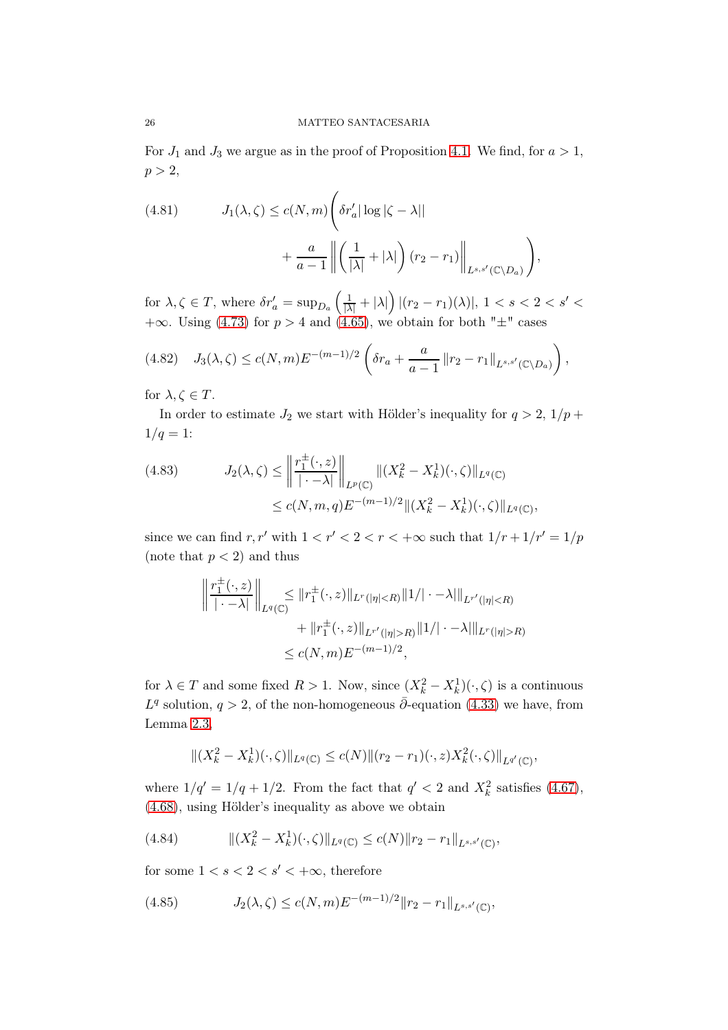For  $J_1$  and  $J_3$  we argue as in the proof of Proposition [4.1.](#page-15-0) We find, for  $a > 1$ ,  $p > 2$ ,

<span id="page-25-0"></span>(4.81) 
$$
J_1(\lambda, \zeta) \le c(N, m) \left( \delta r_a' |\log |\zeta - \lambda| \right) + \frac{a}{a-1} \left\| \left( \frac{1}{|\lambda|} + |\lambda| \right) (r_2 - r_1) \right\|_{L^{s,s'}(\mathbb{C} \setminus D_a)} \right),
$$

for  $\lambda, \zeta \in T$ , where  $\delta r_a' = \sup_{D_a} \left( \frac{1}{|\lambda|} + |\lambda| \right) |(r_2 - r_1)(\lambda)|$ ,  $1 < s < 2 < s' <$  $+\infty$ . Using [\(4.73\)](#page-24-0) for  $p > 4$  and [\(4.65\)](#page-23-6), we obtain for both " $\pm$ " cases

<span id="page-25-2"></span>
$$
(4.82) \quad J_3(\lambda,\zeta) \le c(N,m)E^{-(m-1)/2} \left( \delta r_a + \frac{a}{a-1} ||r_2 - r_1||_{L^{s,s'}(\mathbb{C}\setminus D_a)} \right),
$$

for  $\lambda, \zeta \in T$ .

In order to estimate  $J_2$  we start with Hölder's inequality for  $q > 2$ ,  $1/p +$  $1/q = 1$ :

(4.83) 
$$
J_2(\lambda, \zeta) \le \left\| \frac{r_1^{\pm}(\cdot, z)}{|\cdot - \lambda|} \right\|_{L^p(\mathbb{C})} \|(X_k^2 - X_k^1)(\cdot, \zeta)\|_{L^q(\mathbb{C})} \le c(N, m, q) E^{-(m-1)/2} \|(X_k^2 - X_k^1)(\cdot, \zeta)\|_{L^q(\mathbb{C})}
$$

since we can find  $r, r'$  with  $1 < r' < 2 < r < +\infty$  such that  $1/r + 1/r' = 1/p$ (note that  $p < 2$ ) and thus

,

$$
\left\| \frac{r_1^{\pm}(\cdot, z)}{|\cdot - \lambda|} \right\|_{L^q(\mathbb{C})} \leq \|r_1^{\pm}(\cdot, z)\|_{L^r(|\eta| < R)} \|1/|\cdot - \lambda|\|_{L^{r'}(|\eta| < R)} \n+ \|r_1^{\pm}(\cdot, z)\|_{L^{r'}(|\eta| > R)} \|1/|\cdot - \lambda|\|_{L^r(|\eta| > R)} \n\leq c(N, m) E^{-(m-1)/2},
$$

for  $\lambda \in T$  and some fixed  $R > 1$ . Now, since  $(X_k^2 - X_k^1)(\cdot, \zeta)$  is a continuous  $L<sup>q</sup>$  solution,  $q > 2$ , of the non-homogeneous  $\bar{\partial}$ -equation [\(4.33\)](#page-18-1) we have, from Lemma [2.3,](#page-7-2)

$$
|| (X_k^2 - X_k^1)(\cdot, \zeta) ||_{L^q(\mathbb{C})} \le c(N) || (r_2 - r_1)(\cdot, z) X_k^2(\cdot, \zeta) ||_{L^{q'}(\mathbb{C})},
$$

where  $1/q' = 1/q + 1/2$ . From the fact that  $q' < 2$  and  $X_k^2$  satisfies [\(4.67\)](#page-23-7), [\(4.68\)](#page-23-3), using Hölder's inequality as above we obtain

<span id="page-25-3"></span>(4.84) 
$$
\| (X_k^2 - X_k^1)(\cdot, \zeta) \|_{L^q(\mathbb{C})} \leq c(N) \| r_2 - r_1 \|_{L^{s,s'}(\mathbb{C})},
$$

for some  $1 < s < 2 < s' < +\infty$ , therefore

<span id="page-25-1"></span>(4.85) 
$$
J_2(\lambda, \zeta) \le c(N, m) E^{-(m-1)/2} ||r_2 - r_1||_{L^{s,s'}(\mathbb{C})},
$$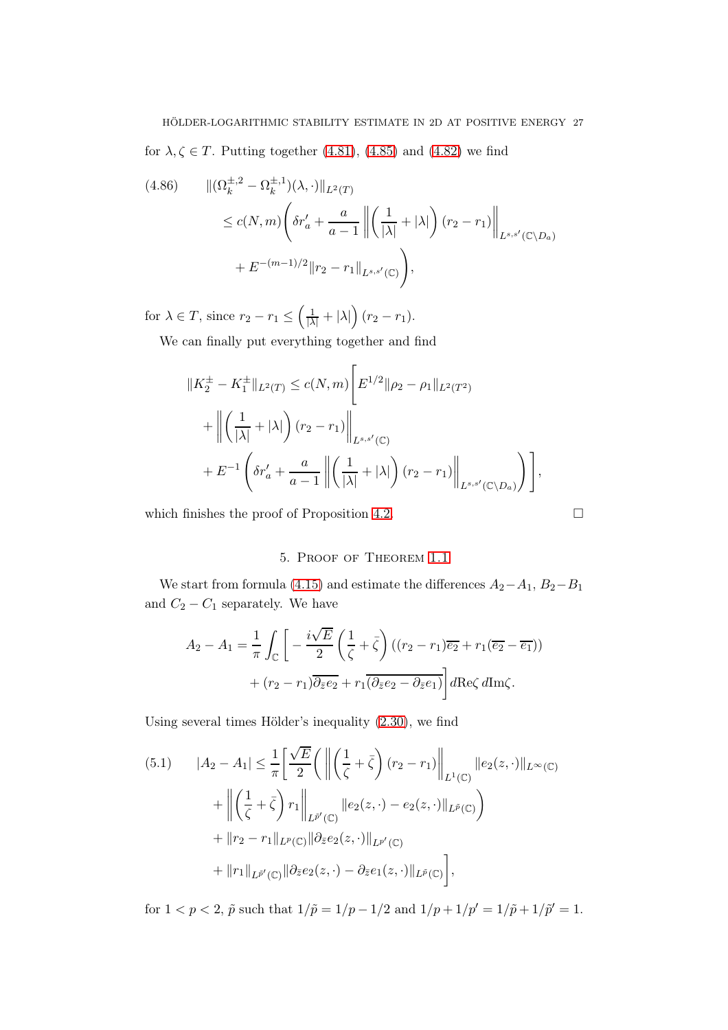for  $\lambda, \zeta \in T$ . Putting together [\(4.81\)](#page-25-0), [\(4.85\)](#page-25-1) and [\(4.82\)](#page-25-2) we find

(4.86) 
$$
\|(\Omega_k^{\pm,2} - \Omega_k^{\pm,1})(\lambda,\cdot)\|_{L^2(T)} \leq c(N,m) \left(\delta r_a' + \frac{a}{a-1} \left\| \left(\frac{1}{|\lambda|} + |\lambda| \right) (r_2 - r_1) \right\|_{L^{s,s'}(\mathbb{C}\setminus D_a)} + E^{-(m-1)/2} \|r_2 - r_1\|_{L^{s,s'}(\mathbb{C})} \right),
$$

for  $\lambda \in T$ , since  $r_2 - r_1 \leq \left(\frac{1}{|\lambda|} + |\lambda|\right) (r_2 - r_1)$ .

We can finally put everything together and find

$$
||K_2^{\pm} - K_1^{\pm}||_{L^2(T)} \le c(N, m) \left[E^{1/2}||\rho_2 - \rho_1||_{L^2(T^2)} + \left\|\left(\frac{1}{|\lambda|} + |\lambda|\right)(r_2 - r_1)\right\|_{L^{s,s'}(\mathbb{C})} + E^{-1} \left(\delta r_a' + \frac{a}{a-1}\left\|\left(\frac{1}{|\lambda|} + |\lambda|\right)(r_2 - r_1)\right\|_{L^{s,s'}(\mathbb{C}\setminus D_a)}\right)\right],
$$

<span id="page-26-0"></span>which finishes the proof of Proposition [4.2.](#page-16-3)  $\Box$ 

## 5. Proof of Theorem [1.1](#page-2-3)

We start from formula [\(4.15\)](#page-15-1) and estimate the differences  $A_2-A_1$ ,  $B_2-B_1$ and  $C_2 - C_1$  separately. We have

$$
A_2 - A_1 = \frac{1}{\pi} \int_{\mathbb{C}} \left[ -\frac{i\sqrt{E}}{2} \left( \frac{1}{\zeta} + \bar{\zeta} \right) \left( (r_2 - r_1)\overline{e_2} + r_1(\overline{e_2} - \overline{e_1}) \right) \right. \\ \left. + (r_2 - r_1)\overline{\partial_{\bar{z}}e_2} + r_1(\overline{\partial_{\bar{z}}e_2 - \partial_{\bar{z}}e_1}) \right] d\text{Re}\zeta \, d\text{Im}\zeta.
$$

Using several times Hölder's inequality [\(2.30\)](#page-8-6), we find

<span id="page-26-1"></span>(5.1) 
$$
|A_2 - A_1| \leq \frac{1}{\pi} \left[ \frac{\sqrt{E}}{2} \left( \left\| \left( \frac{1}{\zeta} + \bar{\zeta} \right) (r_2 - r_1) \right\|_{L^1(\mathbb{C})} \right\| e_2(z, \cdot) \|_{L^{\infty}(\mathbb{C})} + \left\| \left( \frac{1}{\zeta} + \bar{\zeta} \right) r_1 \right\|_{L^{\vec{p}'}(\mathbb{C})} \| e_2(z, \cdot) - e_2(z, \cdot) \|_{L^{\vec{p}}(\mathbb{C})} \right) + \|r_2 - r_1 \|_{L^p(\mathbb{C})} \| \partial_{\bar{z}} e_2(z, \cdot) \|_{L^{p'}(\mathbb{C})} + \|r_1 \|_{L^{\vec{p}'}(\mathbb{C})} \| \partial_{\bar{z}} e_2(z, \cdot) - \partial_{\bar{z}} e_1(z, \cdot) \|_{L^{\vec{p}}(\mathbb{C})} \right],
$$

for  $1 < p < 2$ ,  $\tilde{p}$  such that  $1/\tilde{p} = 1/p - 1/2$  and  $1/p + 1/p' = 1/\tilde{p} + 1/\tilde{p}' = 1$ .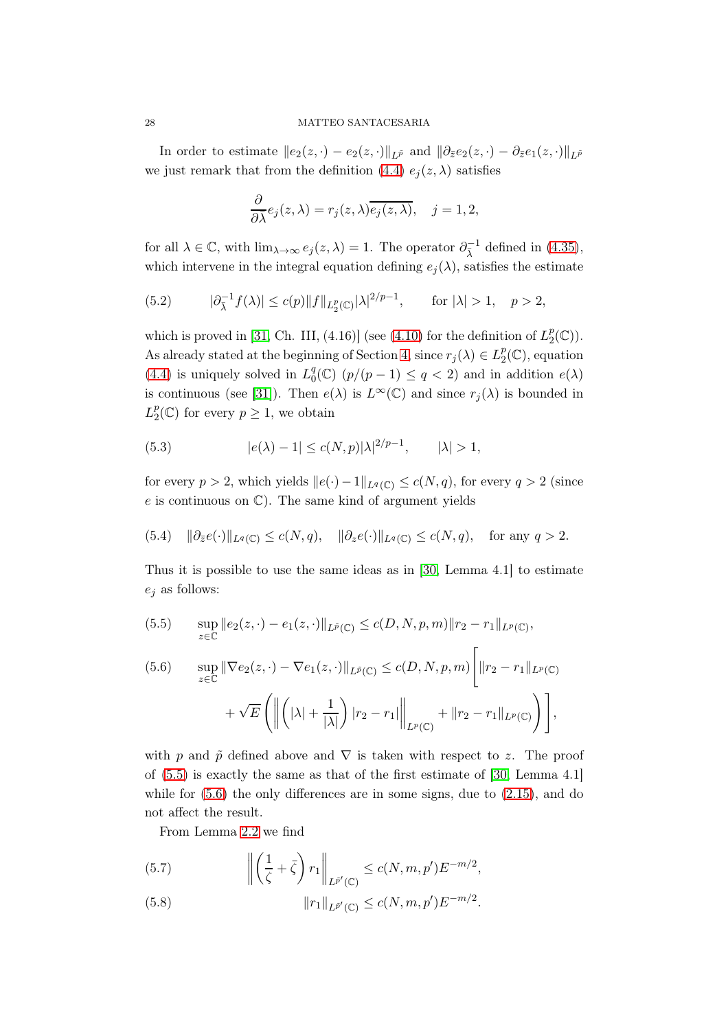In order to estimate  $||e_2(z, \cdot) - e_2(z, \cdot)||_{L^{\tilde{p}}}$  and  $||\partial_{\bar{z}}e_2(z, \cdot) - \partial_{\bar{z}}e_1(z, \cdot)||_{L^{\tilde{p}}}$ we just remark that from the definition [\(4.4\)](#page-14-0)  $e_j(z, \lambda)$  satisfies

$$
\frac{\partial}{\partial \bar{\lambda}} e_j(z,\lambda) = r_j(z,\lambda) \overline{e_j(z,\lambda)}, \quad j = 1,2,
$$

for all  $\lambda \in \mathbb{C}$ , with  $\lim_{\lambda \to \infty} e_j(z, \lambda) = 1$ . The operator  $\partial_{\overline{\lambda}}^{-1}$  defined in [\(4.35\)](#page-18-0), which intervene in the integral equation defining  $e_i(\lambda)$ , satisfies the estimate

<span id="page-27-1"></span>(5.2) 
$$
|\partial_{\bar{\lambda}}^{-1} f(\lambda)| \le c(p) \|f\|_{L_2^p(\mathbb{C})} |\lambda|^{2/p-1}, \quad \text{for } |\lambda| > 1, \quad p > 2,
$$

which is proved in [\[31,](#page-33-18) Ch. III, (4.16)] (see [\(4.10\)](#page-14-7) for the definition of  $L_2^p$  $_{2}^{p}(\mathbb{C}))$ . As already stated at the beginning of Section [4,](#page-13-0) since  $r_j(\lambda) \in L_2^p$  $_2^p(\mathbb{C})$ , equation  $(4.4)$  is uniquely solved in  $L_0^q$  $_0^q(\mathbb{C})$   $(p/(p-1) \leq q < 2)$  and in addition  $e(\lambda)$ is continuous (see [\[31\]](#page-33-18)). Then  $e(\lambda)$  is  $L^{\infty}(\mathbb{C})$  and since  $r_i(\lambda)$  is bounded in  $L_2^p$  $p_2^p(\mathbb{C})$  for every  $p \geq 1$ , we obtain

(5.3) 
$$
|e(\lambda) - 1| \le c(N, p) |\lambda|^{2/p - 1}, \qquad |\lambda| > 1,
$$

for every  $p > 2$ , which yields  $||e(\cdot) - 1||_{L^q(\mathbb{C})} \le c(N, q)$ , for every  $q > 2$  (since  $e$  is continuous on  $\mathbb{C}$ ). The same kind of argument yields

(5.4) 
$$
\|\partial_{\bar{z}}e(\cdot)\|_{L^q(\mathbb{C})} \le c(N, q), \quad \|\partial_{z}e(\cdot)\|_{L^q(\mathbb{C})} \le c(N, q), \quad \text{for any } q > 2.
$$

Thus it is possible to use the same ideas as in [\[30,](#page-33-2) Lemma 4.1] to estimate  $e_i$  as follows:

<span id="page-27-0"></span>(5.5) 
$$
\sup_{z \in \mathbb{C}} ||e_2(z, \cdot) - e_1(z, \cdot)||_{L^{\tilde{p}}(\mathbb{C})} \le c(D, N, p, m) ||r_2 - r_1||_{L^p(\mathbb{C})},
$$

<span id="page-27-2"></span>(5.6) 
$$
\sup_{z \in \mathbb{C}} \|\nabla e_2(z, \cdot) - \nabla e_1(z, \cdot)\|_{L^{\tilde{p}}(\mathbb{C})} \le c(D, N, p, m) \Bigg[ \|r_2 - r_1\|_{L^p(\mathbb{C})} + \sqrt{E} \left( \left\| \left( |\lambda| + \frac{1}{|\lambda|} \right) |r_2 - r_1| \right\|_{L^p(\mathbb{C})} + \|r_2 - r_1\|_{L^p(\mathbb{C})} \right) \Bigg],
$$

with p and  $\tilde{p}$  defined above and  $\nabla$  is taken with respect to z. The proof of [\(5.5\)](#page-27-0) is exactly the same as that of the first estimate of [\[30,](#page-33-2) Lemma 4.1] while for  $(5.6)$  the only differences are in some signs, due to  $(2.15)$ , and do not affect the result.

From Lemma [2.2](#page-7-0) we find

(5.7) 
$$
\left\| \left( \frac{1}{\zeta} + \bar{\zeta} \right) r_1 \right\|_{L^{\tilde{p}'}(\mathbb{C})} \le c(N, m, p') E^{-m/2},
$$

<span id="page-27-3"></span>(5.8)  $||r_1||_{L^{\bar{p}'}(\mathbb{C})} \leq c(N, m, p')E^{-m/2}.$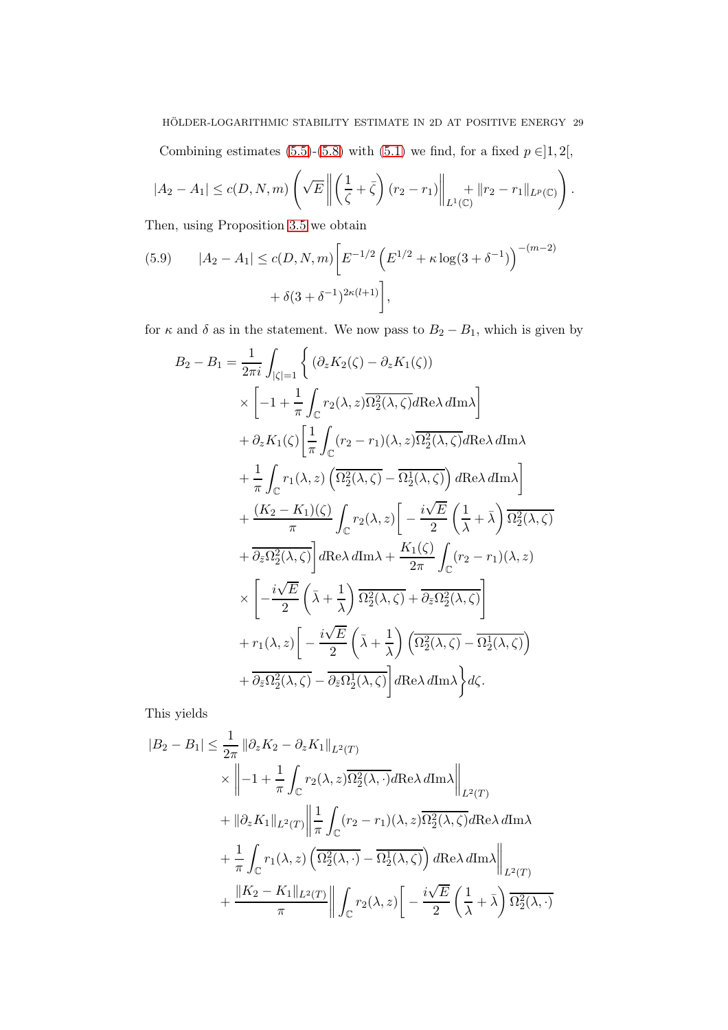HÖLDER-LOGARITHMIC STABILITY ESTIMATE IN 2D AT POSITIVE ENERGY 29

Combining estimates [\(5.5\)](#page-27-0)-[\(5.8\)](#page-27-3) with [\(5.1\)](#page-26-1) we find, for a fixed  $p \in ]1,2[,$ 

$$
|A_2 - A_1| \le c(D, N, m) \left(\sqrt{E} \left\| \left(\frac{1}{\zeta} + \bar{\zeta}\right) (r_2 - r_1) \right\|_{L^1(\mathbb{C})} + \|r_2 - r_1\|_{L^p(\mathbb{C})}\right).
$$

Then, using Proposition [3.5](#page-12-2) we obtain

<span id="page-28-0"></span>(5.9) 
$$
|A_2 - A_1| \le c(D, N, m) \bigg[ E^{-1/2} \left( E^{1/2} + \kappa \log(3 + \delta^{-1}) \right)^{-(m-2)} + \delta (3 + \delta^{-1})^{2\kappa(l+1)} \bigg],
$$

for  $\kappa$  and  $\delta$  as in the statement. We now pass to  $B_2 - B_1$ , which is given by

$$
B_2 - B_1 = \frac{1}{2\pi i} \int_{|\zeta|=1} \left\{ (\partial_z K_2(\zeta) - \partial_z K_1(\zeta)) \times \left[ -1 + \frac{1}{\pi} \int_{\mathbb{C}} r_2(\lambda, z) \overline{\Omega_2^2(\lambda, \zeta)} d\text{Re}\lambda d\text{Im}\lambda \right] \right\}
$$
  
+  $\partial_z K_1(\zeta) \left[ \frac{1}{\pi} \int_{\mathbb{C}} (r_2 - r_1)(\lambda, z) \overline{\Omega_2^2(\lambda, \zeta)} d\text{Re}\lambda d\text{Im}\lambda \right]$   
+  $\frac{1}{\pi} \int_{\mathbb{C}} r_1(\lambda, z) \left( \overline{\Omega_2^2(\lambda, \zeta)} - \overline{\Omega_2^1(\lambda, \zeta)} \right) d\text{Re}\lambda d\text{Im}\lambda \right]$   
+  $\frac{(K_2 - K_1)(\zeta)}{\pi} \int_{\mathbb{C}} r_2(\lambda, z) \left[ -\frac{i\sqrt{E}}{2} \left( \frac{1}{\lambda} + \overline{\lambda} \right) \overline{\Omega_2^2(\lambda, \zeta)} \right]$   
+  $\overline{\partial_z \Omega_2^2(\lambda, \zeta)} \right] d\text{Re}\lambda d\text{Im}\lambda + \frac{K_1(\zeta)}{2\pi} \int_{\mathbb{C}} (r_2 - r_1)(\lambda, z)$   
+  $\left[ -\frac{i\sqrt{E}}{2} \left( \overline{\lambda} + \frac{1}{\lambda} \right) \overline{\Omega_2^2(\lambda, \zeta)} + \overline{\partial_z \Omega_2^2(\lambda, \zeta)} \right]$   
+  $r_1(\lambda, z) \left[ -\frac{i\sqrt{E}}{2} \left( \overline{\lambda} + \frac{1}{\lambda} \right) \left( \overline{\Omega_2^2(\lambda, \zeta)} - \overline{\Omega_2^1(\lambda, \zeta)} \right) \right]$   
+  $\overline{\partial_z \Omega_2^2(\lambda, \zeta)} - \overline{\partial_z \Omega_2^1(\lambda, \zeta)} \right] d\text{Re}\lambda d\text{Im}\lambda \right\} d\zeta.$ 

This yields

$$
|B_2 - B_1| \leq \frac{1}{2\pi} \|\partial_z K_2 - \partial_z K_1\|_{L^2(T)}
$$
  
\$\times \left\| -1 + \frac{1}{\pi} \int\_{\mathbb{C}} r\_2(\lambda, z) \overline{\Omega\_2^2(\lambda, \cdot)} d \text{Re}\lambda d\text{Im}\lambda \right\|\_{L^2(T)}\$  
\$+ \|\partial\_z K\_1\|\_{L^2(T)} \left\| \frac{1}{\pi} \int\_{\mathbb{C}} (r\_2 - r\_1)(\lambda, z) \overline{\Omega\_2^2(\lambda, \zeta)} d \text{Re}\lambda d\text{Im}\lambda \right\}\$  
\$+ \frac{1}{\pi} \int\_{\mathbb{C}} r\_1(\lambda, z) \left( \overline{\Omega\_2^2(\lambda, \cdot)} - \overline{\Omega\_2^1(\lambda, \zeta)} \right) d \text{Re}\lambda d\text{Im}\lambda \right\|\_{L^2(T)}\$  
\$+ \frac{\|K\_2 - K\_1\|\_{L^2(T)}}{\pi} \left\| \int\_{\mathbb{C}} r\_2(\lambda, z) \left[ -\frac{i\sqrt{E}}{2} \left( \frac{1}{\lambda} + \overline{\lambda} \right) \overline{\Omega\_2^2(\lambda, \cdot)} \right. \right]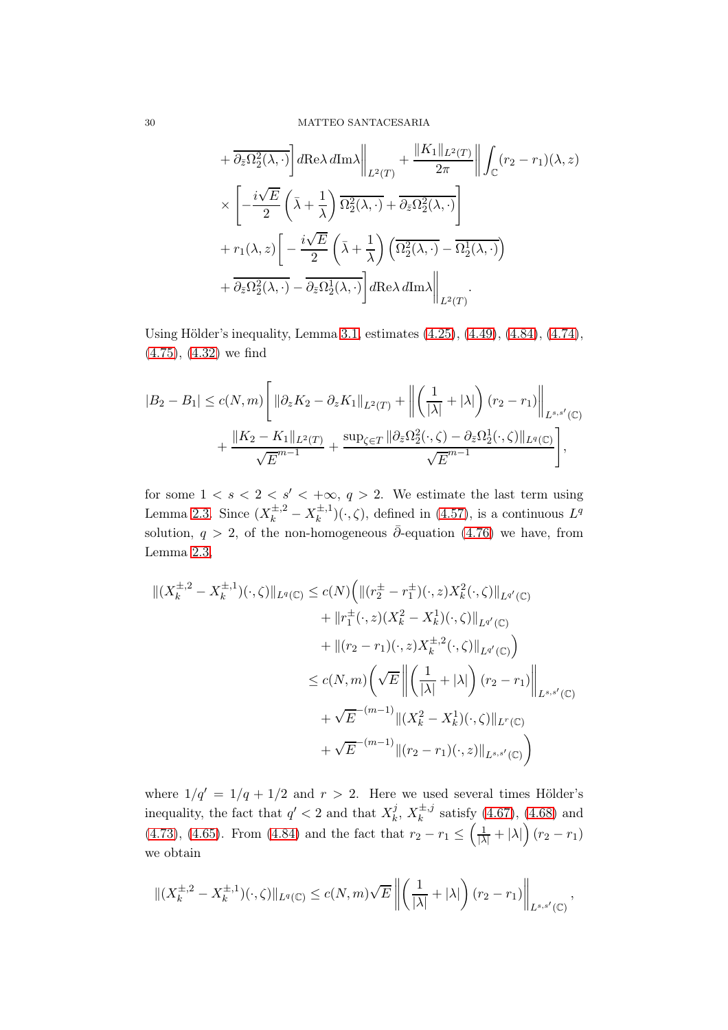$$
+\overline{\partial_{\overline{z}}\Omega_{2}^{2}(\lambda,\cdot)}\Bigg]d\text{Re}\lambda d\text{Im}\lambda\Bigg\|_{L^{2}(T)} + \frac{\|K_{1}\|_{L^{2}(T)}}{2\pi}\Bigg\|\int_{\mathbb{C}}(r_{2}-r_{1})(\lambda,z) \times\Bigg[-\frac{i\sqrt{E}}{2}\left(\bar{\lambda}+\frac{1}{\lambda}\right)\overline{\Omega_{2}^{2}(\lambda,\cdot)} + \overline{\partial_{\overline{z}}\Omega_{2}^{2}(\lambda,\cdot)}\Bigg] + r_{1}(\lambda,z)\Bigg[-\frac{i\sqrt{E}}{2}\left(\bar{\lambda}+\frac{1}{\lambda}\right)\left(\overline{\Omega_{2}^{2}(\lambda,\cdot)} - \overline{\Omega_{2}^{1}(\lambda,\cdot)}\right) + \overline{\partial_{\overline{z}}\Omega_{2}^{2}(\lambda,\cdot)} - \overline{\partial_{\overline{z}}\Omega_{2}^{1}(\lambda,\cdot)}\Bigg]d\text{Re}\lambda d\text{Im}\lambda\Bigg\|_{L^{2}(T)}.
$$

Using Hölder's inequality, Lemma [3.1,](#page-8-5) estimates [\(4.25\)](#page-17-3), [\(4.49\)](#page-21-0), [\(4.84\)](#page-25-3), [\(4.74\)](#page-24-1), [\(4.75\)](#page-24-2), [\(4.32\)](#page-18-2) we find

$$
|B_2 - B_1| \le c(N, m) \left[ \|\partial_z K_2 - \partial_z K_1\|_{L^2(T)} + \left\| \left( \frac{1}{|\lambda|} + |\lambda| \right) (r_2 - r_1) \right\|_{L^{s, s'}(\mathbb{C})} + \frac{\|K_2 - K_1\|_{L^2(T)}}{\sqrt{E}^{m-1}} + \frac{\sup_{\zeta \in T} \|\partial_{\bar{z}} \Omega_2^2(\cdot, \zeta) - \partial_{\bar{z}} \Omega_2^1(\cdot, \zeta) \|_{L^q(\mathbb{C})}}{\sqrt{E}^{m-1}} \right],
$$

for some  $1 < s < 2 < s' < +\infty$ ,  $q > 2$ . We estimate the last term using Lemma [2.3.](#page-7-2) Since  $(X_k^{\pm,2} - X_k^{\pm,1})(\cdot,\zeta)$ , defined in [\(4.57\)](#page-22-0), is a continuous  $L^q$ solution,  $q > 2$ , of the non-homogeneous  $\bar{\partial}$ -equation [\(4.76\)](#page-24-3) we have, from Lemma [2.3,](#page-7-2)

$$
\begin{split} \|(X_k^{\pm,2} - X_k^{\pm,1})(\cdot,\zeta)\|_{L^q(\mathbb{C})} &\leq c(N) \Big( \|(r_2^{\pm} - r_1^{\pm})(\cdot,z)X_k^2(\cdot,\zeta)\|_{L^{q'}(\mathbb{C})} \\ &+ \|r_1^{\pm}(\cdot,z)(X_k^2 - X_k^1)(\cdot,\zeta)\|_{L^{q'}(\mathbb{C})} \\ &+ \|(r_2 - r_1)(\cdot,z)X_k^{\pm,2}(\cdot,\zeta)\|_{L^{q'}(\mathbb{C})} \Big) \\ &\leq c(N,m) \Big( \sqrt{E} \left\| \left(\frac{1}{|\lambda|} + |\lambda| \right) (r_2 - r_1) \right\|_{L^{s,s'}(\mathbb{C})} \\ &+ \sqrt{E}^{-(m-1)} \|(X_k^2 - X_k^1)(\cdot,\zeta)\|_{L^r(\mathbb{C})} \\ &+ \sqrt{E}^{-(m-1)} \|(r_2 - r_1)(\cdot,z)\|_{L^{s,s'}(\mathbb{C})} \Big) \end{split}
$$

where  $1/q' = 1/q + 1/2$  and  $r > 2$ . Here we used several times Hölder's inequality, the fact that  $q' < 2$  and that  $X_k^j$  $k, X_k^{\pm,j}$  satisfy [\(4.67\)](#page-23-7), [\(4.68\)](#page-23-3) and [\(4.73\)](#page-24-0), [\(4.65\)](#page-23-6). From [\(4.84\)](#page-25-3) and the fact that  $r_2 - r_1 \leq (\frac{1}{|\lambda|} + |\lambda|)(r_2 - r_1)$ we obtain

$$
\|(X_k^{\pm,2}-X_k^{\pm,1})(\cdot,\zeta)\|_{L^q(\mathbb{C})}\leq c(N,m)\sqrt{E}\left\|\left(\frac{1}{|\lambda|}+|\lambda|\right)(r_2-r_1)\right\|_{L^{s,s'}(\mathbb{C})},
$$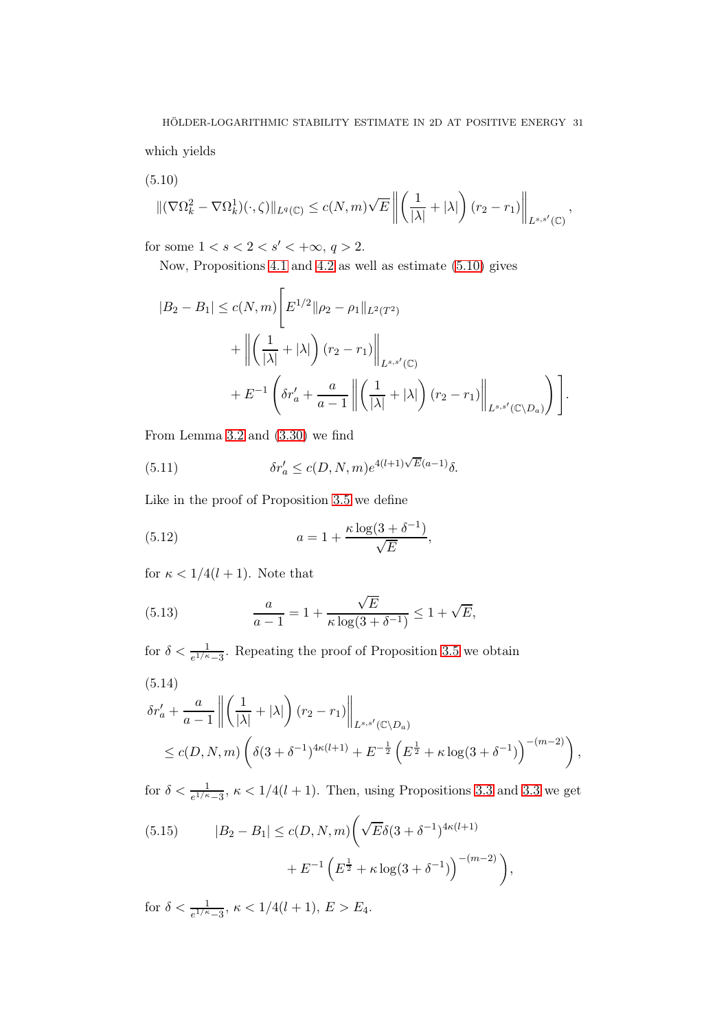which yields

<span id="page-30-0"></span>(5.10)  

$$
\|(\nabla\Omega_k^2 - \nabla\Omega_k^1)(\cdot,\zeta)\|_{L^q(\mathbb{C})} \le c(N,m)\sqrt{E}\left\|\left(\frac{1}{|\lambda|}+|\lambda|\right)(r_2-r_1)\right\|_{L^{s,s'}(\mathbb{C})}
$$

,

for some  $1 < s < 2 < s' < +\infty, q > 2$ .

Now, Propositions [4.1](#page-15-0) and [4.2](#page-16-3) as well as estimate [\(5.10\)](#page-30-0) gives

$$
|B_2 - B_1| \le c(N, m) \left[ E^{1/2} || \rho_2 - \rho_1 ||_{L^2(T^2)} \right.
$$
  
+  $\left\| \left( \frac{1}{|\lambda|} + |\lambda| \right) (r_2 - r_1) \right\|_{L^{s,s'}(\mathbb{C})}$   
+  $E^{-1} \left( \delta r_a' + \frac{a}{a-1} \left\| \left( \frac{1}{|\lambda|} + |\lambda| \right) (r_2 - r_1) \right\|_{L^{s,s'}(\mathbb{C} \setminus D_a)} \right) \right].$ 

From Lemma [3.2](#page-8-4) and [\(3.30\)](#page-13-4) we find

(5.11) 
$$
\delta r'_a \le c(D, N, m) e^{4(l+1)\sqrt{E}(a-1)} \delta.
$$

Like in the proof of Proposition [3.5](#page-12-2) we define

<span id="page-30-1"></span>(5.12) 
$$
a = 1 + \frac{\kappa \log(3 + \delta^{-1})}{\sqrt{E}},
$$

for  $\kappa < 1/4(l + 1)$ . Note that

(5.13) 
$$
\frac{a}{a-1} = 1 + \frac{\sqrt{E}}{\kappa \log(3 + \delta^{-1})} \le 1 + \sqrt{E},
$$

for  $\delta < \frac{1}{e^{1/\kappa}-3}$ . Repeating the proof of Proposition [3.5](#page-12-2) we obtain

$$
(5.14)
$$
  
\n
$$
\delta r'_a + \frac{a}{a-1} \left\| \left( \frac{1}{|\lambda|} + |\lambda| \right) (r_2 - r_1) \right\|_{L^{s,s'}(\mathbb{C}\setminus D_a)}
$$
  
\n
$$
\leq c(D, N, m) \left( \delta(3 + \delta^{-1})^{4\kappa(l+1)} + E^{-\frac{1}{2}} \left( E^{\frac{1}{2}} + \kappa \log(3 + \delta^{-1}) \right)^{-(m-2)} \right),
$$

for  $\delta < \frac{1}{e^{1/\kappa}-3}$ ,  $\kappa < 1/4(l + 1)$ . Then, using Propositions [3.3](#page-9-3) and 3.3 we get

<span id="page-30-2"></span>(5.15) 
$$
|B_2 - B_1| \le c(D, N, m) \left(\sqrt{E}\delta(3 + \delta^{-1})^{4\kappa(l+1)} + E^{-1} \left(E^{\frac{1}{2}} + \kappa \log(3 + \delta^{-1})\right)^{-(m-2)}\right),
$$

for  $\delta < \frac{1}{e^{1/\kappa}-3}$ ,  $\kappa < 1/4(l+1)$ ,  $E > E_4$ .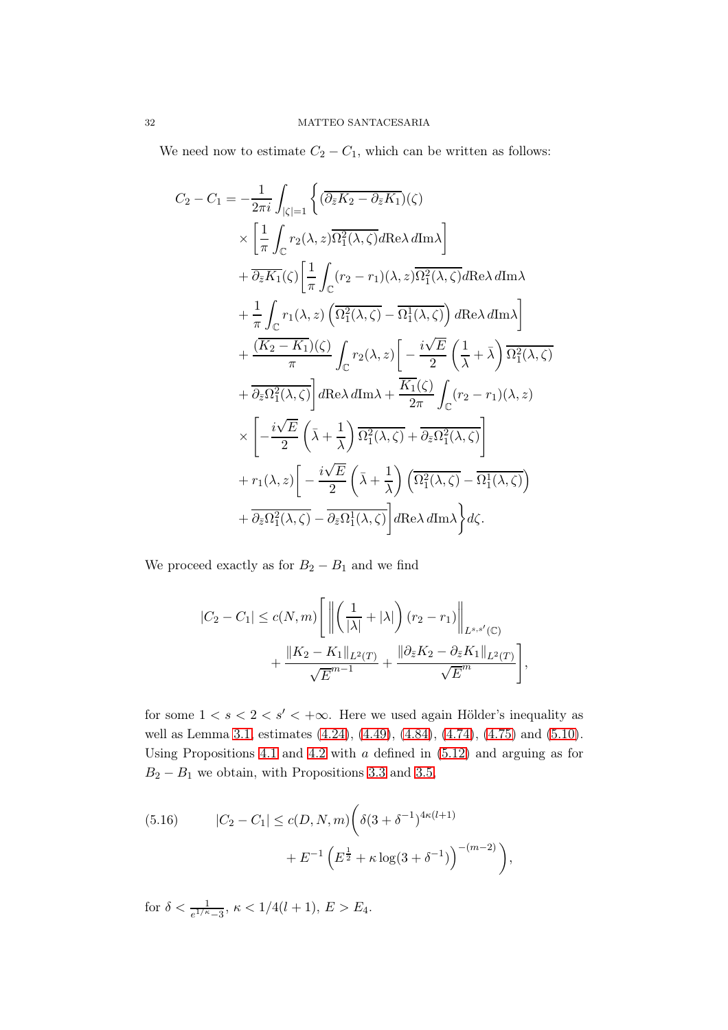We need now to estimate  $C_2 - C_1$ , which can be written as follows:

$$
C_2 - C_1 = -\frac{1}{2\pi i} \int_{|\zeta|=1} \left\{ (\overline{\partial_{\bar{z}} K_2 - \partial_{\bar{z}} K_1})(\zeta) \right\} \times \left[ \frac{1}{\pi} \int_{\mathbb{C}} r_2(\lambda, z) \overline{\Omega_1^2(\lambda, \zeta)} d\text{Re}\lambda d\text{Im}\lambda \right] + \overline{\partial_{\bar{z}} K_1}(\zeta) \left[ \frac{1}{\pi} \int_{\mathbb{C}} (r_2 - r_1)(\lambda, z) \overline{\Omega_1^2(\lambda, \zeta)} d\text{Re}\lambda d\text{Im}\lambda \right] + \frac{1}{\pi} \int_{\mathbb{C}} r_1(\lambda, z) \left( \overline{\Omega_1^2(\lambda, \zeta)} - \overline{\Omega_1^1(\lambda, \zeta)} \right) d\text{Re}\lambda d\text{Im}\lambda \right] + \frac{(\overline{K_2 - K_1})(\zeta)}{\pi} \int_{\mathbb{C}} r_2(\lambda, z) \left[ -\frac{i\sqrt{E}}{2} \left( \frac{1}{\lambda} + \overline{\lambda} \right) \overline{\Omega_1^2(\lambda, \zeta)} \right. + \overline{\partial_{\bar{z}} \Omega_1^2(\lambda, \zeta)} \right] d\text{Re}\lambda d\text{Im}\lambda + \frac{\overline{K_1}(\zeta)}{2\pi} \int_{\mathbb{C}} (r_2 - r_1)(\lambda, z) \times \left[ -\frac{i\sqrt{E}}{2} \left( \overline{\lambda} + \frac{1}{\lambda} \right) \overline{\Omega_1^2(\lambda, \zeta)} + \overline{\partial_{\bar{z}} \Omega_1^2(\lambda, \zeta)} \right] + r_1(\lambda, z) \left[ -\frac{i\sqrt{E}}{2} \left( \overline{\lambda} + \frac{1}{\lambda} \right) \left( \overline{\Omega_1^2(\lambda, \zeta)} - \overline{\Omega_1^1(\lambda, \zeta)} \right) \right. + \overline{\partial_{\bar{z}} \Omega_1^2(\lambda, \zeta)} - \overline{\partial_{\bar{z}} \Omega_1^1(\lambda, \zeta)} \right] d\text{Re}\lambda d\text{Im}\lambda \right\} d\zeta.
$$

We proceed exactly as for  $B_2 - B_1$  and we find

$$
|C_2 - C_1| \le c(N, m) \left[ \left\| \left( \frac{1}{|\lambda|} + |\lambda| \right) (r_2 - r_1) \right\|_{L^{s, s'}(\mathbb{C})} + \frac{\|K_2 - K_1\|_{L^2(T)}}{\sqrt{E}^{m-1}} + \frac{\|\partial_{\bar{z}} K_2 - \partial_{\bar{z}} K_1\|_{L^2(T)}}{\sqrt{E}^m} \right],
$$

for some  $1 < s < 2 < s' < +\infty$ . Here we used again Hölder's inequality as well as Lemma [3.1,](#page-8-5) estimates [\(4.24\)](#page-17-2), [\(4.49\)](#page-21-0), [\(4.84\)](#page-25-3), [\(4.74\)](#page-24-1), [\(4.75\)](#page-24-2) and [\(5.10\)](#page-30-0). Using Propositions [4.1](#page-15-0) and [4.2](#page-16-3) with  $a$  defined in  $(5.12)$  and arguing as for  $B_2 - B_1$  we obtain, with Propositions [3.3](#page-9-3) and [3.5,](#page-12-2)

<span id="page-31-0"></span>(5.16) 
$$
|C_2 - C_1| \le c(D, N, m) \left( \delta(3 + \delta^{-1})^{4\kappa(l+1)} + E^{-1} \left( E^{\frac{1}{2}} + \kappa \log(3 + \delta^{-1}) \right)^{-(m-2)} \right),
$$

for  $\delta < \frac{1}{e^{1/\kappa}-3}$ ,  $\kappa < 1/4(l+1)$ ,  $E > E_4$ .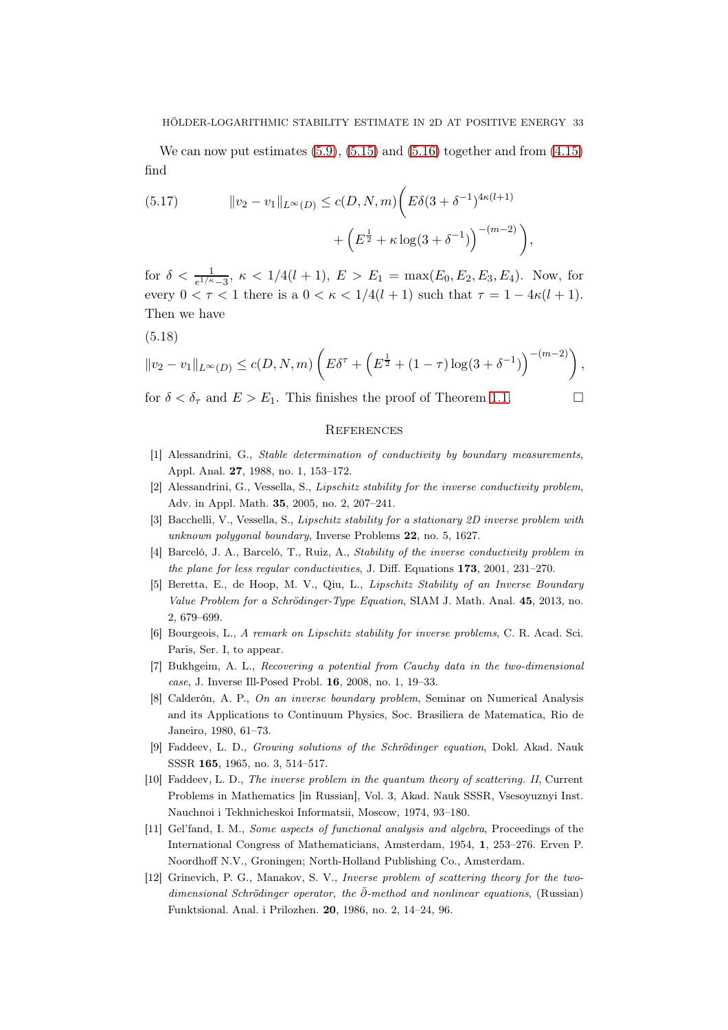We can now put estimates  $(5.9)$ ,  $(5.15)$  and  $(5.16)$  together and from  $(4.15)$ find

(5.17) 
$$
||v_2 - v_1||_{L^{\infty}(D)} \le c(D, N, m) \left( E\delta(3 + \delta^{-1})^{4\kappa(l+1)} + \left( E^{\frac{1}{2}} + \kappa \log(3 + \delta^{-1}) \right)^{-(m-2)} \right),
$$

for  $\delta < \frac{1}{e^{1/\kappa}-3}$ ,  $\kappa < 1/4(l + 1)$ ,  $E > E_1 = \max(E_0, E_2, E_3, E_4)$ . Now, for every  $0 < \tau < 1$  there is a  $0 < \kappa < 1/4(l + 1)$  such that  $\tau = 1 - 4\kappa(l + 1)$ . Then we have

(5.18)

$$
||v_2 - v_1||_{L^{\infty}(D)} \le c(D, N, m) \left( E\delta^{\tau} + \left( E^{\frac{1}{2}} + (1 - \tau) \log(3 + \delta^{-1}) \right)^{-(m-2)} \right),
$$

for  $\delta < \delta_{\tau}$  and  $E > E_1$ . This finishes the proof of Theorem [1.1.](#page-2-3)

### **REFERENCES**

- <span id="page-32-4"></span><span id="page-32-3"></span>[1] Alessandrini, G., Stable determination of conductivity by boundary measurements, Appl. Anal. 27, 1988, no. 1, 153–172.
- <span id="page-32-5"></span>[2] Alessandrini, G., Vessella, S., Lipschitz stability for the inverse conductivity problem, Adv. in Appl. Math. 35, 2005, no. 2, 207–241.
- <span id="page-32-10"></span>[3] Bacchelli, V., Vessella, S., Lipschitz stability for a stationary 2D inverse problem with unknown polygonal boundary, Inverse Problems 22, no. 5, 1627.
- <span id="page-32-6"></span>[4] Barceló, J. A., Barceló, T., Ruiz, A., Stability of the inverse conductivity problem in the plane for less regular conductivities, J. Diff. Equations 173, 2001, 231–270.
- [5] Beretta, E., de Hoop, M. V., Qiu, L., Lipschitz Stability of an Inverse Boundary Value Problem for a Schrödinger-Type Equation, SIAM J. Math. Anal. 45, 2013, no. 2, 679–699.
- <span id="page-32-7"></span><span id="page-32-2"></span>[6] Bourgeois, L., A remark on Lipschitz stability for inverse problems, C. R. Acad. Sci. Paris, Ser. I, to appear.
- <span id="page-32-1"></span>[7] Bukhgeim, A. L., Recovering a potential from Cauchy data in the two-dimensional case, J. Inverse Ill-Posed Probl. 16, 2008, no. 1, 19–33.
- [8] Calderón, A. P., On an inverse boundary problem, Seminar on Numerical Analysis and its Applications to Continuum Physics, Soc. Brasiliera de Matematica, Rio de Janeiro, 1980, 61–73.
- <span id="page-32-11"></span><span id="page-32-8"></span>[9] Faddeev, L. D., Growing solutions of the Schrödinger equation, Dokl. Akad. Nauk SSSR 165, 1965, no. 3, 514–517.
- [10] Faddeev, L. D., The inverse problem in the quantum theory of scattering. II, Current Problems in Mathematics [in Russian], Vol. 3, Akad. Nauk SSSR, Vsesoyuznyi Inst. Nauchnoi i Tekhnicheskoi Informatsii, Moscow, 1974, 93–180.
- <span id="page-32-0"></span>[11] Gel'fand, I. M., Some aspects of functional analysis and algebra, Proceedings of the International Congress of Mathematicians, Amsterdam, 1954, 1, 253–276. Erven P. Noordhoff N.V., Groningen; North-Holland Publishing Co., Amsterdam.
- <span id="page-32-9"></span>[12] Grinevich, P. G., Manakov, S. V., Inverse problem of scattering theory for the twodimensional Schrödinger operator, the  $\bar{\partial}$ -method and nonlinear equations, (Russian) Funktsional. Anal. i Prilozhen. 20, 1986, no. 2, 14–24, 96.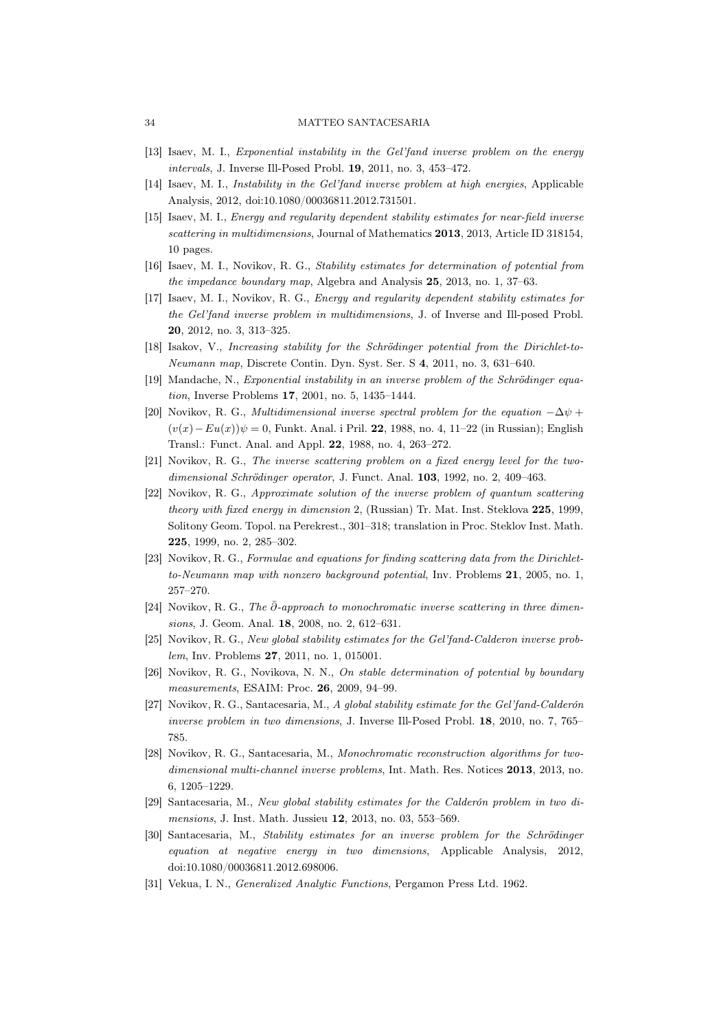#### 34 MATTEO SANTACESARIA

- <span id="page-33-10"></span>[13] Isaev, M. I., Exponential instability in the Gel'fand inverse problem on the energy intervals, J. Inverse Ill-Posed Probl. 19, 2011, no. 3, 453–472.
- <span id="page-33-16"></span>[14] Isaev, M. I., Instability in the Gel'fand inverse problem at high energies, Applicable Analysis, 2012, doi:10.1080/00036811.2012.731501.
- [15] Isaev, M. I., Energy and regularity dependent stability estimates for near-field inverse scattering in multidimensions, Journal of Mathematics 2013, 2013, Article ID 318154, 10 pages.
- <span id="page-33-14"></span><span id="page-33-4"></span>[16] Isaev, M. I., Novikov, R. G., Stability estimates for determination of potential from the impedance boundary map, Algebra and Analysis 25, 2013, no. 1, 37–63.
- [17] Isaev, M. I., Novikov, R. G., Energy and regularity dependent stability estimates for the Gel'fand inverse problem in multidimensions, J. of Inverse and Ill-posed Probl. 20, 2012, no. 3, 313–325.
- <span id="page-33-13"></span><span id="page-33-5"></span>[18] Isakov, V., Increasing stability for the Schrödinger potential from the Dirichlet-to-Neumann map, Discrete Contin. Dyn. Syst. Ser. S 4, 2011, no. 3, 631–640.
- <span id="page-33-3"></span>[19] Mandache, N., Exponential instability in an inverse problem of the Schrödinger equation, Inverse Problems 17, 2001, no. 5, 1435–1444.
- [20] Novikov, R. G., Multidimensional inverse spectral problem for the equation  $-\Delta\psi$  +  $(v(x) – Eu(x))$  $ψ = 0$ , Funkt. Anal. i Pril. 22, 1988, no. 4, 11–22 (in Russian); English Transl.: Funct. Anal. and Appl. 22, 1988, no. 4, 263–272.
- <span id="page-33-11"></span><span id="page-33-8"></span>[21] Novikov, R. G., The inverse scattering problem on a fixed energy level for the twodimensional Schrödinger operator, J. Funct. Anal. **103**, 1992, no. 2, 409–463.
- [22] Novikov, R. G., Approximate solution of the inverse problem of quantum scattering theory with fixed energy in dimension 2, (Russian) Tr. Mat. Inst. Steklova 225, 1999, Solitony Geom. Topol. na Perekrest., 301–318; translation in Proc. Steklov Inst. Math. 225, 1999, no. 2, 285–302.
- <span id="page-33-17"></span>[23] Novikov, R. G., Formulae and equations for finding scattering data from the Dirichletto-Neumann map with nonzero background potential, Inv. Problems 21, 2005, no. 1, 257–270.
- <span id="page-33-15"></span><span id="page-33-9"></span>[24] Novikov, R. G., The  $\bar{\partial}$ -approach to monochromatic inverse scattering in three dimensions, J. Geom. Anal. 18, 2008, no. 2, 612–631.
- <span id="page-33-7"></span>[25] Novikov, R. G., New global stability estimates for the Gel'fand-Calderon inverse problem, Inv. Problems 27, 2011, no. 1, 015001.
- <span id="page-33-0"></span>[26] Novikov, R. G., Novikova, N. N., On stable determination of potential by boundary measurements, ESAIM: Proc. 26, 2009, 94–99.
- [27] Novikov, R. G., Santacesaria, M., A global stability estimate for the Gel'fand-Calderón inverse problem in two dimensions, J. Inverse Ill-Posed Probl. 18, 2010, no. 7, 765– 785.
- <span id="page-33-12"></span>[28] Novikov, R. G., Santacesaria, M., Monochromatic reconstruction algorithms for twodimensional multi-channel inverse problems, Int. Math. Res. Notices 2013, 2013, no. 6, 1205–1229.
- <span id="page-33-2"></span><span id="page-33-1"></span>[29] Santacesaria, M., New global stability estimates for the Calderón problem in two dimensions, J. Inst. Math. Jussieu 12, 2013, no. 03, 553–569.
- [30] Santacesaria, M., Stability estimates for an inverse problem for the Schrödinger equation at negative energy in two dimensions, Applicable Analysis, 2012, doi:10.1080/00036811.2012.698006.
- <span id="page-33-18"></span>[31] Vekua, I. N., Generalized Analytic Functions, Pergamon Press Ltd. 1962.

<span id="page-33-6"></span>